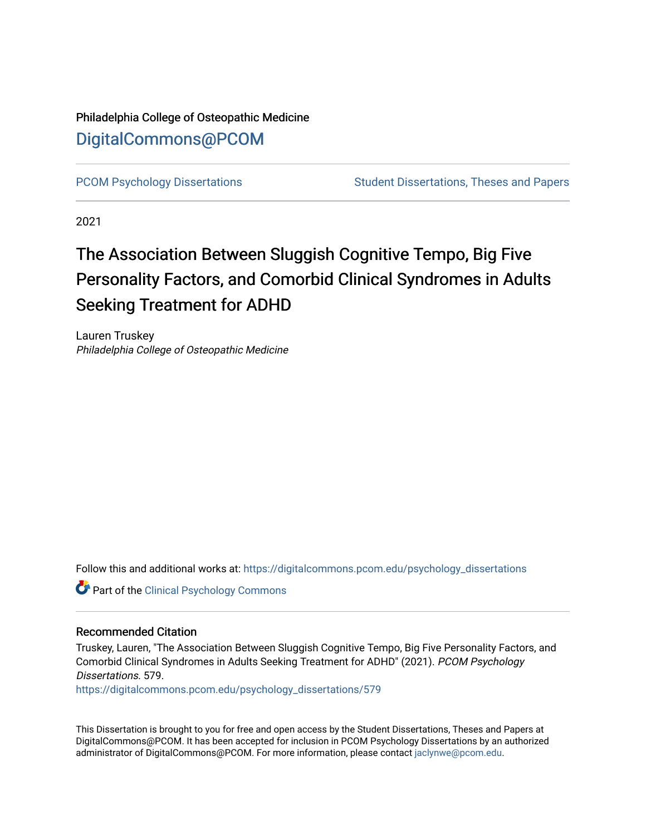### Philadelphia College of Osteopathic Medicine [DigitalCommons@PCOM](https://digitalcommons.pcom.edu/)

[PCOM Psychology Dissertations](https://digitalcommons.pcom.edu/psychology_dissertations) Student Dissertations, Theses and Papers

2021

# The Association Between Sluggish Cognitive Tempo, Big Five Personality Factors, and Comorbid Clinical Syndromes in Adults Seeking Treatment for ADHD

Lauren Truskey Philadelphia College of Osteopathic Medicine

Follow this and additional works at: [https://digitalcommons.pcom.edu/psychology\\_dissertations](https://digitalcommons.pcom.edu/psychology_dissertations?utm_source=digitalcommons.pcom.edu%2Fpsychology_dissertations%2F579&utm_medium=PDF&utm_campaign=PDFCoverPages)

**Part of the Clinical Psychology Commons** 

### Recommended Citation

Truskey, Lauren, "The Association Between Sluggish Cognitive Tempo, Big Five Personality Factors, and Comorbid Clinical Syndromes in Adults Seeking Treatment for ADHD" (2021). PCOM Psychology Dissertations. 579.

[https://digitalcommons.pcom.edu/psychology\\_dissertations/579](https://digitalcommons.pcom.edu/psychology_dissertations/579?utm_source=digitalcommons.pcom.edu%2Fpsychology_dissertations%2F579&utm_medium=PDF&utm_campaign=PDFCoverPages) 

This Dissertation is brought to you for free and open access by the Student Dissertations, Theses and Papers at DigitalCommons@PCOM. It has been accepted for inclusion in PCOM Psychology Dissertations by an authorized administrator of DigitalCommons@PCOM. For more information, please contact [jaclynwe@pcom.edu.](mailto:jaclynwe@pcom.edu)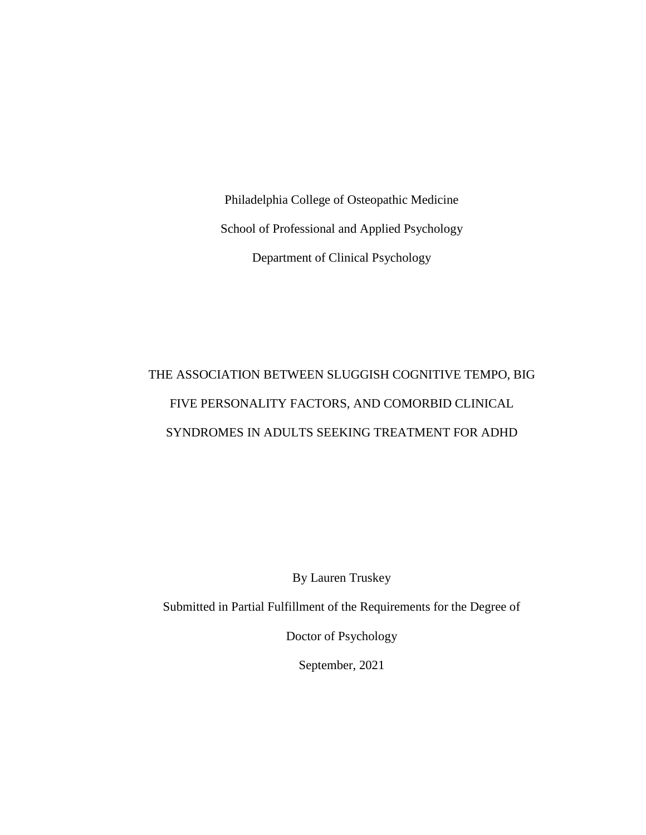Philadelphia College of Osteopathic Medicine School of Professional and Applied Psychology Department of Clinical Psychology

# THE ASSOCIATION BETWEEN SLUGGISH COGNITIVE TEMPO, BIG FIVE PERSONALITY FACTORS, AND COMORBID CLINICAL SYNDROMES IN ADULTS SEEKING TREATMENT FOR ADHD

By Lauren Truskey

Submitted in Partial Fulfillment of the Requirements for the Degree of

Doctor of Psychology

September, 2021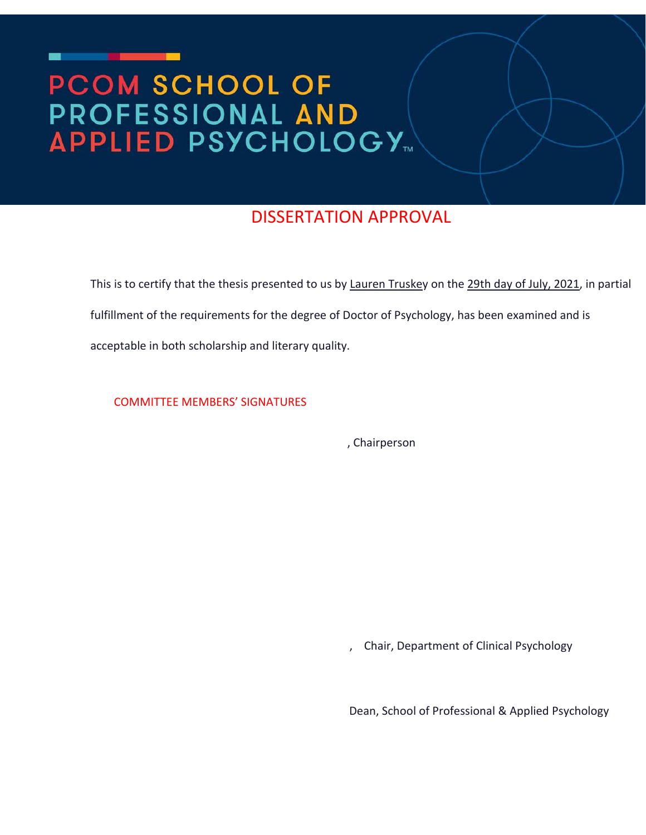# **PCOM SCHOOL OF PROFESSIONAL AND<br>APPLIED PSYCHOLOGY...**

## DISSERTATION APPROVAL

This is to certify that the thesis presented to us by Lauren Truskey on the 29th day of July, 2021, in partial fulfillment of the requirements for the degree of Doctor of Psychology, has been examined and is acceptable in both scholarship and literary quality.

COMMITTEE MEMBERS' SIGNATURES

, Chairperson

, Chair, Department of Clinical Psychology

Dean, School of Professional & Applied Psychology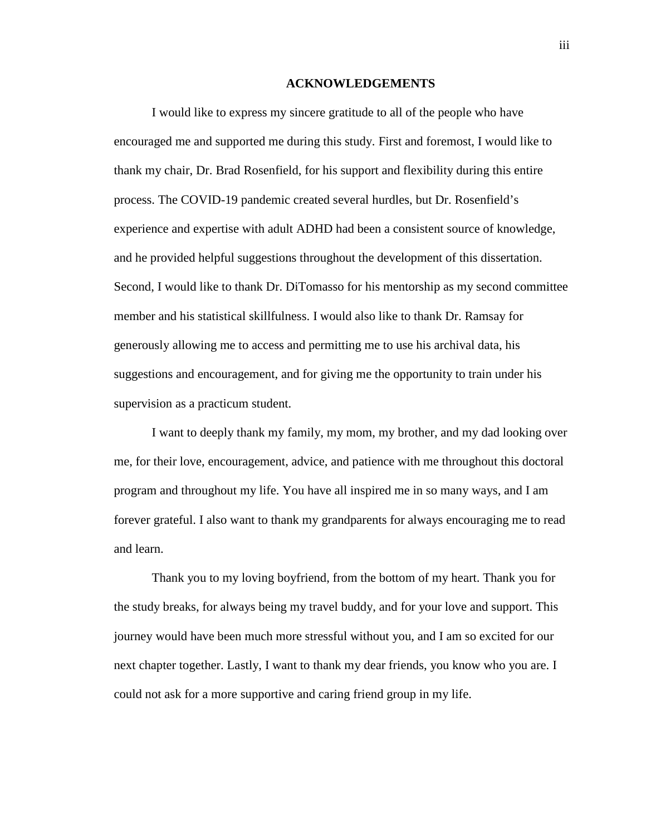### **ACKNOWLEDGEMENTS**

I would like to express my sincere gratitude to all of the people who have encouraged me and supported me during this study. First and foremost, I would like to thank my chair, Dr. Brad Rosenfield, for his support and flexibility during this entire process. The COVID-19 pandemic created several hurdles, but Dr. Rosenfield's experience and expertise with adult ADHD had been a consistent source of knowledge, and he provided helpful suggestions throughout the development of this dissertation. Second, I would like to thank Dr. DiTomasso for his mentorship as my second committee member and his statistical skillfulness. I would also like to thank Dr. Ramsay for generously allowing me to access and permitting me to use his archival data, his suggestions and encouragement, and for giving me the opportunity to train under his supervision as a practicum student.

I want to deeply thank my family, my mom, my brother, and my dad looking over me, for their love, encouragement, advice, and patience with me throughout this doctoral program and throughout my life. You have all inspired me in so many ways, and I am forever grateful. I also want to thank my grandparents for always encouraging me to read and learn.

Thank you to my loving boyfriend, from the bottom of my heart. Thank you for the study breaks, for always being my travel buddy, and for your love and support. This journey would have been much more stressful without you, and I am so excited for our next chapter together. Lastly, I want to thank my dear friends, you know who you are. I could not ask for a more supportive and caring friend group in my life.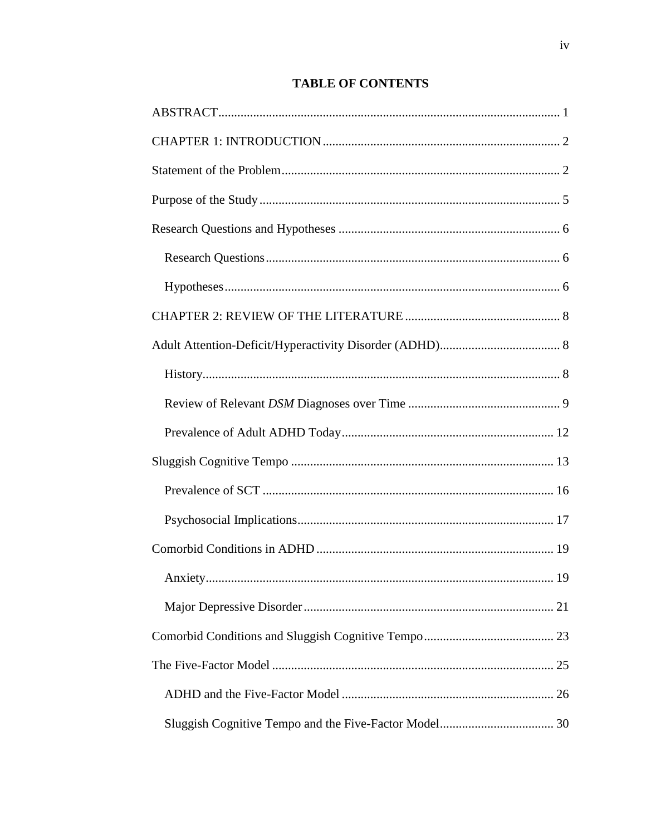### **TABLE OF CONTENTS**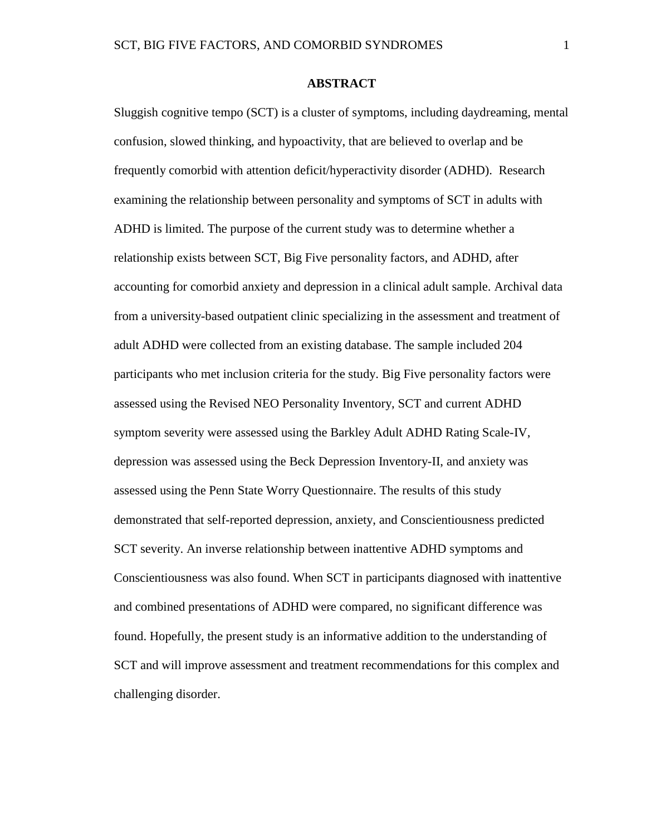### **ABSTRACT**

<span id="page-7-1"></span><span id="page-7-0"></span>Sluggish cognitive tempo (SCT) is a cluster of symptoms, including daydreaming, mental confusion, slowed thinking, and hypoactivity, that are believed to overlap and be frequently comorbid with attention deficit/hyperactivity disorder (ADHD). Research examining the relationship between personality and symptoms of SCT in adults with ADHD is limited. The purpose of the current study was to determine whether a relationship exists between SCT, Big Five personality factors, and ADHD, after accounting for comorbid anxiety and depression in a clinical adult sample. Archival data from a university-based outpatient clinic specializing in the assessment and treatment of adult ADHD were collected from an existing database. The sample included 204 participants who met inclusion criteria for the study. Big Five personality factors were assessed using the Revised NEO Personality Inventory, SCT and current ADHD symptom severity were assessed using the Barkley Adult ADHD Rating Scale-IV, depression was assessed using the Beck Depression Inventory-II, and anxiety was assessed using the Penn State Worry Questionnaire. The results of this study demonstrated that self-reported depression, anxiety, and Conscientiousness predicted SCT severity. An inverse relationship between inattentive ADHD symptoms and Conscientiousness was also found. When SCT in participants diagnosed with inattentive and combined presentations of ADHD were compared, no significant difference was found. Hopefully, the present study is an informative addition to the understanding of SCT and will improve assessment and treatment recommendations for this complex and challenging disorder.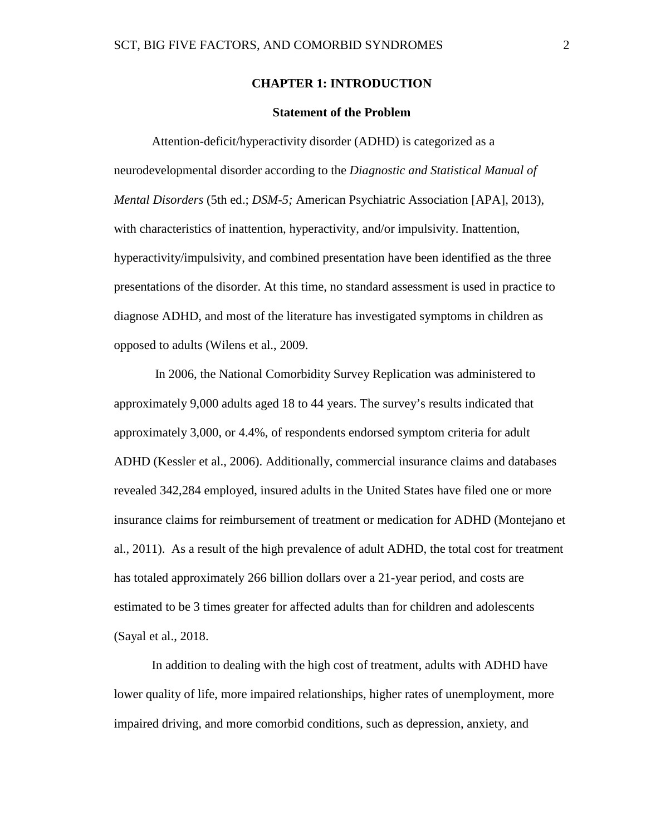### **CHAPTER 1: INTRODUCTION**

### **Statement of the Problem**

Attention-deficit/hyperactivity disorder (ADHD) is categorized as a neurodevelopmental disorder according to the *Diagnostic and Statistical Manual of Mental Disorders* (5th ed.; *DSM-5;* American Psychiatric Association [APA], 2013), with characteristics of inattention, hyperactivity, and/or impulsivity. Inattention, hyperactivity/impulsivity, and combined presentation have been identified as the three presentations of the disorder. At this time, no standard assessment is used in practice to diagnose ADHD, and most of the literature has investigated symptoms in children as opposed to adults (Wilens et al., 2009.

In 2006, the National Comorbidity Survey Replication was administered to approximately 9,000 adults aged 18 to 44 years. The survey's results indicated that approximately 3,000, or 4.4%, of respondents endorsed symptom criteria for adult ADHD (Kessler et al., 2006). Additionally, commercial insurance claims and databases revealed 342,284 employed, insured adults in the United States have filed one or more insurance claims for reimbursement of treatment or medication for ADHD (Montejano et al., 2011). As a result of the high prevalence of adult ADHD, the total cost for treatment has totaled approximately 266 billion dollars over a 21-year period, and costs are estimated to be 3 times greater for affected adults than for children and adolescents (Sayal et al., 2018.

In addition to dealing with the high cost of treatment, adults with ADHD have lower quality of life, more impaired relationships, higher rates of unemployment, more impaired driving, and more comorbid conditions, such as depression, anxiety, and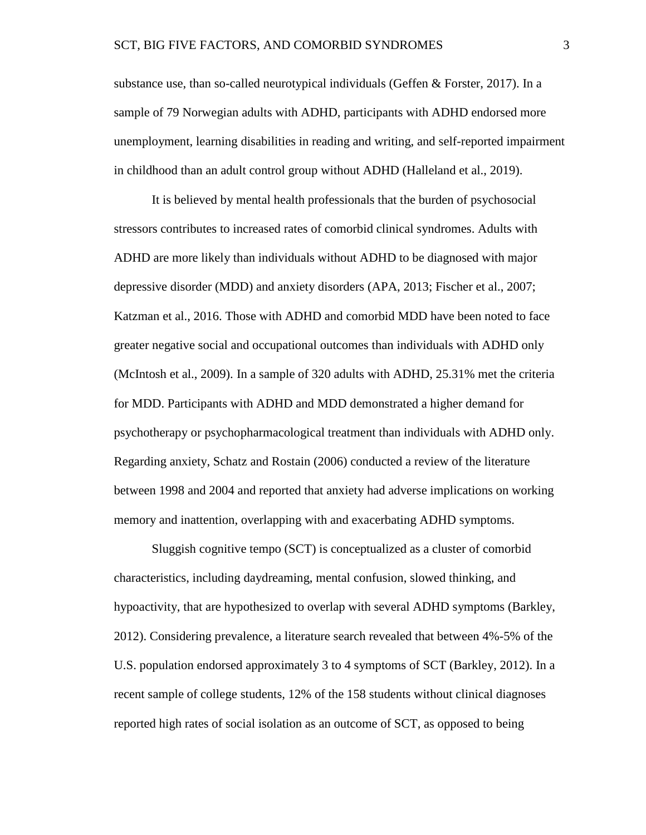substance use, than so-called neurotypical individuals (Geffen  $&$  Forster, 2017). In a sample of 79 Norwegian adults with ADHD, participants with ADHD endorsed more unemployment, learning disabilities in reading and writing, and self-reported impairment in childhood than an adult control group without ADHD (Halleland et al., 2019).

It is believed by mental health professionals that the burden of psychosocial stressors contributes to increased rates of comorbid clinical syndromes. Adults with ADHD are more likely than individuals without ADHD to be diagnosed with major depressive disorder (MDD) and anxiety disorders (APA, 2013; Fischer et al., 2007; Katzman et al., 2016. Those with ADHD and comorbid MDD have been noted to face greater negative social and occupational outcomes than individuals with ADHD only (McIntosh et al., 2009). In a sample of 320 adults with ADHD, 25.31% met the criteria for MDD. Participants with ADHD and MDD demonstrated a higher demand for psychotherapy or psychopharmacological treatment than individuals with ADHD only. Regarding anxiety, Schatz and Rostain (2006) conducted a review of the literature between 1998 and 2004 and reported that anxiety had adverse implications on working memory and inattention, overlapping with and exacerbating ADHD symptoms.

Sluggish cognitive tempo (SCT) is conceptualized as a cluster of comorbid characteristics, including daydreaming, mental confusion, slowed thinking, and hypoactivity, that are hypothesized to overlap with several ADHD symptoms (Barkley, 2012). Considering prevalence, a literature search revealed that between 4%-5% of the U.S. population endorsed approximately 3 to 4 symptoms of SCT (Barkley, 2012). In a recent sample of college students, 12% of the 158 students without clinical diagnoses reported high rates of social isolation as an outcome of SCT, as opposed to being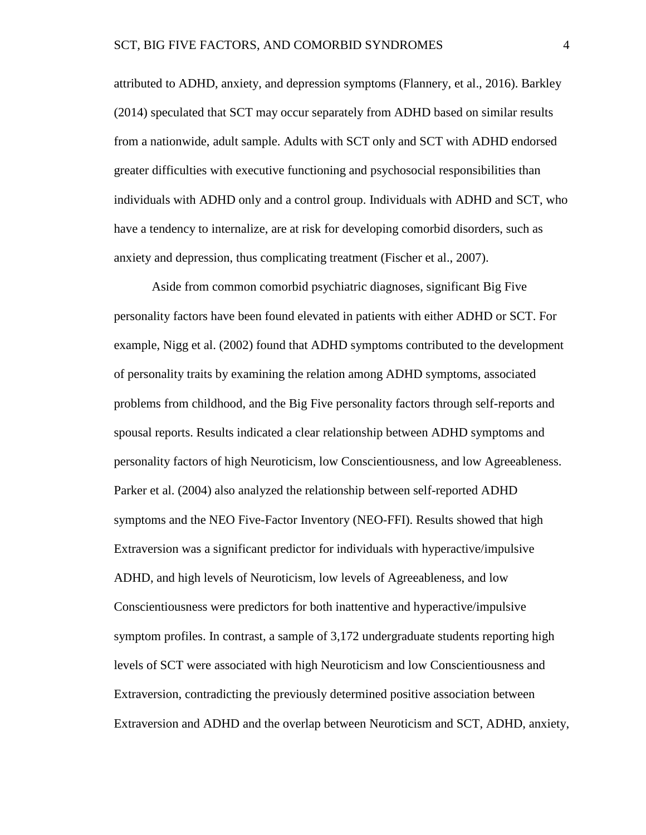attributed to ADHD, anxiety, and depression symptoms (Flannery, et al., 2016). Barkley (2014) speculated that SCT may occur separately from ADHD based on similar results from a nationwide, adult sample. Adults with SCT only and SCT with ADHD endorsed greater difficulties with executive functioning and psychosocial responsibilities than individuals with ADHD only and a control group. Individuals with ADHD and SCT, who have a tendency to internalize, are at risk for developing comorbid disorders, such as anxiety and depression, thus complicating treatment (Fischer et al., 2007).

Aside from common comorbid psychiatric diagnoses, significant Big Five personality factors have been found elevated in patients with either ADHD or SCT. For example, Nigg et al. (2002) found that ADHD symptoms contributed to the development of personality traits by examining the relation among ADHD symptoms, associated problems from childhood, and the Big Five personality factors through self-reports and spousal reports. Results indicated a clear relationship between ADHD symptoms and personality factors of high Neuroticism, low Conscientiousness, and low Agreeableness. Parker et al. (2004) also analyzed the relationship between self-reported ADHD symptoms and the NEO Five-Factor Inventory (NEO-FFI). Results showed that high Extraversion was a significant predictor for individuals with hyperactive/impulsive ADHD, and high levels of Neuroticism, low levels of Agreeableness, and low Conscientiousness were predictors for both inattentive and hyperactive/impulsive symptom profiles. In contrast, a sample of 3,172 undergraduate students reporting high levels of SCT were associated with high Neuroticism and low Conscientiousness and Extraversion, contradicting the previously determined positive association between Extraversion and ADHD and the overlap between Neuroticism and SCT, ADHD, anxiety,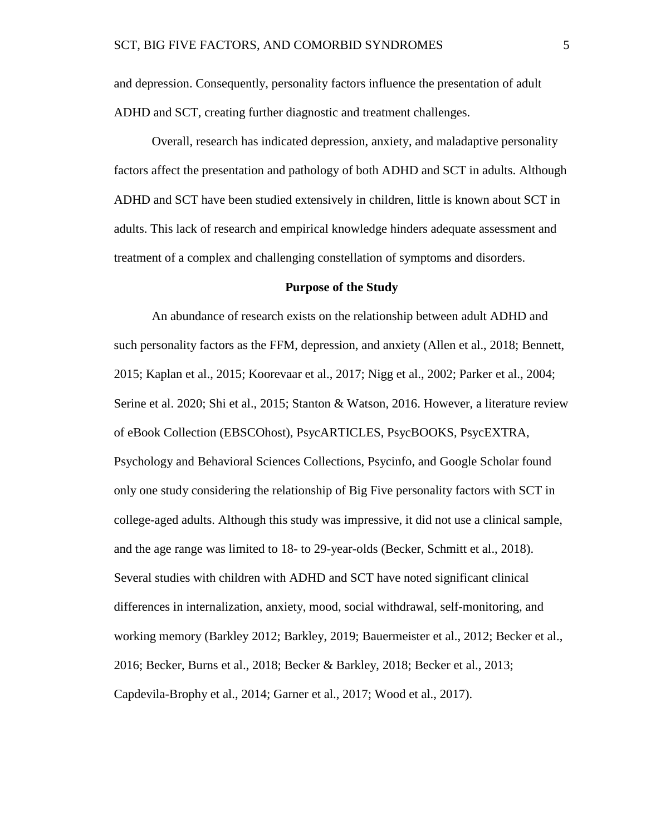and depression. Consequently, personality factors influence the presentation of adult ADHD and SCT, creating further diagnostic and treatment challenges.

Overall, research has indicated depression, anxiety, and maladaptive personality factors affect the presentation and pathology of both ADHD and SCT in adults. Although ADHD and SCT have been studied extensively in children, little is known about SCT in adults. This lack of research and empirical knowledge hinders adequate assessment and treatment of a complex and challenging constellation of symptoms and disorders.

### **Purpose of the Study**

An abundance of research exists on the relationship between adult ADHD and such personality factors as the FFM, depression, and anxiety (Allen et al., 2018; Bennett, 2015; Kaplan et al., 2015; Koorevaar et al., 2017; Nigg et al., 2002; Parker et al., 2004; Serine et al. 2020; Shi et al., 2015; Stanton & Watson, 2016. However, a literature review of eBook Collection (EBSCOhost), PsycARTICLES, PsycBOOKS, PsycEXTRA, Psychology and Behavioral Sciences Collections, Psycinfo, and Google Scholar found only one study considering the relationship of Big Five personality factors with SCT in college-aged adults. Although this study was impressive, it did not use a clinical sample, and the age range was limited to 18- to 29-year-olds (Becker, Schmitt et al., 2018). Several studies with children with ADHD and SCT have noted significant clinical differences in internalization, anxiety, mood, social withdrawal, self-monitoring, and working memory (Barkley 2012; Barkley, 2019; Bauermeister et al., 2012; Becker et al., 2016; Becker, Burns et al., 2018; Becker & Barkley, 2018; Becker et al., 2013; Capdevila-Brophy et al., 2014; Garner et al., 2017; Wood et al., 2017).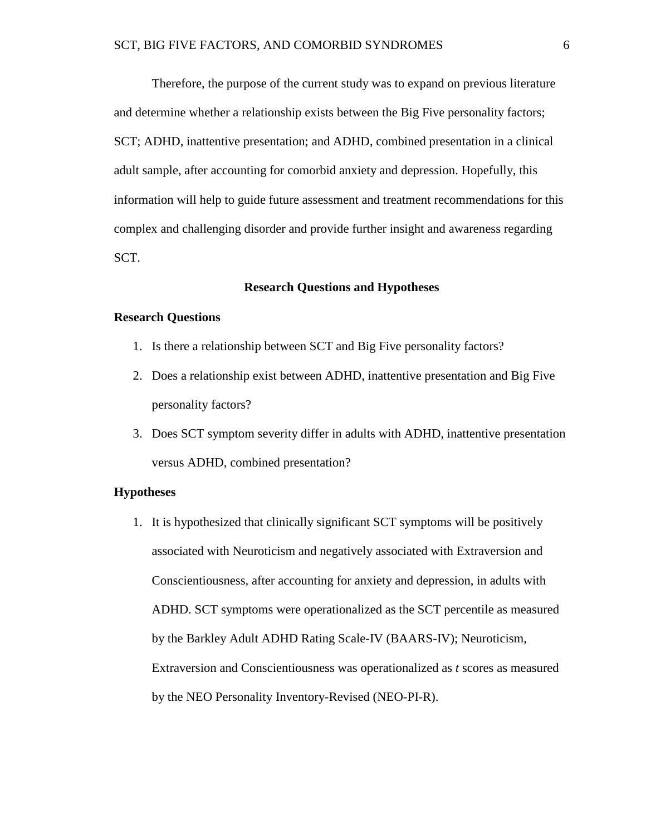Therefore, the purpose of the current study was to expand on previous literature and determine whether a relationship exists between the Big Five personality factors; SCT; ADHD, inattentive presentation; and ADHD, combined presentation in a clinical adult sample, after accounting for comorbid anxiety and depression. Hopefully, this information will help to guide future assessment and treatment recommendations for this complex and challenging disorder and provide further insight and awareness regarding SCT.

### **Research Questions and Hypotheses**

### **Research Questions**

- 1. Is there a relationship between SCT and Big Five personality factors?
- 2. Does a relationship exist between ADHD, inattentive presentation and Big Five personality factors?
- 3. Does SCT symptom severity differ in adults with ADHD, inattentive presentation versus ADHD, combined presentation?

### **Hypotheses**

1. It is hypothesized that clinically significant SCT symptoms will be positively associated with Neuroticism and negatively associated with Extraversion and Conscientiousness, after accounting for anxiety and depression, in adults with ADHD. SCT symptoms were operationalized as the SCT percentile as measured by the Barkley Adult ADHD Rating Scale-IV (BAARS-IV); Neuroticism, Extraversion and Conscientiousness was operationalized as *t* scores as measured by the NEO Personality Inventory-Revised (NEO-PI-R).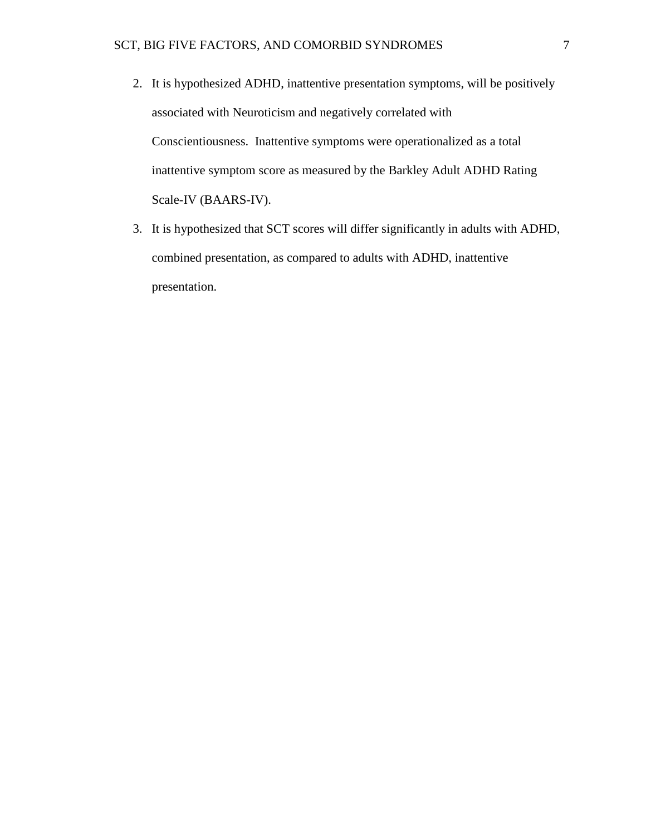- 2. It is hypothesized ADHD, inattentive presentation symptoms, will be positively associated with Neuroticism and negatively correlated with Conscientiousness. Inattentive symptoms were operationalized as a total inattentive symptom score as measured by the Barkley Adult ADHD Rating Scale-IV (BAARS-IV).
- 3. It is hypothesized that SCT scores will differ significantly in adults with ADHD, combined presentation, as compared to adults with ADHD, inattentive presentation.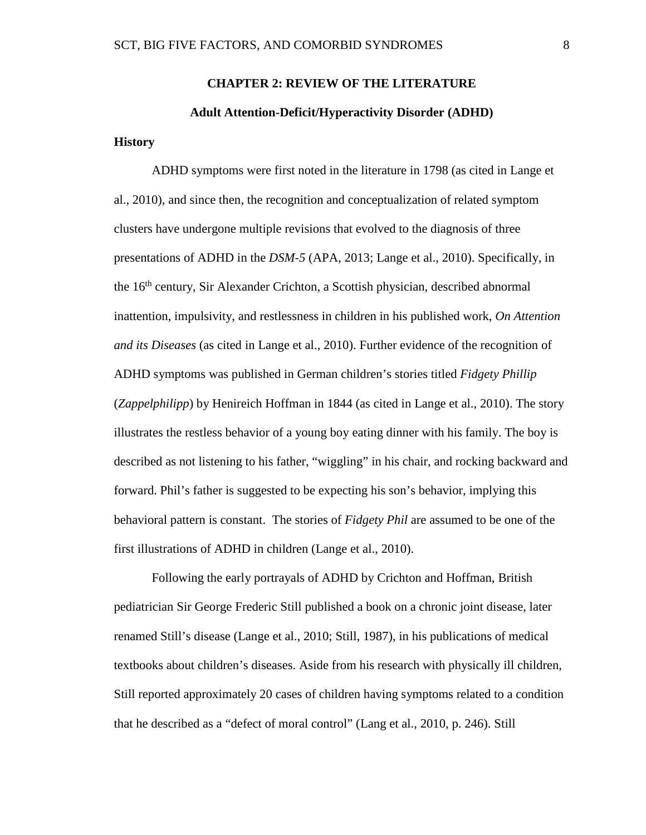# **CHAPTER 2: REVIEW OF THE LITERATURE Adult Attention-Deficit/Hyperactivity Disorder (ADHD)**

### <span id="page-14-0"></span>**History**

ADHD symptoms were first noted in the literature in 1798 (as cited in Lange et al., 2010), and since then, the recognition and conceptualization of related symptom clusters have undergone multiple revisions that evolved to the diagnosis of three presentations of ADHD in the *DSM-5* (APA, 2013; Lange et al., 2010). Specifically, in the 16<sup>th</sup> century, Sir Alexander Crichton, a Scottish physician, described abnormal inattention, impulsivity, and restlessness in children in his published work, *On Attention and its Diseases* (as cited in Lange et al., 2010). Further evidence of the recognition of ADHD symptoms was published in German children's stories titled *Fidgety Phillip* (*Zappelphilipp*) by Henireich Hoffman in 1844 (as cited in Lange et al., 2010). The story illustrates the restless behavior of a young boy eating dinner with his family. The boy is described as not listening to his father, "wiggling" in his chair, and rocking backward and forward. Phil's father is suggested to be expecting his son's behavior, implying this behavioral pattern is constant. The stories of *Fidgety Phil* are assumed to be one of the first illustrations of ADHD in children (Lange et al., 2010).

Following the early portrayals of ADHD by Crichton and Hoffman, British pediatrician Sir George Frederic Still published a book on a chronic joint disease, later renamed Still's disease (Lange et al., 2010; Still, 1987), in his publications of medical textbooks about children's diseases. Aside from his research with physically ill children, Still reported approximately 20 cases of children having symptoms related to a condition that he described as a "defect of moral control" (Lang et al., 2010, p. 246). Still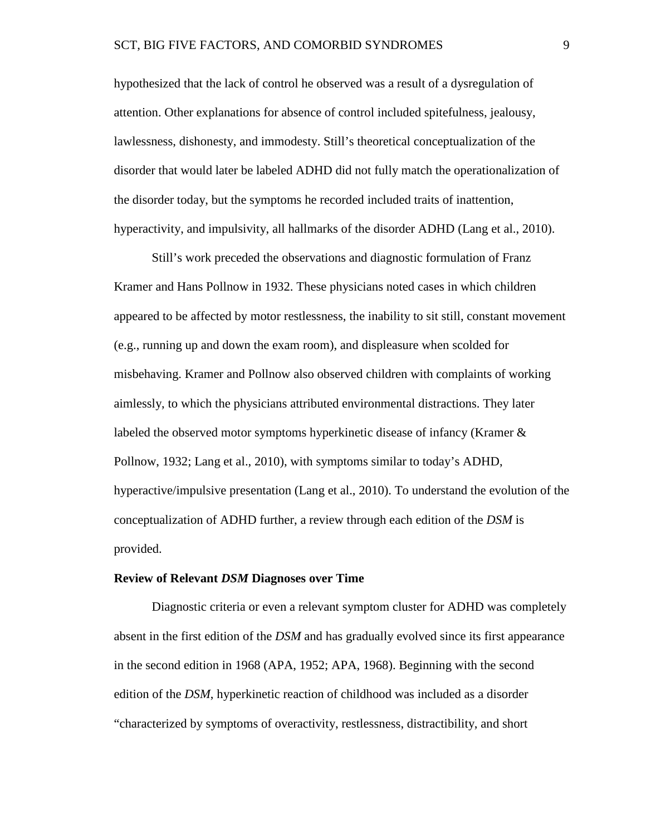hypothesized that the lack of control he observed was a result of a dysregulation of attention. Other explanations for absence of control included spitefulness, jealousy, lawlessness, dishonesty, and immodesty. Still's theoretical conceptualization of the disorder that would later be labeled ADHD did not fully match the operationalization of the disorder today, but the symptoms he recorded included traits of inattention, hyperactivity, and impulsivity, all hallmarks of the disorder ADHD (Lang et al., 2010).

Still's work preceded the observations and diagnostic formulation of Franz Kramer and Hans Pollnow in 1932. These physicians noted cases in which children appeared to be affected by motor restlessness, the inability to sit still, constant movement (e.g., running up and down the exam room), and displeasure when scolded for misbehaving. Kramer and Pollnow also observed children with complaints of working aimlessly, to which the physicians attributed environmental distractions. They later labeled the observed motor symptoms hyperkinetic disease of infancy (Kramer & Pollnow, 1932; Lang et al., 2010), with symptoms similar to today's ADHD, hyperactive/impulsive presentation (Lang et al., 2010). To understand the evolution of the conceptualization of ADHD further, a review through each edition of the *DSM* is provided.

#### **Review of Relevant** *DSM* **Diagnoses over Time**

Diagnostic criteria or even a relevant symptom cluster for ADHD was completely absent in the first edition of the *DSM* and has gradually evolved since its first appearance in the second edition in 1968 (APA, 1952; APA, 1968). Beginning with the second edition of the *DSM*, hyperkinetic reaction of childhood was included as a disorder "characterized by symptoms of overactivity, restlessness, distractibility, and short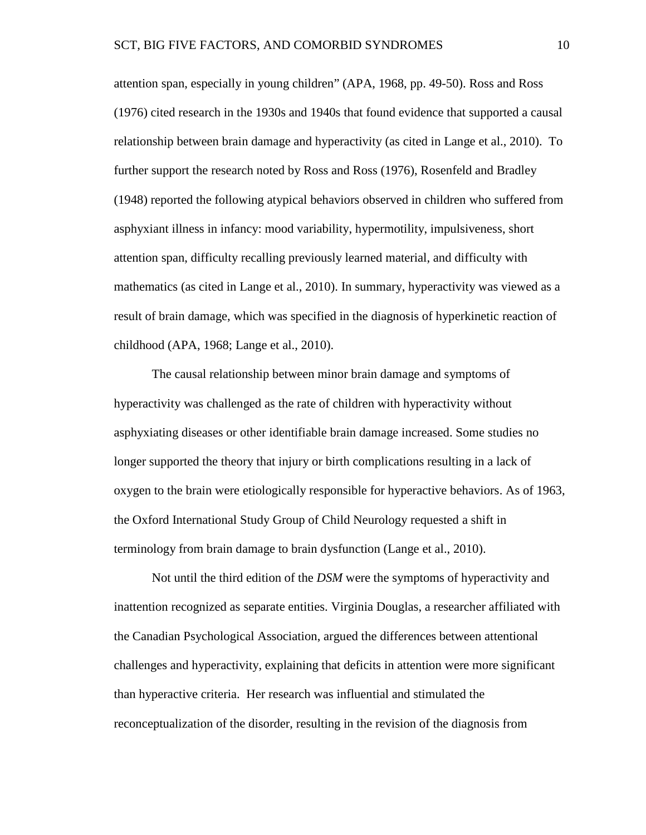attention span, especially in young children" (APA, 1968, pp. 49-50). Ross and Ross (1976) cited research in the 1930s and 1940s that found evidence that supported a causal relationship between brain damage and hyperactivity (as cited in Lange et al., 2010). To further support the research noted by Ross and Ross (1976), Rosenfeld and Bradley (1948) reported the following atypical behaviors observed in children who suffered from asphyxiant illness in infancy: mood variability, hypermotility, impulsiveness, short attention span, difficulty recalling previously learned material, and difficulty with mathematics (as cited in Lange et al., 2010). In summary, hyperactivity was viewed as a result of brain damage, which was specified in the diagnosis of hyperkinetic reaction of childhood (APA, 1968; Lange et al., 2010).

The causal relationship between minor brain damage and symptoms of hyperactivity was challenged as the rate of children with hyperactivity without asphyxiating diseases or other identifiable brain damage increased. Some studies no longer supported the theory that injury or birth complications resulting in a lack of oxygen to the brain were etiologically responsible for hyperactive behaviors. As of 1963, the Oxford International Study Group of Child Neurology requested a shift in terminology from brain damage to brain dysfunction (Lange et al., 2010).

Not until the third edition of the *DSM* were the symptoms of hyperactivity and inattention recognized as separate entities. Virginia Douglas, a researcher affiliated with the Canadian Psychological Association, argued the differences between attentional challenges and hyperactivity, explaining that deficits in attention were more significant than hyperactive criteria. Her research was influential and stimulated the reconceptualization of the disorder, resulting in the revision of the diagnosis from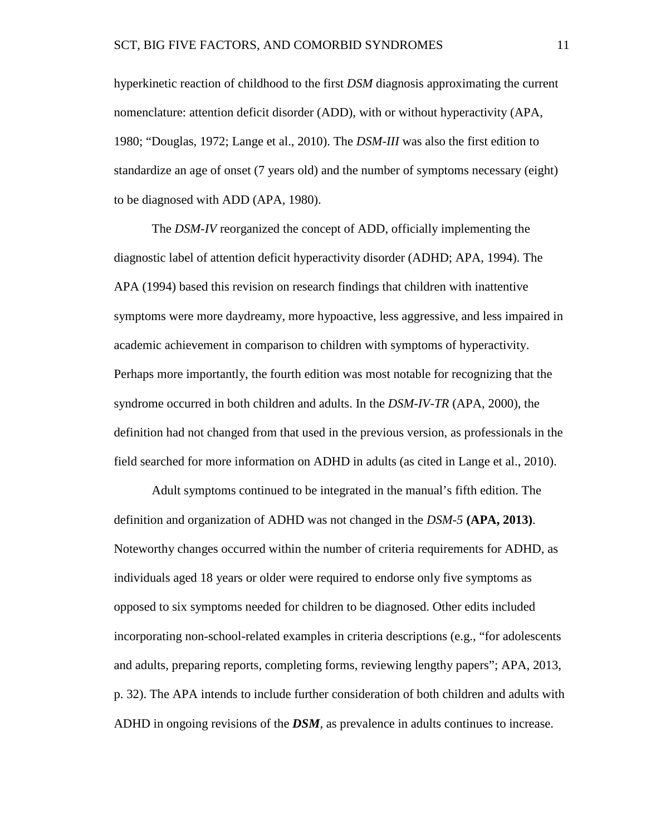hyperkinetic reaction of childhood to the first *DSM* diagnosis approximating the current nomenclature: attention deficit disorder (ADD), with or without hyperactivity (APA, 1980; "Douglas, 1972; Lange et al., 2010). The *DSM-III* was also the first edition to standardize an age of onset (7 years old) and the number of symptoms necessary (eight) to be diagnosed with ADD (APA, 1980).

The *DSM-IV* reorganized the concept of ADD, officially implementing the diagnostic label of attention deficit hyperactivity disorder (ADHD; APA, 1994). The APA (1994) based this revision on research findings that children with inattentive symptoms were more daydreamy, more hypoactive, less aggressive, and less impaired in academic achievement in comparison to children with symptoms of hyperactivity. Perhaps more importantly, the fourth edition was most notable for recognizing that the syndrome occurred in both children and adults. In the *DSM-IV-TR* (APA, 2000), the definition had not changed from that used in the previous version, as professionals in the field searched for more information on ADHD in adults (as cited in Lange et al., 2010).

Adult symptoms continued to be integrated in the manual's fifth edition. The definition and organization of ADHD was not changed in the *DSM-5* **(APA, 2013)**. Noteworthy changes occurred within the number of criteria requirements for ADHD, as individuals aged 18 years or older were required to endorse only five symptoms as opposed to six symptoms needed for children to be diagnosed. Other edits included incorporating non-school-related examples in criteria descriptions (e.g., "for adolescents and adults, preparing reports, completing forms, reviewing lengthy papers"; APA, 2013, p. 32). The APA intends to include further consideration of both children and adults with ADHD in ongoing revisions of the *DSM,* as prevalence in adults continues to increase.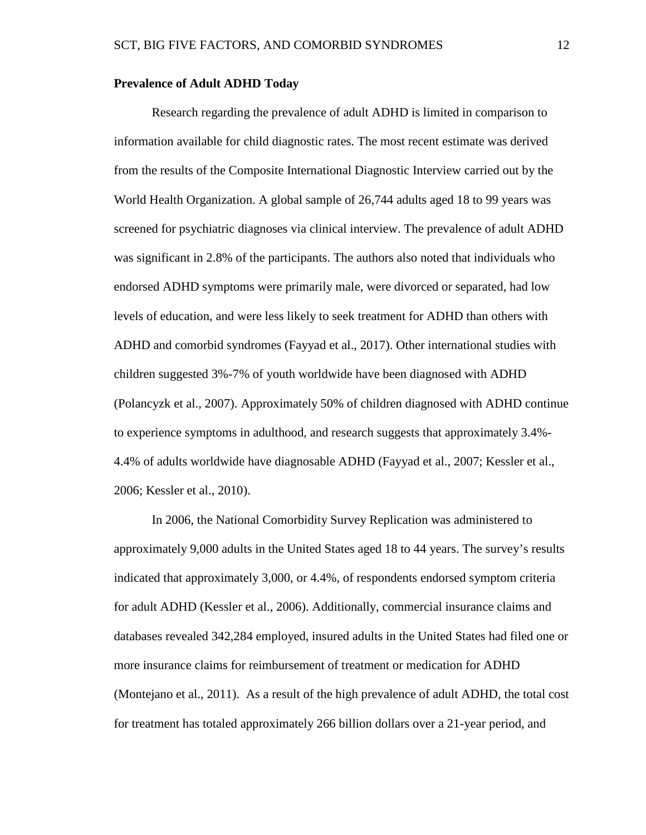### **Prevalence of Adult ADHD Today**

Research regarding the prevalence of adult ADHD is limited in comparison to information available for child diagnostic rates. The most recent estimate was derived from the results of the Composite International Diagnostic Interview carried out by the World Health Organization. A global sample of 26,744 adults aged 18 to 99 years was screened for psychiatric diagnoses via clinical interview. The prevalence of adult ADHD was significant in 2.8% of the participants. The authors also noted that individuals who endorsed ADHD symptoms were primarily male, were divorced or separated, had low levels of education, and were less likely to seek treatment for ADHD than others with ADHD and comorbid syndromes (Fayyad et al., 2017). Other international studies with children suggested 3%-7% of youth worldwide have been diagnosed with ADHD (Polancyzk et al., 2007). Approximately 50% of children diagnosed with ADHD continue to experience symptoms in adulthood, and research suggests that approximately 3.4%- 4.4% of adults worldwide have diagnosable ADHD (Fayyad et al., 2007; Kessler et al., 2006; Kessler et al., 2010).

In 2006, the National Comorbidity Survey Replication was administered to approximately 9,000 adults in the United States aged 18 to 44 years. The survey's results indicated that approximately 3,000, or 4.4%, of respondents endorsed symptom criteria for adult ADHD (Kessler et al., 2006). Additionally, commercial insurance claims and databases revealed 342,284 employed, insured adults in the United States had filed one or more insurance claims for reimbursement of treatment or medication for ADHD (Montejano et al., 2011). As a result of the high prevalence of adult ADHD, the total cost for treatment has totaled approximately 266 billion dollars over a 21-year period, and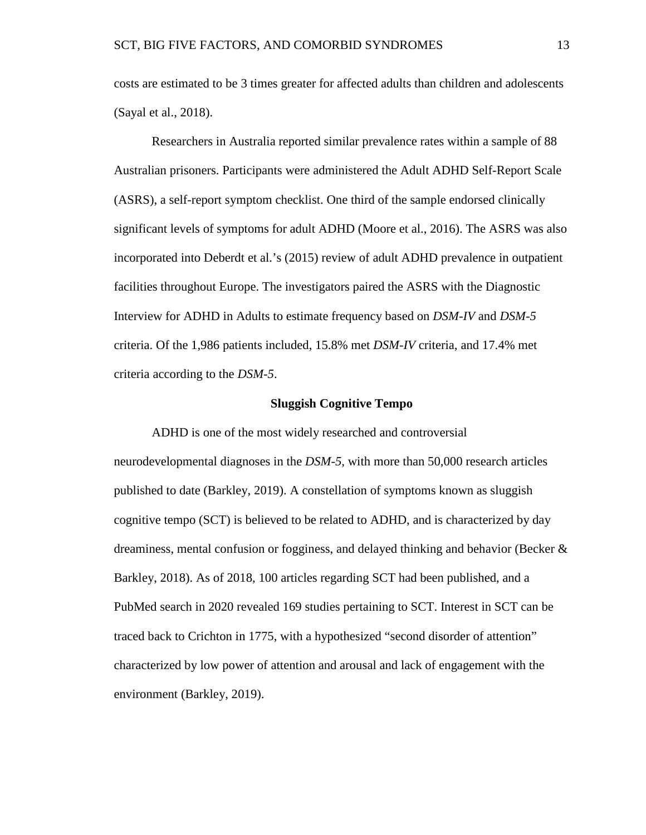costs are estimated to be 3 times greater for affected adults than children and adolescents (Sayal et al., 2018).

Researchers in Australia reported similar prevalence rates within a sample of 88 Australian prisoners. Participants were administered the Adult ADHD Self-Report Scale (ASRS), a self-report symptom checklist. One third of the sample endorsed clinically significant levels of symptoms for adult ADHD (Moore et al., 2016). The ASRS was also incorporated into Deberdt et al.'s (2015) review of adult ADHD prevalence in outpatient facilities throughout Europe. The investigators paired the ASRS with the Diagnostic Interview for ADHD in Adults to estimate frequency based on *DSM-IV* and *DSM-5* criteria. Of the 1,986 patients included, 15.8% met *DSM-IV* criteria, and 17.4% met criteria according to the *DSM-5*.

### **Sluggish Cognitive Tempo**

ADHD is one of the most widely researched and controversial neurodevelopmental diagnoses in the *DSM-5*, with more than 50,000 research articles published to date (Barkley, 2019). A constellation of symptoms known as sluggish cognitive tempo (SCT) is believed to be related to ADHD, and is characterized by day dreaminess, mental confusion or fogginess, and delayed thinking and behavior (Becker & Barkley, 2018). As of 2018, 100 articles regarding SCT had been published, and a PubMed search in 2020 revealed 169 studies pertaining to SCT. Interest in SCT can be traced back to Crichton in 1775, with a hypothesized "second disorder of attention" characterized by low power of attention and arousal and lack of engagement with the environment (Barkley, 2019).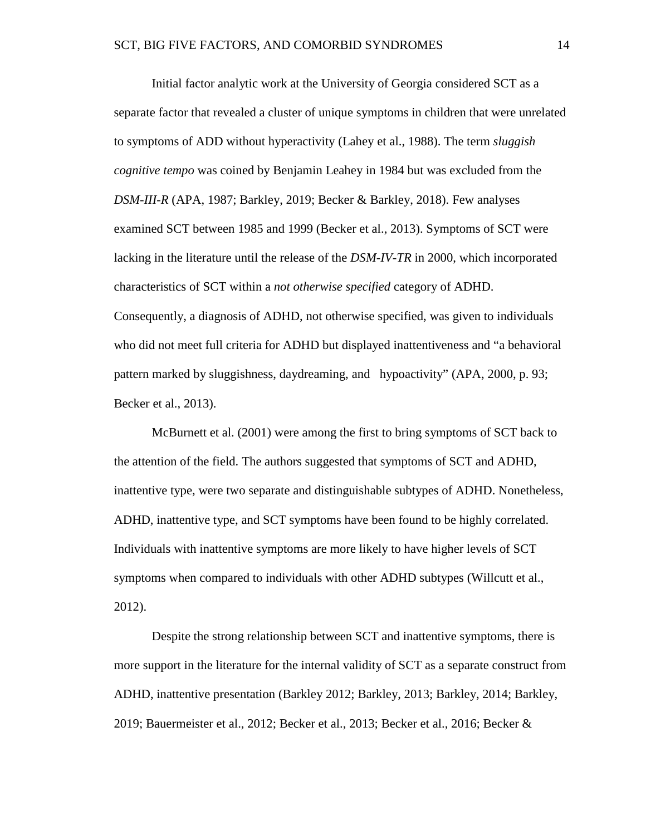Initial factor analytic work at the University of Georgia considered SCT as a separate factor that revealed a cluster of unique symptoms in children that were unrelated to symptoms of ADD without hyperactivity (Lahey et al., 1988). The term *sluggish cognitive tempo* was coined by Benjamin Leahey in 1984 but was excluded from the *DSM-III-R* (APA, 1987; Barkley, 2019; Becker & Barkley, 2018). Few analyses examined SCT between 1985 and 1999 (Becker et al., 2013). Symptoms of SCT were lacking in the literature until the release of the *DSM-IV-TR* in 2000, which incorporated characteristics of SCT within a *not otherwise specified* category of ADHD. Consequently, a diagnosis of ADHD, not otherwise specified, was given to individuals who did not meet full criteria for ADHD but displayed inattentiveness and "a behavioral pattern marked by sluggishness, daydreaming, and hypoactivity" (APA, 2000, p. 93; Becker et al., 2013).

McBurnett et al. (2001) were among the first to bring symptoms of SCT back to the attention of the field. The authors suggested that symptoms of SCT and ADHD, inattentive type, were two separate and distinguishable subtypes of ADHD. Nonetheless, ADHD, inattentive type, and SCT symptoms have been found to be highly correlated. Individuals with inattentive symptoms are more likely to have higher levels of SCT symptoms when compared to individuals with other ADHD subtypes (Willcutt et al., 2012).

Despite the strong relationship between SCT and inattentive symptoms, there is more support in the literature for the internal validity of SCT as a separate construct from ADHD, inattentive presentation (Barkley 2012; Barkley, 2013; Barkley, 2014; Barkley, 2019; Bauermeister et al., 2012; Becker et al., 2013; Becker et al., 2016; Becker &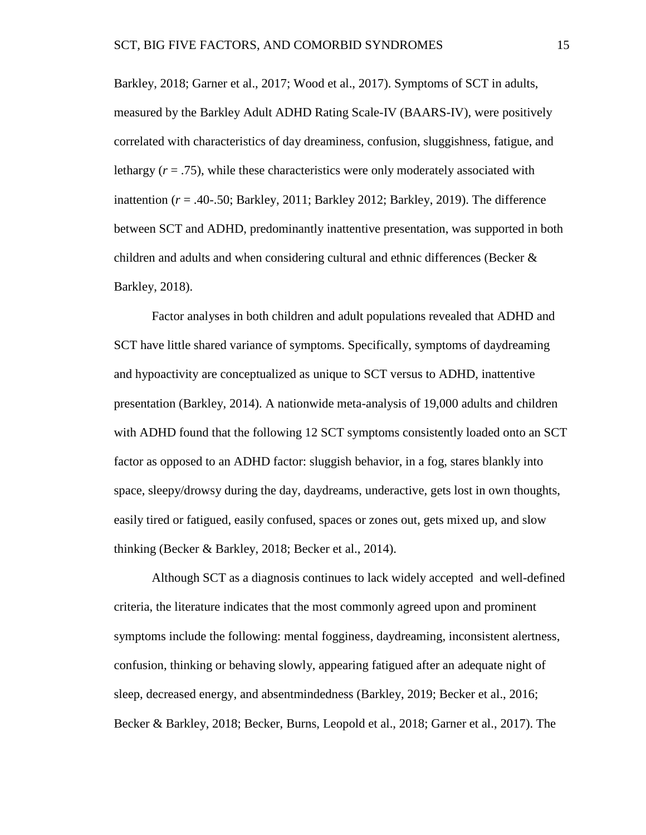Barkley, 2018; Garner et al., 2017; Wood et al., 2017). Symptoms of SCT in adults, measured by the Barkley Adult ADHD Rating Scale-IV (BAARS-IV), were positively correlated with characteristics of day dreaminess, confusion, sluggishness, fatigue, and lethargy  $(r = .75)$ , while these characteristics were only moderately associated with inattention (*r* = .40-.50; Barkley, 2011; Barkley 2012; Barkley, 2019). The difference between SCT and ADHD, predominantly inattentive presentation, was supported in both children and adults and when considering cultural and ethnic differences (Becker & Barkley, 2018).

Factor analyses in both children and adult populations revealed that ADHD and SCT have little shared variance of symptoms. Specifically, symptoms of daydreaming and hypoactivity are conceptualized as unique to SCT versus to ADHD, inattentive presentation (Barkley, 2014). A nationwide meta-analysis of 19,000 adults and children with ADHD found that the following 12 SCT symptoms consistently loaded onto an SCT factor as opposed to an ADHD factor: sluggish behavior, in a fog, stares blankly into space, sleepy/drowsy during the day, daydreams, underactive, gets lost in own thoughts, easily tired or fatigued, easily confused, spaces or zones out, gets mixed up, and slow thinking (Becker & Barkley, 2018; Becker et al., 2014).

Although SCT as a diagnosis continues to lack widely accepted and well-defined criteria, the literature indicates that the most commonly agreed upon and prominent symptoms include the following: mental fogginess, daydreaming, inconsistent alertness, confusion, thinking or behaving slowly, appearing fatigued after an adequate night of sleep, decreased energy, and absentmindedness (Barkley, 2019; Becker et al., 2016; Becker & Barkley, 2018; Becker, Burns, Leopold et al., 2018; Garner et al., 2017). The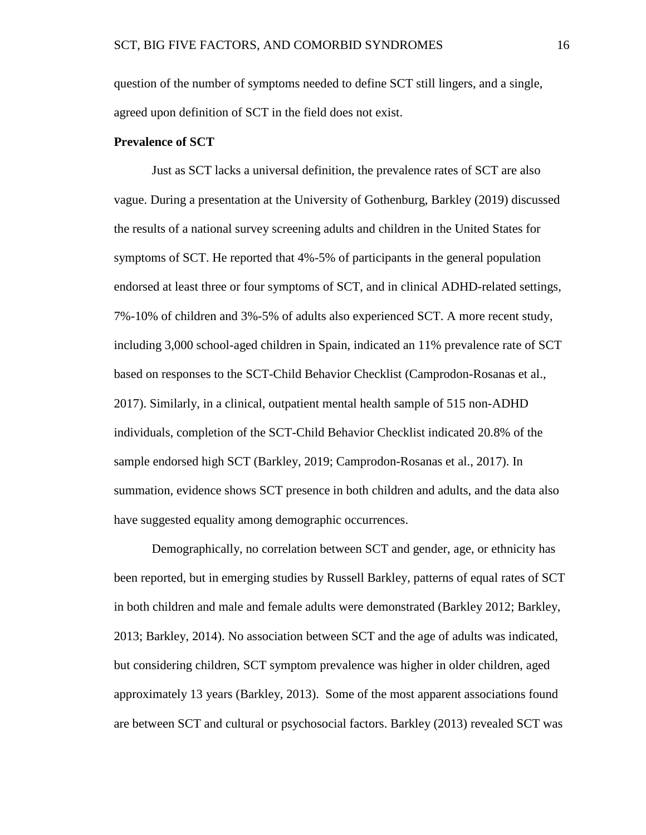question of the number of symptoms needed to define SCT still lingers, and a single, agreed upon definition of SCT in the field does not exist.

### **Prevalence of SCT**

Just as SCT lacks a universal definition, the prevalence rates of SCT are also vague. During a presentation at the University of Gothenburg, Barkley (2019) discussed the results of a national survey screening adults and children in the United States for symptoms of SCT. He reported that 4%-5% of participants in the general population endorsed at least three or four symptoms of SCT, and in clinical ADHD-related settings, 7%-10% of children and 3%-5% of adults also experienced SCT. A more recent study, including 3,000 school-aged children in Spain, indicated an 11% prevalence rate of SCT based on responses to the SCT-Child Behavior Checklist (Camprodon-Rosanas et al., 2017). Similarly, in a clinical, outpatient mental health sample of 515 non-ADHD individuals, completion of the SCT-Child Behavior Checklist indicated 20.8% of the sample endorsed high SCT (Barkley, 2019; Camprodon-Rosanas et al., 2017). In summation, evidence shows SCT presence in both children and adults, and the data also have suggested equality among demographic occurrences.

Demographically, no correlation between SCT and gender, age, or ethnicity has been reported, but in emerging studies by Russell Barkley, patterns of equal rates of SCT in both children and male and female adults were demonstrated (Barkley 2012; Barkley, 2013; Barkley, 2014). No association between SCT and the age of adults was indicated, but considering children, SCT symptom prevalence was higher in older children, aged approximately 13 years (Barkley, 2013). Some of the most apparent associations found are between SCT and cultural or psychosocial factors. Barkley (2013) revealed SCT was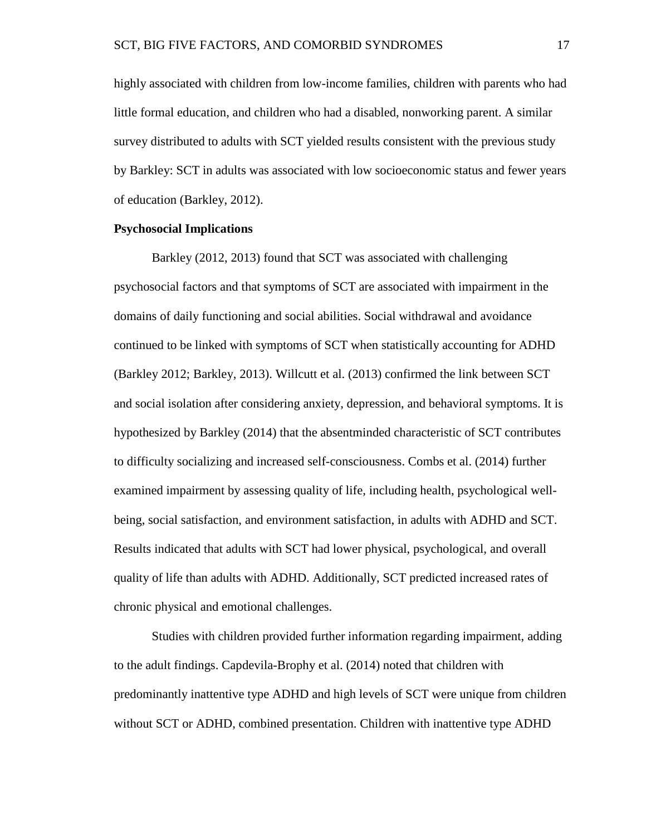highly associated with children from low-income families, children with parents who had little formal education, and children who had a disabled, nonworking parent. A similar survey distributed to adults with SCT yielded results consistent with the previous study by Barkley: SCT in adults was associated with low socioeconomic status and fewer years of education (Barkley, 2012).

### **Psychosocial Implications**

Barkley (2012, 2013) found that SCT was associated with challenging psychosocial factors and that symptoms of SCT are associated with impairment in the domains of daily functioning and social abilities. Social withdrawal and avoidance continued to be linked with symptoms of SCT when statistically accounting for ADHD (Barkley 2012; Barkley, 2013). Willcutt et al. (2013) confirmed the link between SCT and social isolation after considering anxiety, depression, and behavioral symptoms. It is hypothesized by Barkley (2014) that the absentminded characteristic of SCT contributes to difficulty socializing and increased self-consciousness. Combs et al. (2014) further examined impairment by assessing quality of life, including health, psychological wellbeing, social satisfaction, and environment satisfaction, in adults with ADHD and SCT. Results indicated that adults with SCT had lower physical, psychological, and overall quality of life than adults with ADHD. Additionally, SCT predicted increased rates of chronic physical and emotional challenges.

Studies with children provided further information regarding impairment, adding to the adult findings. Capdevila-Brophy et al. (2014) noted that children with predominantly inattentive type ADHD and high levels of SCT were unique from children without SCT or ADHD, combined presentation. Children with inattentive type ADHD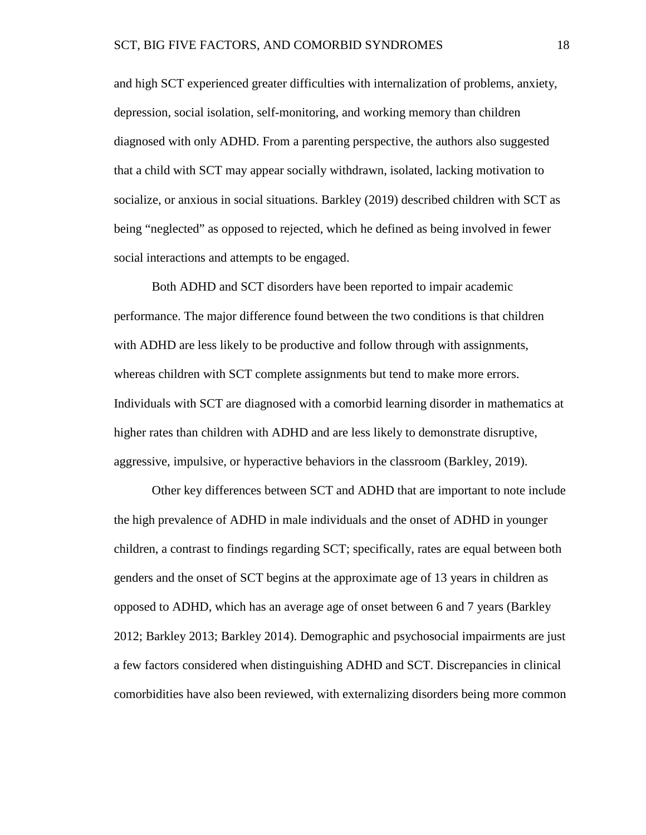and high SCT experienced greater difficulties with internalization of problems, anxiety, depression, social isolation, self-monitoring, and working memory than children diagnosed with only ADHD. From a parenting perspective, the authors also suggested that a child with SCT may appear socially withdrawn, isolated, lacking motivation to socialize, or anxious in social situations. Barkley (2019) described children with SCT as being "neglected" as opposed to rejected, which he defined as being involved in fewer social interactions and attempts to be engaged.

Both ADHD and SCT disorders have been reported to impair academic performance. The major difference found between the two conditions is that children with ADHD are less likely to be productive and follow through with assignments, whereas children with SCT complete assignments but tend to make more errors. Individuals with SCT are diagnosed with a comorbid learning disorder in mathematics at higher rates than children with ADHD and are less likely to demonstrate disruptive, aggressive, impulsive, or hyperactive behaviors in the classroom (Barkley, 2019).

Other key differences between SCT and ADHD that are important to note include the high prevalence of ADHD in male individuals and the onset of ADHD in younger children, a contrast to findings regarding SCT; specifically, rates are equal between both genders and the onset of SCT begins at the approximate age of 13 years in children as opposed to ADHD, which has an average age of onset between 6 and 7 years (Barkley 2012; Barkley 2013; Barkley 2014). Demographic and psychosocial impairments are just a few factors considered when distinguishing ADHD and SCT. Discrepancies in clinical comorbidities have also been reviewed, with externalizing disorders being more common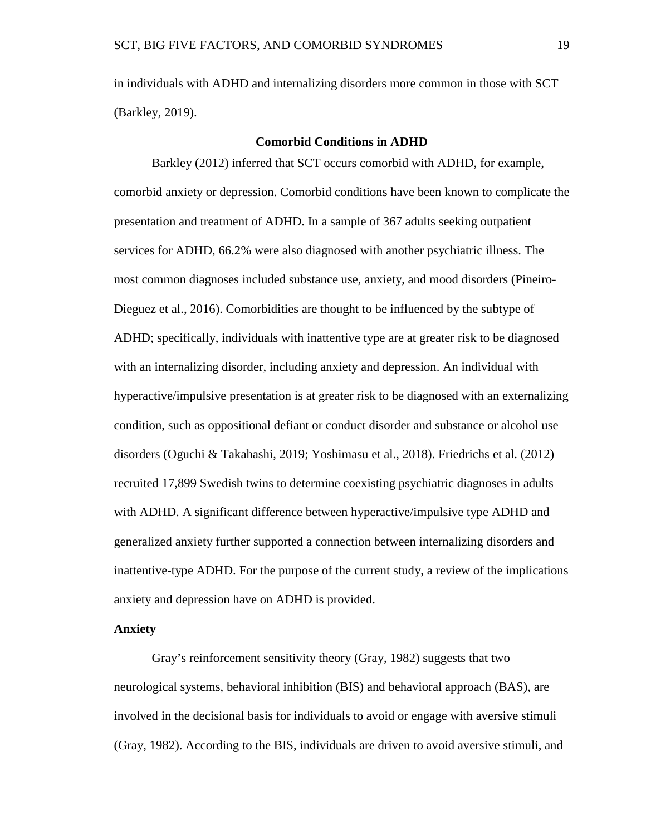in individuals with ADHD and internalizing disorders more common in those with SCT (Barkley, 2019).

### **Comorbid Conditions in ADHD**

Barkley (2012) inferred that SCT occurs comorbid with ADHD, for example, comorbid anxiety or depression. Comorbid conditions have been known to complicate the presentation and treatment of ADHD. In a sample of 367 adults seeking outpatient services for ADHD, 66.2% were also diagnosed with another psychiatric illness. The most common diagnoses included substance use, anxiety, and mood disorders (Pineiro-Dieguez et al., 2016). Comorbidities are thought to be influenced by the subtype of ADHD; specifically, individuals with inattentive type are at greater risk to be diagnosed with an internalizing disorder, including anxiety and depression. An individual with hyperactive/impulsive presentation is at greater risk to be diagnosed with an externalizing condition, such as oppositional defiant or conduct disorder and substance or alcohol use disorders (Oguchi & Takahashi, 2019; Yoshimasu et al., 2018). Friedrichs et al. (2012) recruited 17,899 Swedish twins to determine coexisting psychiatric diagnoses in adults with ADHD. A significant difference between hyperactive/impulsive type ADHD and generalized anxiety further supported a connection between internalizing disorders and inattentive-type ADHD. For the purpose of the current study, a review of the implications anxiety and depression have on ADHD is provided.

### **Anxiety**

Gray's reinforcement sensitivity theory (Gray, 1982) suggests that two neurological systems, behavioral inhibition (BIS) and behavioral approach (BAS), are involved in the decisional basis for individuals to avoid or engage with aversive stimuli (Gray, 1982). According to the BIS, individuals are driven to avoid aversive stimuli, and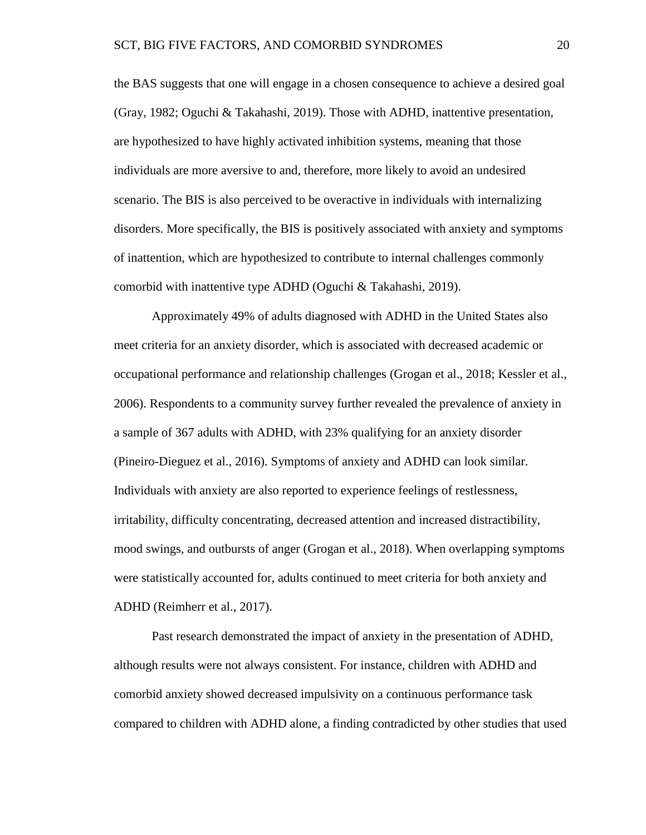the BAS suggests that one will engage in a chosen consequence to achieve a desired goal (Gray, 1982; Oguchi & Takahashi, 2019). Those with ADHD, inattentive presentation, are hypothesized to have highly activated inhibition systems, meaning that those individuals are more aversive to and, therefore, more likely to avoid an undesired scenario. The BIS is also perceived to be overactive in individuals with internalizing disorders. More specifically, the BIS is positively associated with anxiety and symptoms of inattention, which are hypothesized to contribute to internal challenges commonly comorbid with inattentive type ADHD (Oguchi & Takahashi, 2019).

Approximately 49% of adults diagnosed with ADHD in the United States also meet criteria for an anxiety disorder, which is associated with decreased academic or occupational performance and relationship challenges (Grogan et al., 2018; Kessler et al., 2006). Respondents to a community survey further revealed the prevalence of anxiety in a sample of 367 adults with ADHD, with 23% qualifying for an anxiety disorder (Pineiro-Dieguez et al., 2016). Symptoms of anxiety and ADHD can look similar. Individuals with anxiety are also reported to experience feelings of restlessness, irritability, difficulty concentrating, decreased attention and increased distractibility, mood swings, and outbursts of anger (Grogan et al., 2018). When overlapping symptoms were statistically accounted for, adults continued to meet criteria for both anxiety and ADHD (Reimherr et al., 2017).

Past research demonstrated the impact of anxiety in the presentation of ADHD, although results were not always consistent. For instance, children with ADHD and comorbid anxiety showed decreased impulsivity on a continuous performance task compared to children with ADHD alone, a finding contradicted by other studies that used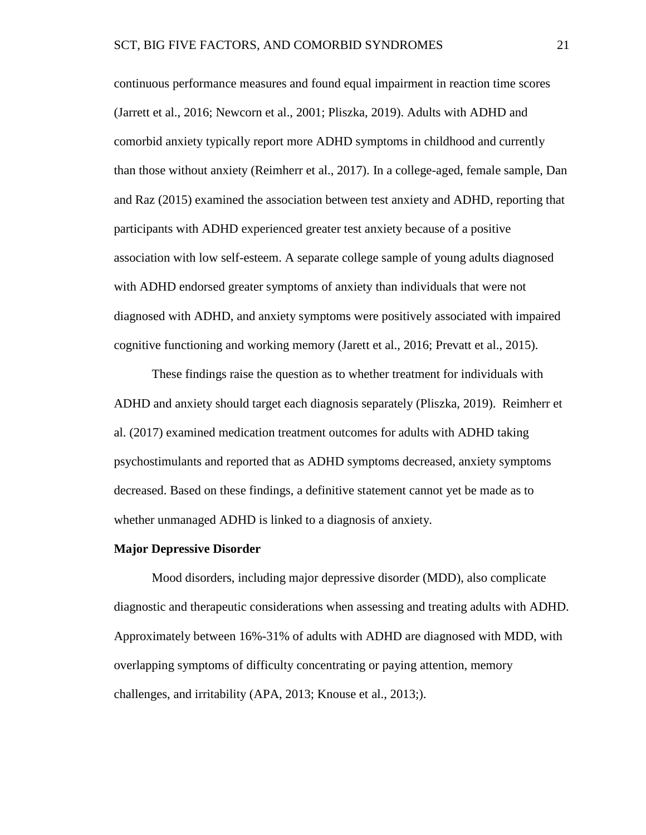continuous performance measures and found equal impairment in reaction time scores (Jarrett et al., 2016; Newcorn et al., 2001; Pliszka, 2019). Adults with ADHD and comorbid anxiety typically report more ADHD symptoms in childhood and currently than those without anxiety (Reimherr et al., 2017). In a college-aged, female sample, Dan and Raz (2015) examined the association between test anxiety and ADHD, reporting that participants with ADHD experienced greater test anxiety because of a positive association with low self-esteem. A separate college sample of young adults diagnosed with ADHD endorsed greater symptoms of anxiety than individuals that were not diagnosed with ADHD, and anxiety symptoms were positively associated with impaired cognitive functioning and working memory (Jarett et al., 2016; Prevatt et al., 2015).

These findings raise the question as to whether treatment for individuals with ADHD and anxiety should target each diagnosis separately (Pliszka, 2019). Reimherr et al. (2017) examined medication treatment outcomes for adults with ADHD taking psychostimulants and reported that as ADHD symptoms decreased, anxiety symptoms decreased. Based on these findings, a definitive statement cannot yet be made as to whether unmanaged ADHD is linked to a diagnosis of anxiety.

### **Major Depressive Disorder**

Mood disorders, including major depressive disorder (MDD), also complicate diagnostic and therapeutic considerations when assessing and treating adults with ADHD. Approximately between 16%-31% of adults with ADHD are diagnosed with MDD, with overlapping symptoms of difficulty concentrating or paying attention, memory challenges, and irritability (APA, 2013; Knouse et al., 2013;).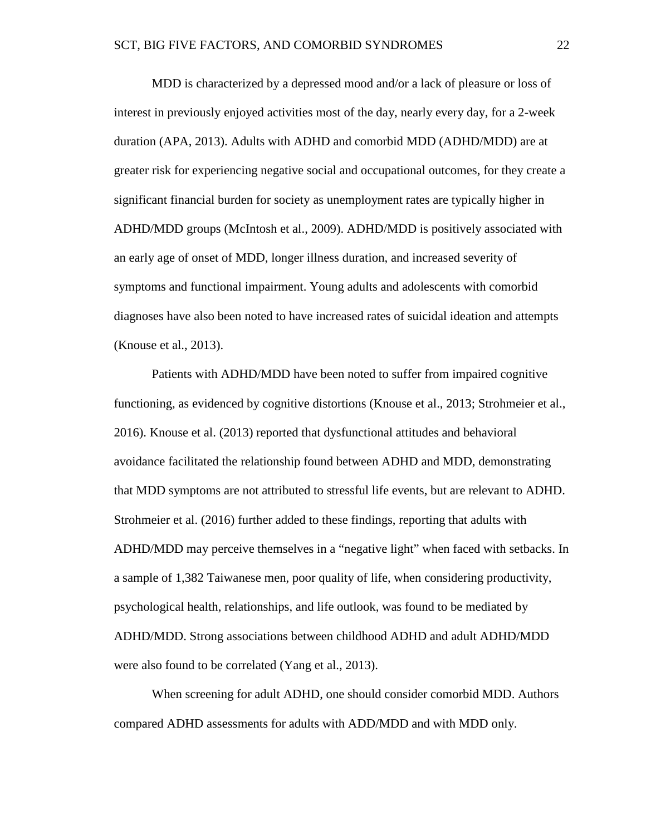MDD is characterized by a depressed mood and/or a lack of pleasure or loss of interest in previously enjoyed activities most of the day, nearly every day, for a 2-week duration (APA, 2013). Adults with ADHD and comorbid MDD (ADHD/MDD) are at greater risk for experiencing negative social and occupational outcomes, for they create a significant financial burden for society as unemployment rates are typically higher in ADHD/MDD groups (McIntosh et al., 2009). ADHD/MDD is positively associated with an early age of onset of MDD, longer illness duration, and increased severity of symptoms and functional impairment. Young adults and adolescents with comorbid diagnoses have also been noted to have increased rates of suicidal ideation and attempts (Knouse et al., 2013).

Patients with ADHD/MDD have been noted to suffer from impaired cognitive functioning, as evidenced by cognitive distortions (Knouse et al., 2013; Strohmeier et al., 2016). Knouse et al. (2013) reported that dysfunctional attitudes and behavioral avoidance facilitated the relationship found between ADHD and MDD, demonstrating that MDD symptoms are not attributed to stressful life events, but are relevant to ADHD. Strohmeier et al. (2016) further added to these findings, reporting that adults with ADHD/MDD may perceive themselves in a "negative light" when faced with setbacks. In a sample of 1,382 Taiwanese men, poor quality of life, when considering productivity, psychological health, relationships, and life outlook, was found to be mediated by ADHD/MDD. Strong associations between childhood ADHD and adult ADHD/MDD were also found to be correlated (Yang et al., 2013).

When screening for adult ADHD, one should consider comorbid MDD. Authors compared ADHD assessments for adults with ADD/MDD and with MDD only.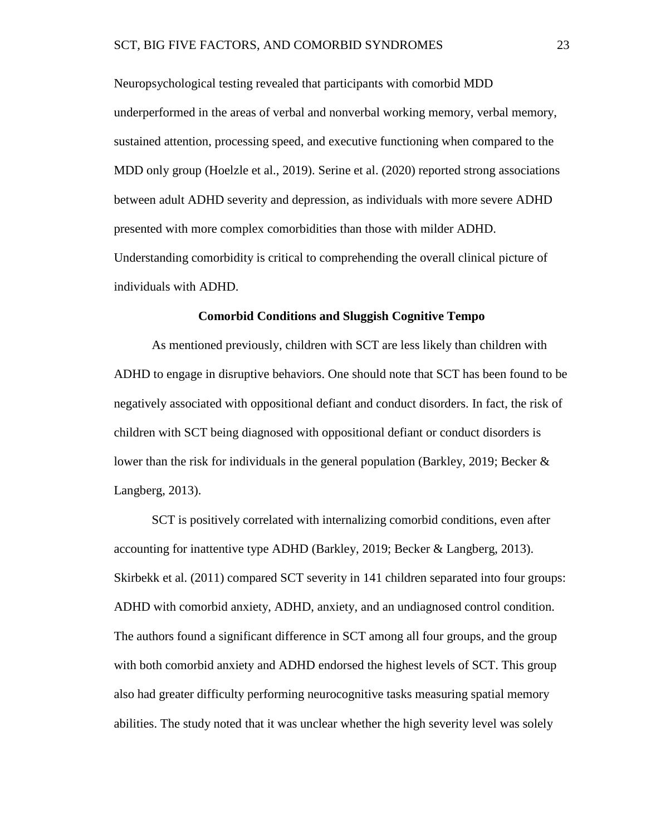Neuropsychological testing revealed that participants with comorbid MDD underperformed in the areas of verbal and nonverbal working memory, verbal memory, sustained attention, processing speed, and executive functioning when compared to the MDD only group (Hoelzle et al., 2019). Serine et al. (2020) reported strong associations between adult ADHD severity and depression, as individuals with more severe ADHD presented with more complex comorbidities than those with milder ADHD. Understanding comorbidity is critical to comprehending the overall clinical picture of individuals with ADHD.

### **Comorbid Conditions and Sluggish Cognitive Tempo**

As mentioned previously, children with SCT are less likely than children with ADHD to engage in disruptive behaviors. One should note that SCT has been found to be negatively associated with oppositional defiant and conduct disorders. In fact, the risk of children with SCT being diagnosed with oppositional defiant or conduct disorders is lower than the risk for individuals in the general population (Barkley, 2019; Becker  $\&$ Langberg, 2013).

SCT is positively correlated with internalizing comorbid conditions, even after accounting for inattentive type ADHD (Barkley, 2019; Becker & Langberg, 2013). Skirbekk et al. (2011) compared SCT severity in 141 children separated into four groups: ADHD with comorbid anxiety, ADHD, anxiety, and an undiagnosed control condition. The authors found a significant difference in SCT among all four groups, and the group with both comorbid anxiety and ADHD endorsed the highest levels of SCT. This group also had greater difficulty performing neurocognitive tasks measuring spatial memory abilities. The study noted that it was unclear whether the high severity level was solely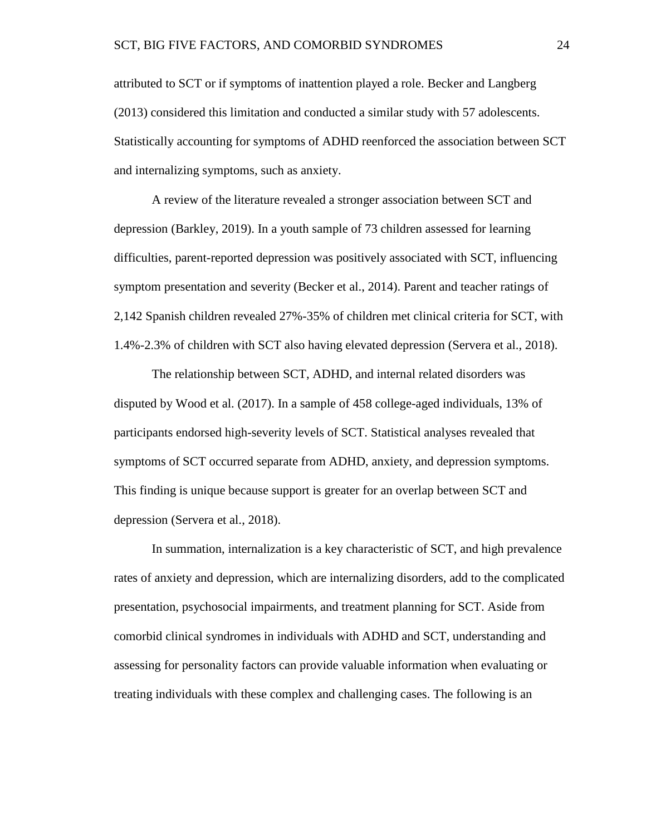attributed to SCT or if symptoms of inattention played a role. Becker and Langberg (2013) considered this limitation and conducted a similar study with 57 adolescents. Statistically accounting for symptoms of ADHD reenforced the association between SCT and internalizing symptoms, such as anxiety.

A review of the literature revealed a stronger association between SCT and depression (Barkley, 2019). In a youth sample of 73 children assessed for learning difficulties, parent-reported depression was positively associated with SCT, influencing symptom presentation and severity (Becker et al., 2014). Parent and teacher ratings of 2,142 Spanish children revealed 27%-35% of children met clinical criteria for SCT, with 1.4%-2.3% of children with SCT also having elevated depression (Servera et al., 2018).

The relationship between SCT, ADHD, and internal related disorders was disputed by Wood et al. (2017). In a sample of 458 college-aged individuals, 13% of participants endorsed high-severity levels of SCT. Statistical analyses revealed that symptoms of SCT occurred separate from ADHD, anxiety, and depression symptoms. This finding is unique because support is greater for an overlap between SCT and depression (Servera et al., 2018).

In summation, internalization is a key characteristic of SCT, and high prevalence rates of anxiety and depression, which are internalizing disorders, add to the complicated presentation, psychosocial impairments, and treatment planning for SCT. Aside from comorbid clinical syndromes in individuals with ADHD and SCT, understanding and assessing for personality factors can provide valuable information when evaluating or treating individuals with these complex and challenging cases. The following is an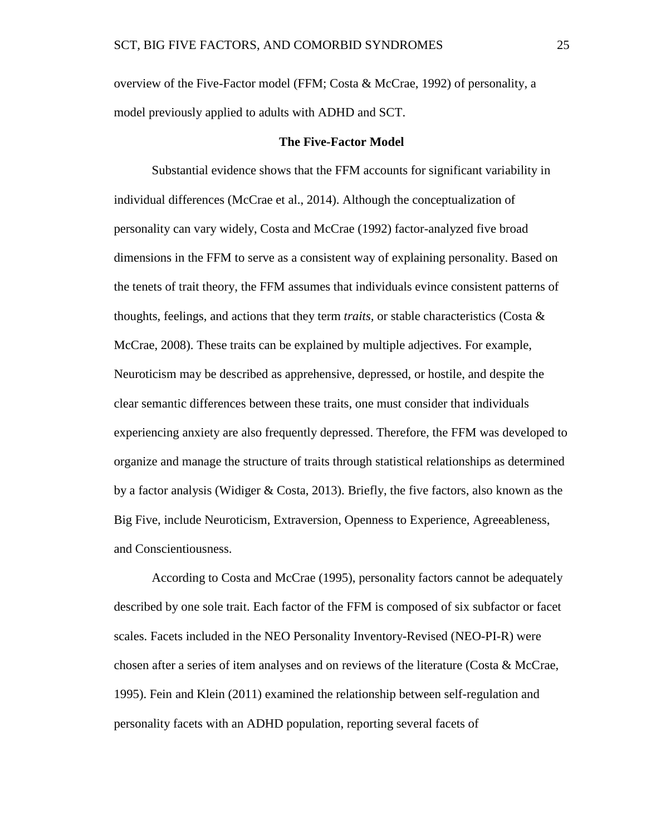overview of the Five-Factor model (FFM; Costa & McCrae, 1992) of personality, a model previously applied to adults with ADHD and SCT.

### **The Five-Factor Model**

Substantial evidence shows that the FFM accounts for significant variability in individual differences (McCrae et al., 2014). Although the conceptualization of personality can vary widely, Costa and McCrae (1992) factor-analyzed five broad dimensions in the FFM to serve as a consistent way of explaining personality. Based on the tenets of trait theory, the FFM assumes that individuals evince consistent patterns of thoughts, feelings, and actions that they term *traits,* or stable characteristics (Costa & McCrae, 2008). These traits can be explained by multiple adjectives. For example, Neuroticism may be described as apprehensive, depressed, or hostile, and despite the clear semantic differences between these traits, one must consider that individuals experiencing anxiety are also frequently depressed. Therefore, the FFM was developed to organize and manage the structure of traits through statistical relationships as determined by a factor analysis (Widiger & Costa, 2013). Briefly, the five factors, also known as the Big Five, include Neuroticism, Extraversion, Openness to Experience, Agreeableness, and Conscientiousness.

According to Costa and McCrae (1995), personality factors cannot be adequately described by one sole trait. Each factor of the FFM is composed of six subfactor or facet scales. Facets included in the NEO Personality Inventory-Revised (NEO-PI-R) were chosen after a series of item analyses and on reviews of the literature (Costa & McCrae, 1995). Fein and Klein (2011) examined the relationship between self-regulation and personality facets with an ADHD population, reporting several facets of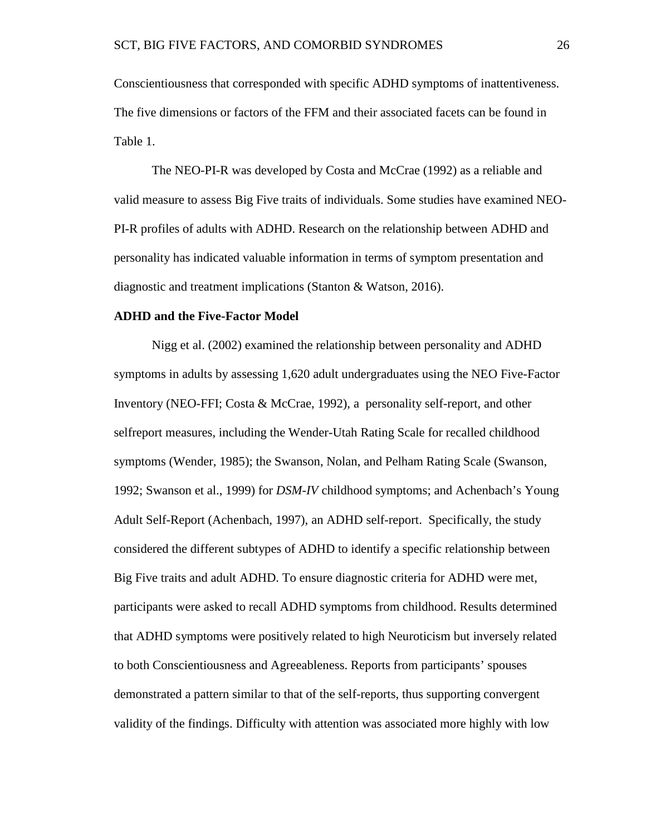Conscientiousness that corresponded with specific ADHD symptoms of inattentiveness. The five dimensions or factors of the FFM and their associated facets can be found in Table 1.

The NEO-PI-R was developed by Costa and McCrae (1992) as a reliable and valid measure to assess Big Five traits of individuals. Some studies have examined NEO-PI-R profiles of adults with ADHD. Research on the relationship between ADHD and personality has indicated valuable information in terms of symptom presentation and diagnostic and treatment implications (Stanton & Watson, 2016).

### **ADHD and the Five-Factor Model**

Nigg et al. (2002) examined the relationship between personality and ADHD symptoms in adults by assessing 1,620 adult undergraduates using the NEO Five-Factor Inventory (NEO-FFI; Costa & McCrae, 1992), a personality self-report, and other selfreport measures, including the Wender-Utah Rating Scale for recalled childhood symptoms (Wender, 1985); the Swanson, Nolan, and Pelham Rating Scale (Swanson, 1992; Swanson et al., 1999) for *DSM-IV* childhood symptoms; and Achenbach's Young Adult Self-Report (Achenbach, 1997), an ADHD self-report. Specifically, the study considered the different subtypes of ADHD to identify a specific relationship between Big Five traits and adult ADHD. To ensure diagnostic criteria for ADHD were met, participants were asked to recall ADHD symptoms from childhood. Results determined that ADHD symptoms were positively related to high Neuroticism but inversely related to both Conscientiousness and Agreeableness. Reports from participants' spouses demonstrated a pattern similar to that of the self-reports, thus supporting convergent validity of the findings. Difficulty with attention was associated more highly with low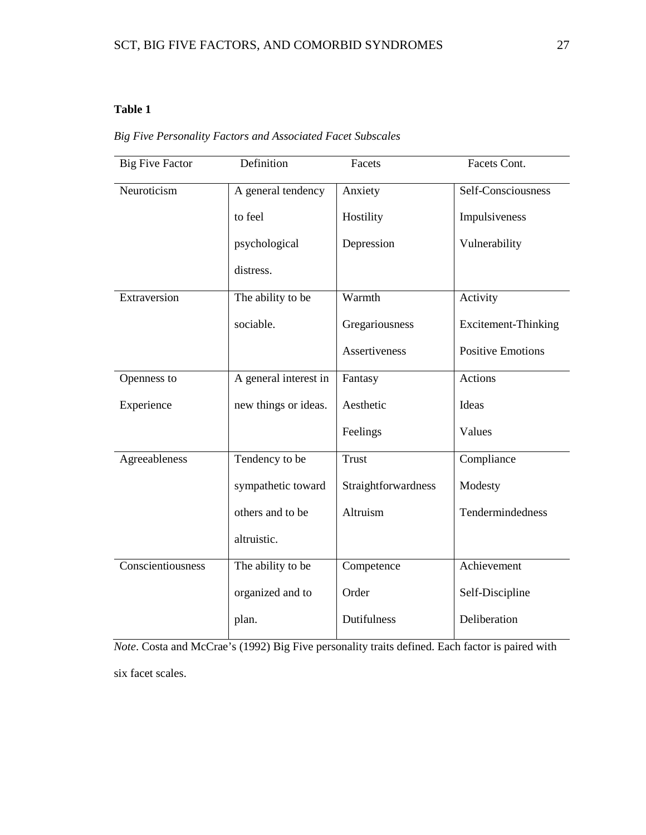### **Table 1**

|  |  | <b>Big Five Personality Factors and Associated Facet Subscales</b> |  |  |  |  |  |
|--|--|--------------------------------------------------------------------|--|--|--|--|--|
|--|--|--------------------------------------------------------------------|--|--|--|--|--|

| <b>Big Five Factor</b> | Definition            | Facets              | Facets Cont.               |
|------------------------|-----------------------|---------------------|----------------------------|
| Neuroticism            | A general tendency    | Anxiety             | Self-Consciousness         |
|                        | to feel               | Hostility           | Impulsiveness              |
|                        | psychological         | Depression          | Vulnerability              |
|                        | distress.             |                     |                            |
| Extraversion           | The ability to be     | Warmth              | Activity                   |
|                        | sociable.             | Gregariousness      | <b>Excitement-Thinking</b> |
|                        |                       | Assertiveness       | <b>Positive Emotions</b>   |
| Openness to            | A general interest in | Fantasy             | <b>Actions</b>             |
| Experience             | new things or ideas.  | Aesthetic           | Ideas                      |
|                        |                       | Feelings            | Values                     |
| Agreeableness          | Tendency to be        | <b>Trust</b>        | Compliance                 |
|                        | sympathetic toward    | Straightforwardness | Modesty                    |
|                        | others and to be      | Altruism            | Tendermindedness           |
|                        | altruistic.           |                     |                            |
| Conscientiousness      | The ability to be     | Competence          | Achievement                |
|                        | organized and to      | Order               | Self-Discipline            |
|                        | plan.                 | Dutifulness         | Deliberation               |

*Note*. Costa and McCrae's (1992) Big Five personality traits defined. Each factor is paired with six facet scales.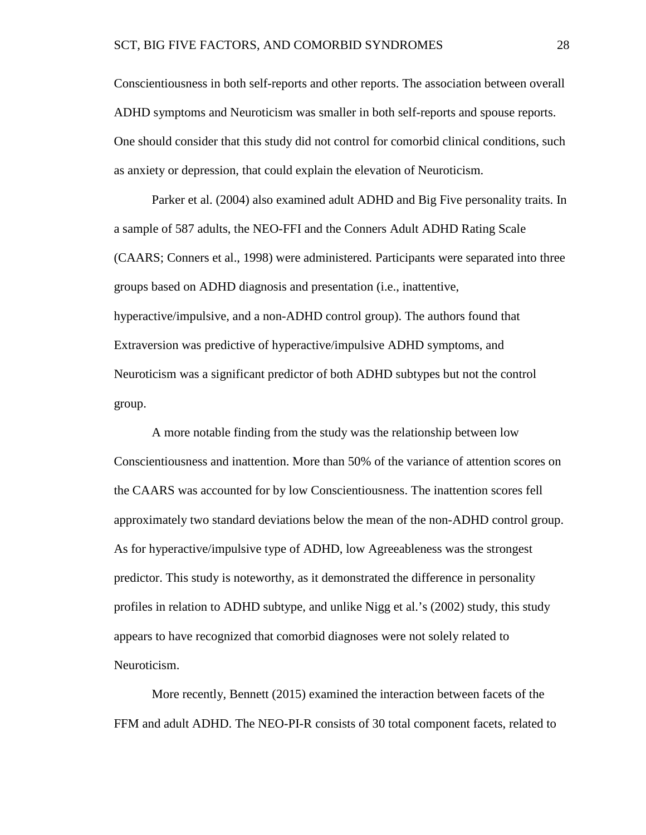Conscientiousness in both self-reports and other reports. The association between overall ADHD symptoms and Neuroticism was smaller in both self-reports and spouse reports. One should consider that this study did not control for comorbid clinical conditions, such as anxiety or depression, that could explain the elevation of Neuroticism.

Parker et al. (2004) also examined adult ADHD and Big Five personality traits. In a sample of 587 adults, the NEO-FFI and the Conners Adult ADHD Rating Scale (CAARS; Conners et al., 1998) were administered. Participants were separated into three groups based on ADHD diagnosis and presentation (i.e., inattentive, hyperactive/impulsive, and a non-ADHD control group). The authors found that Extraversion was predictive of hyperactive/impulsive ADHD symptoms, and Neuroticism was a significant predictor of both ADHD subtypes but not the control group.

A more notable finding from the study was the relationship between low Conscientiousness and inattention. More than 50% of the variance of attention scores on the CAARS was accounted for by low Conscientiousness. The inattention scores fell approximately two standard deviations below the mean of the non-ADHD control group. As for hyperactive/impulsive type of ADHD, low Agreeableness was the strongest predictor. This study is noteworthy, as it demonstrated the difference in personality profiles in relation to ADHD subtype, and unlike Nigg et al.'s (2002) study, this study appears to have recognized that comorbid diagnoses were not solely related to Neuroticism.

More recently, Bennett (2015) examined the interaction between facets of the FFM and adult ADHD. The NEO-PI-R consists of 30 total component facets, related to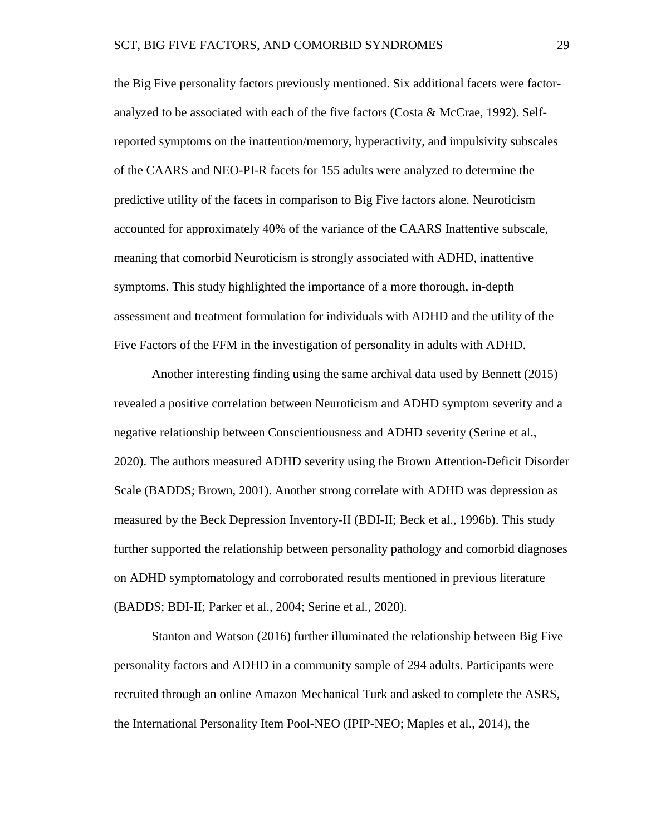the Big Five personality factors previously mentioned. Six additional facets were factoranalyzed to be associated with each of the five factors (Costa & McCrae, 1992). Selfreported symptoms on the inattention/memory, hyperactivity, and impulsivity subscales of the CAARS and NEO-PI-R facets for 155 adults were analyzed to determine the predictive utility of the facets in comparison to Big Five factors alone. Neuroticism accounted for approximately 40% of the variance of the CAARS Inattentive subscale, meaning that comorbid Neuroticism is strongly associated with ADHD, inattentive symptoms. This study highlighted the importance of a more thorough, in-depth assessment and treatment formulation for individuals with ADHD and the utility of the Five Factors of the FFM in the investigation of personality in adults with ADHD.

Another interesting finding using the same archival data used by Bennett (2015) revealed a positive correlation between Neuroticism and ADHD symptom severity and a negative relationship between Conscientiousness and ADHD severity (Serine et al., 2020). The authors measured ADHD severity using the Brown Attention-Deficit Disorder Scale (BADDS; Brown, 2001). Another strong correlate with ADHD was depression as measured by the Beck Depression Inventory-II (BDI-II; Beck et al., 1996b). This study further supported the relationship between personality pathology and comorbid diagnoses on ADHD symptomatology and corroborated results mentioned in previous literature (BADDS; BDI-II; Parker et al., 2004; Serine et al., 2020).

Stanton and Watson (2016) further illuminated the relationship between Big Five personality factors and ADHD in a community sample of 294 adults. Participants were recruited through an online Amazon Mechanical Turk and asked to complete the ASRS, the International Personality Item Pool-NEO (IPIP-NEO; Maples et al., 2014), the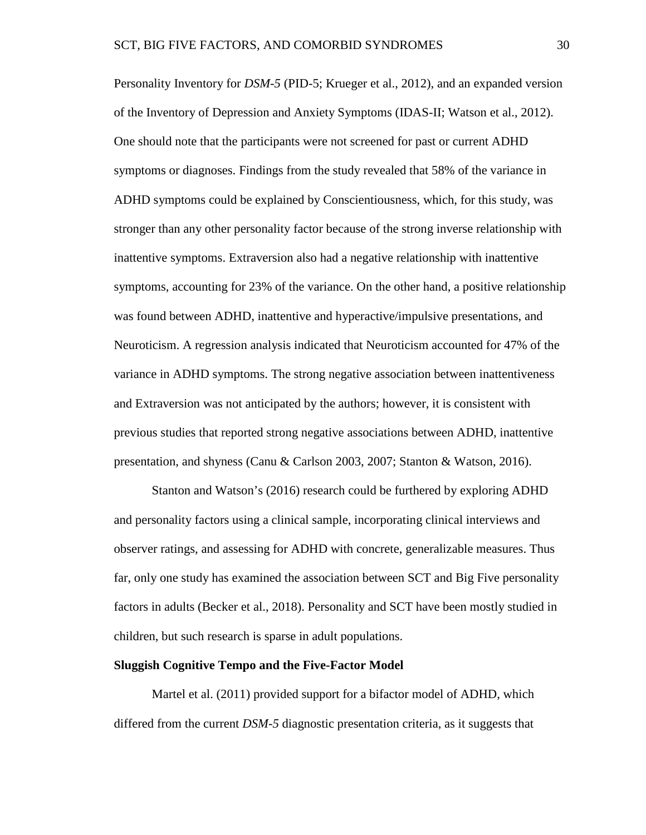Personality Inventory for *DSM-5* (PID-5; Krueger et al., 2012), and an expanded version of the Inventory of Depression and Anxiety Symptoms (IDAS-II; Watson et al., 2012). One should note that the participants were not screened for past or current ADHD symptoms or diagnoses. Findings from the study revealed that 58% of the variance in ADHD symptoms could be explained by Conscientiousness, which, for this study, was stronger than any other personality factor because of the strong inverse relationship with inattentive symptoms. Extraversion also had a negative relationship with inattentive symptoms, accounting for 23% of the variance. On the other hand, a positive relationship was found between ADHD, inattentive and hyperactive/impulsive presentations, and Neuroticism. A regression analysis indicated that Neuroticism accounted for 47% of the variance in ADHD symptoms. The strong negative association between inattentiveness and Extraversion was not anticipated by the authors; however, it is consistent with previous studies that reported strong negative associations between ADHD, inattentive presentation, and shyness (Canu & Carlson 2003, 2007; Stanton & Watson, 2016).

Stanton and Watson's (2016) research could be furthered by exploring ADHD and personality factors using a clinical sample, incorporating clinical interviews and observer ratings, and assessing for ADHD with concrete, generalizable measures. Thus far, only one study has examined the association between SCT and Big Five personality factors in adults (Becker et al., 2018). Personality and SCT have been mostly studied in children, but such research is sparse in adult populations.

#### **Sluggish Cognitive Tempo and the Five-Factor Model**

Martel et al. (2011) provided support for a bifactor model of ADHD, which differed from the current *DSM-5* diagnostic presentation criteria, as it suggests that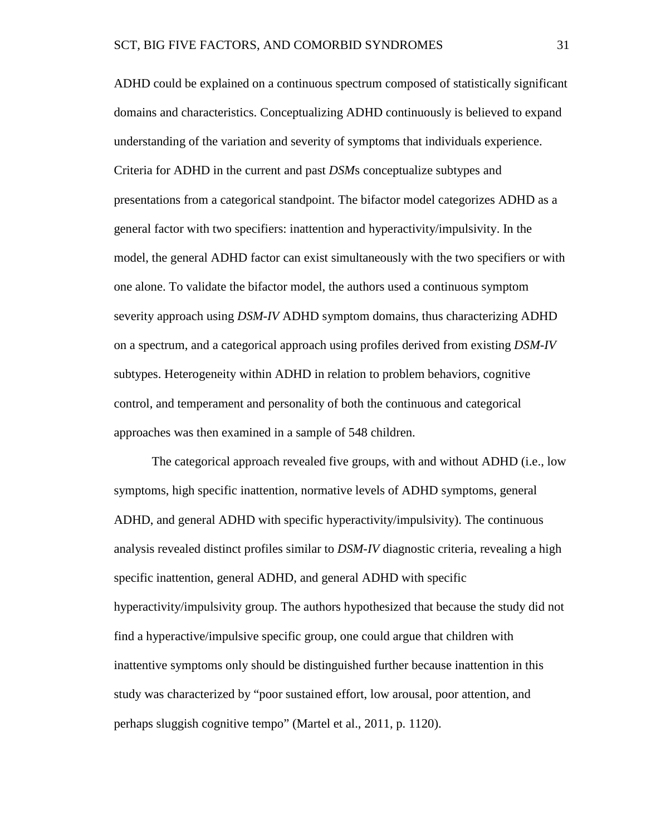ADHD could be explained on a continuous spectrum composed of statistically significant domains and characteristics. Conceptualizing ADHD continuously is believed to expand understanding of the variation and severity of symptoms that individuals experience. Criteria for ADHD in the current and past *DSM*s conceptualize subtypes and presentations from a categorical standpoint. The bifactor model categorizes ADHD as a general factor with two specifiers: inattention and hyperactivity/impulsivity. In the model, the general ADHD factor can exist simultaneously with the two specifiers or with one alone. To validate the bifactor model, the authors used a continuous symptom severity approach using *DSM-IV* ADHD symptom domains, thus characterizing ADHD on a spectrum, and a categorical approach using profiles derived from existing *DSM-IV* subtypes. Heterogeneity within ADHD in relation to problem behaviors, cognitive control, and temperament and personality of both the continuous and categorical approaches was then examined in a sample of 548 children.

The categorical approach revealed five groups, with and without ADHD (i.e., low symptoms, high specific inattention, normative levels of ADHD symptoms, general ADHD, and general ADHD with specific hyperactivity/impulsivity). The continuous analysis revealed distinct profiles similar to *DSM-IV* diagnostic criteria, revealing a high specific inattention, general ADHD, and general ADHD with specific hyperactivity/impulsivity group. The authors hypothesized that because the study did not find a hyperactive/impulsive specific group, one could argue that children with inattentive symptoms only should be distinguished further because inattention in this study was characterized by "poor sustained effort, low arousal, poor attention, and perhaps sluggish cognitive tempo" (Martel et al., 2011, p. 1120).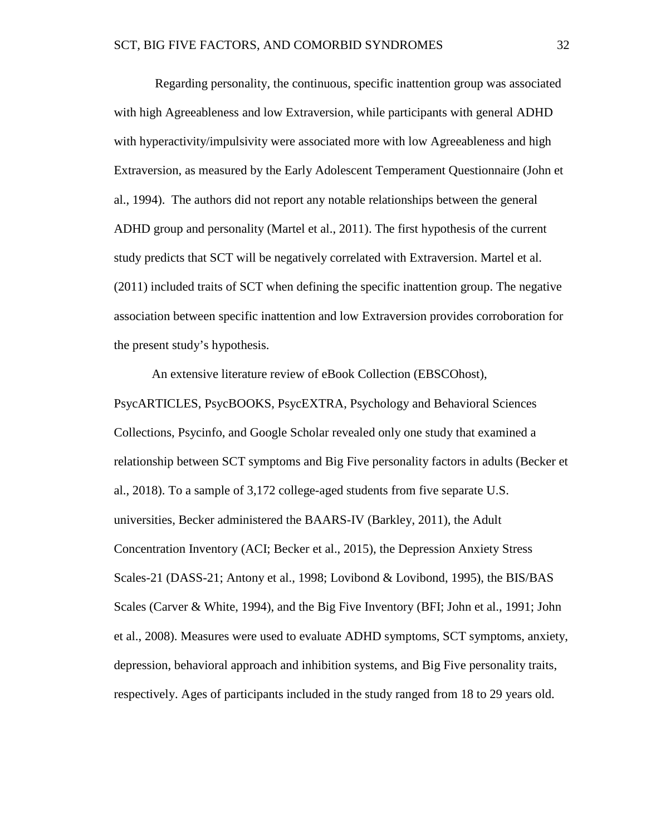Regarding personality, the continuous, specific inattention group was associated with high Agreeableness and low Extraversion, while participants with general ADHD with hyperactivity/impulsivity were associated more with low Agreeableness and high Extraversion, as measured by the Early Adolescent Temperament Questionnaire (John et al., 1994). The authors did not report any notable relationships between the general ADHD group and personality (Martel et al., 2011). The first hypothesis of the current study predicts that SCT will be negatively correlated with Extraversion. Martel et al. (2011) included traits of SCT when defining the specific inattention group. The negative association between specific inattention and low Extraversion provides corroboration for the present study's hypothesis.

An extensive literature review of eBook Collection (EBSCOhost), PsycARTICLES, PsycBOOKS, PsycEXTRA, Psychology and Behavioral Sciences Collections, Psycinfo, and Google Scholar revealed only one study that examined a relationship between SCT symptoms and Big Five personality factors in adults (Becker et al., 2018). To a sample of 3,172 college-aged students from five separate U.S. universities, Becker administered the BAARS-IV (Barkley, 2011), the Adult Concentration Inventory (ACI; Becker et al., 2015), the Depression Anxiety Stress Scales-21 (DASS-21; Antony et al., 1998; Lovibond & Lovibond, 1995), the BIS/BAS Scales (Carver & White, 1994), and the Big Five Inventory (BFI; John et al., 1991; John et al., 2008). Measures were used to evaluate ADHD symptoms, SCT symptoms, anxiety, depression, behavioral approach and inhibition systems, and Big Five personality traits, respectively. Ages of participants included in the study ranged from 18 to 29 years old.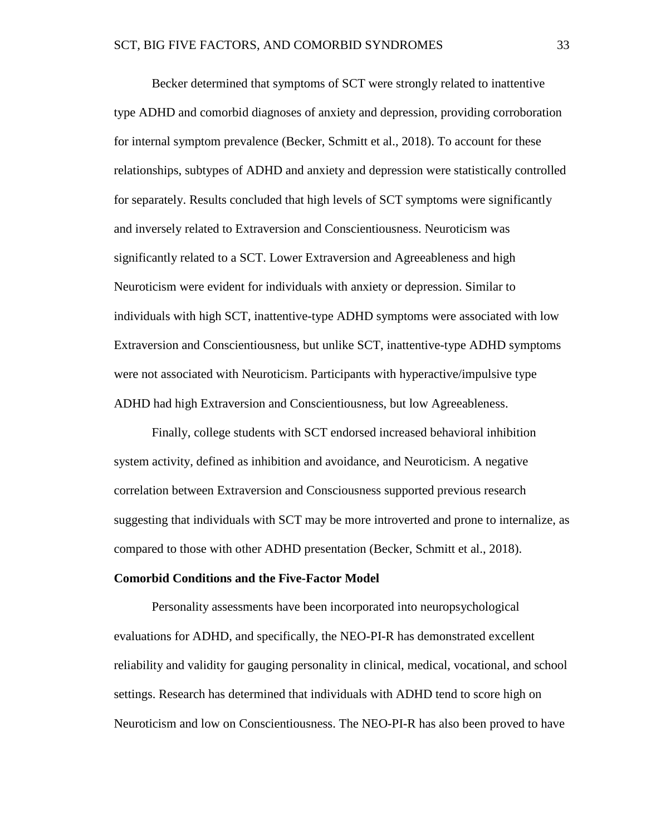Becker determined that symptoms of SCT were strongly related to inattentive type ADHD and comorbid diagnoses of anxiety and depression, providing corroboration for internal symptom prevalence (Becker, Schmitt et al., 2018). To account for these relationships, subtypes of ADHD and anxiety and depression were statistically controlled for separately. Results concluded that high levels of SCT symptoms were significantly and inversely related to Extraversion and Conscientiousness. Neuroticism was significantly related to a SCT. Lower Extraversion and Agreeableness and high Neuroticism were evident for individuals with anxiety or depression. Similar to individuals with high SCT, inattentive-type ADHD symptoms were associated with low Extraversion and Conscientiousness, but unlike SCT, inattentive-type ADHD symptoms were not associated with Neuroticism. Participants with hyperactive/impulsive type ADHD had high Extraversion and Conscientiousness, but low Agreeableness.

Finally, college students with SCT endorsed increased behavioral inhibition system activity, defined as inhibition and avoidance, and Neuroticism. A negative correlation between Extraversion and Consciousness supported previous research suggesting that individuals with SCT may be more introverted and prone to internalize, as compared to those with other ADHD presentation (Becker, Schmitt et al., 2018).

#### **Comorbid Conditions and the Five-Factor Model**

Personality assessments have been incorporated into neuropsychological evaluations for ADHD, and specifically, the NEO-PI-R has demonstrated excellent reliability and validity for gauging personality in clinical, medical, vocational, and school settings. Research has determined that individuals with ADHD tend to score high on Neuroticism and low on Conscientiousness. The NEO-PI-R has also been proved to have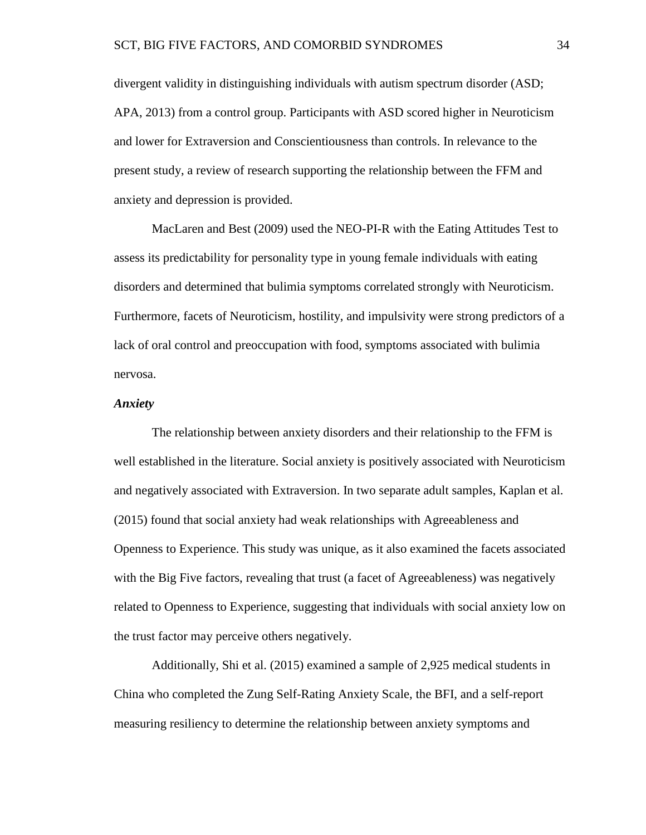divergent validity in distinguishing individuals with autism spectrum disorder (ASD; APA, 2013) from a control group. Participants with ASD scored higher in Neuroticism and lower for Extraversion and Conscientiousness than controls. In relevance to the present study, a review of research supporting the relationship between the FFM and anxiety and depression is provided.

MacLaren and Best (2009) used the NEO-PI-R with the Eating Attitudes Test to assess its predictability for personality type in young female individuals with eating disorders and determined that bulimia symptoms correlated strongly with Neuroticism. Furthermore, facets of Neuroticism, hostility, and impulsivity were strong predictors of a lack of oral control and preoccupation with food, symptoms associated with bulimia nervosa.

# *Anxiety*

The relationship between anxiety disorders and their relationship to the FFM is well established in the literature. Social anxiety is positively associated with Neuroticism and negatively associated with Extraversion. In two separate adult samples, Kaplan et al. (2015) found that social anxiety had weak relationships with Agreeableness and Openness to Experience. This study was unique, as it also examined the facets associated with the Big Five factors, revealing that trust (a facet of Agreeableness) was negatively related to Openness to Experience, suggesting that individuals with social anxiety low on the trust factor may perceive others negatively.

Additionally, Shi et al. (2015) examined a sample of 2,925 medical students in China who completed the Zung Self-Rating Anxiety Scale, the BFI, and a self-report measuring resiliency to determine the relationship between anxiety symptoms and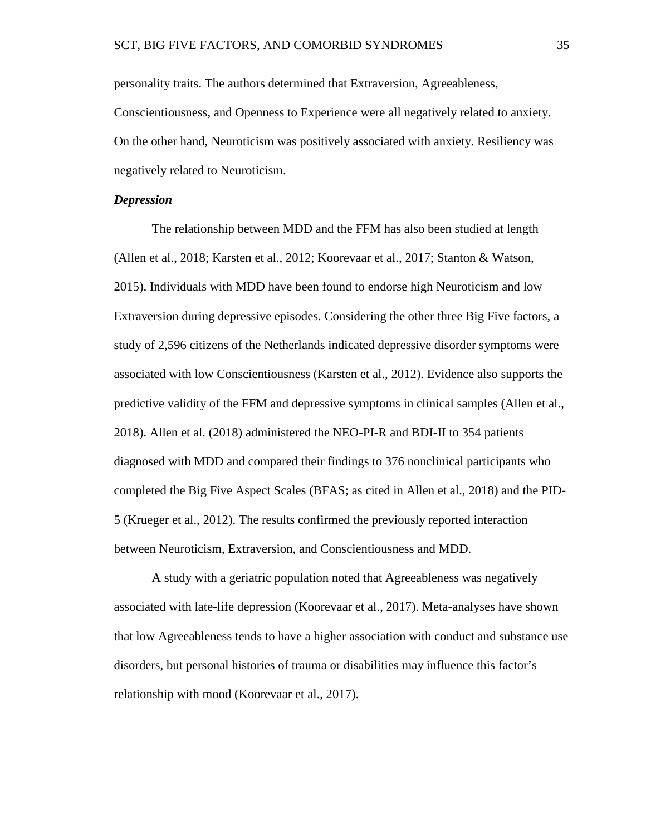personality traits. The authors determined that Extraversion, Agreeableness, Conscientiousness, and Openness to Experience were all negatively related to anxiety. On the other hand, Neuroticism was positively associated with anxiety. Resiliency was negatively related to Neuroticism.

## *Depression*

The relationship between MDD and the FFM has also been studied at length (Allen et al., 2018; Karsten et al., 2012; Koorevaar et al., 2017; Stanton & Watson, 2015). Individuals with MDD have been found to endorse high Neuroticism and low Extraversion during depressive episodes. Considering the other three Big Five factors, a study of 2,596 citizens of the Netherlands indicated depressive disorder symptoms were associated with low Conscientiousness (Karsten et al., 2012). Evidence also supports the predictive validity of the FFM and depressive symptoms in clinical samples (Allen et al., 2018). Allen et al. (2018) administered the NEO-PI-R and BDI-II to 354 patients diagnosed with MDD and compared their findings to 376 nonclinical participants who completed the Big Five Aspect Scales (BFAS; as cited in Allen et al., 2018) and the PID-5 (Krueger et al., 2012). The results confirmed the previously reported interaction between Neuroticism, Extraversion, and Conscientiousness and MDD.

A study with a geriatric population noted that Agreeableness was negatively associated with late-life depression (Koorevaar et al., 2017). Meta-analyses have shown that low Agreeableness tends to have a higher association with conduct and substance use disorders, but personal histories of trauma or disabilities may influence this factor's relationship with mood (Koorevaar et al., 2017).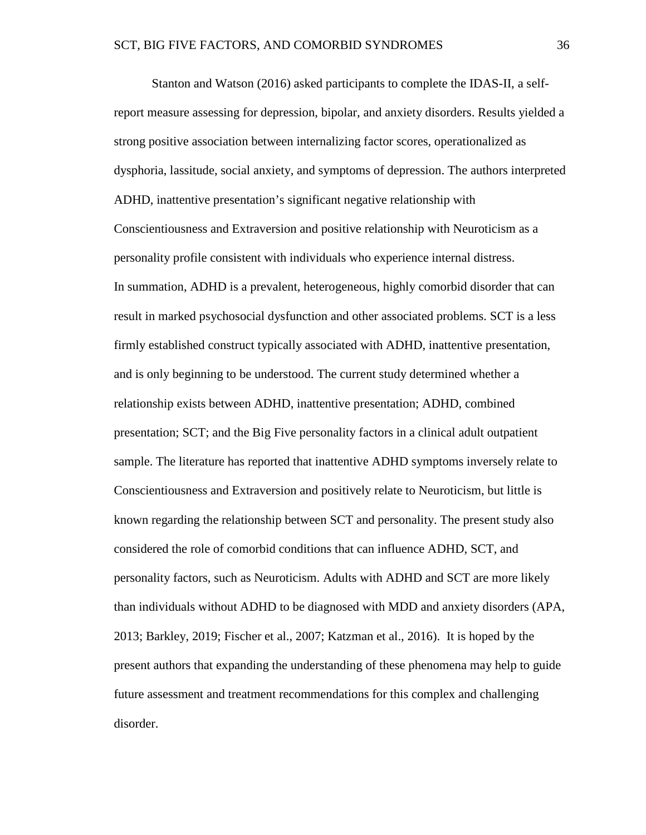Stanton and Watson (2016) asked participants to complete the IDAS-II, a selfreport measure assessing for depression, bipolar, and anxiety disorders. Results yielded a strong positive association between internalizing factor scores, operationalized as dysphoria, lassitude, social anxiety, and symptoms of depression. The authors interpreted ADHD, inattentive presentation's significant negative relationship with Conscientiousness and Extraversion and positive relationship with Neuroticism as a personality profile consistent with individuals who experience internal distress. In summation, ADHD is a prevalent, heterogeneous, highly comorbid disorder that can result in marked psychosocial dysfunction and other associated problems. SCT is a less firmly established construct typically associated with ADHD, inattentive presentation, and is only beginning to be understood. The current study determined whether a relationship exists between ADHD, inattentive presentation; ADHD, combined presentation; SCT; and the Big Five personality factors in a clinical adult outpatient sample. The literature has reported that inattentive ADHD symptoms inversely relate to Conscientiousness and Extraversion and positively relate to Neuroticism, but little is known regarding the relationship between SCT and personality. The present study also considered the role of comorbid conditions that can influence ADHD, SCT, and personality factors, such as Neuroticism. Adults with ADHD and SCT are more likely than individuals without ADHD to be diagnosed with MDD and anxiety disorders (APA, 2013; Barkley, 2019; Fischer et al., 2007; Katzman et al., 2016). It is hoped by the present authors that expanding the understanding of these phenomena may help to guide future assessment and treatment recommendations for this complex and challenging disorder.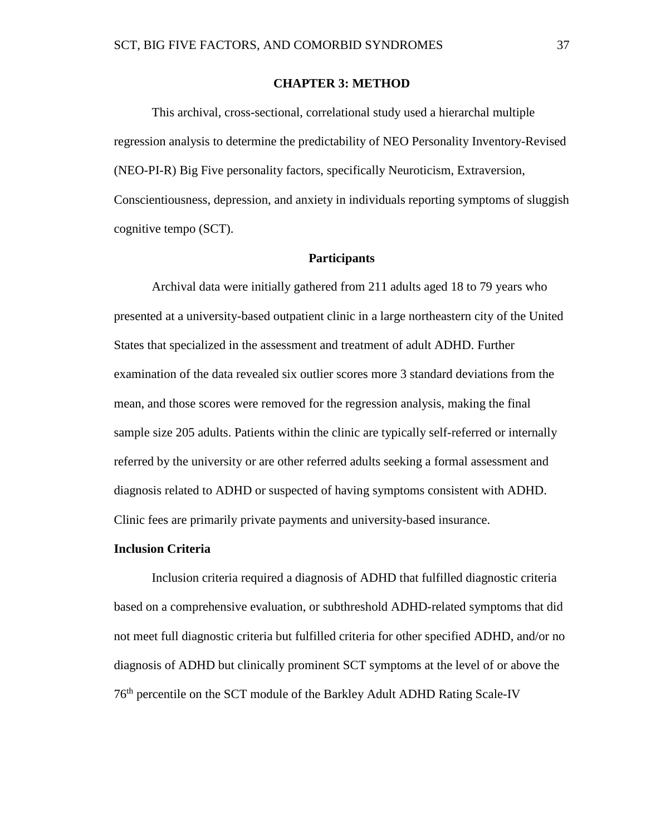## **CHAPTER 3: METHOD**

This archival, cross-sectional, correlational study used a hierarchal multiple regression analysis to determine the predictability of NEO Personality Inventory-Revised (NEO-PI-R) Big Five personality factors, specifically Neuroticism, Extraversion, Conscientiousness, depression, and anxiety in individuals reporting symptoms of sluggish cognitive tempo (SCT).

## **Participants**

Archival data were initially gathered from 211 adults aged 18 to 79 years who presented at a university-based outpatient clinic in a large northeastern city of the United States that specialized in the assessment and treatment of adult ADHD. Further examination of the data revealed six outlier scores more 3 standard deviations from the mean, and those scores were removed for the regression analysis, making the final sample size 205 adults. Patients within the clinic are typically self-referred or internally referred by the university or are other referred adults seeking a formal assessment and diagnosis related to ADHD or suspected of having symptoms consistent with ADHD. Clinic fees are primarily private payments and university-based insurance.

#### **Inclusion Criteria**

Inclusion criteria required a diagnosis of ADHD that fulfilled diagnostic criteria based on a comprehensive evaluation, or subthreshold ADHD-related symptoms that did not meet full diagnostic criteria but fulfilled criteria for other specified ADHD, and/or no diagnosis of ADHD but clinically prominent SCT symptoms at the level of or above the 76th percentile on the SCT module of the Barkley Adult ADHD Rating Scale-IV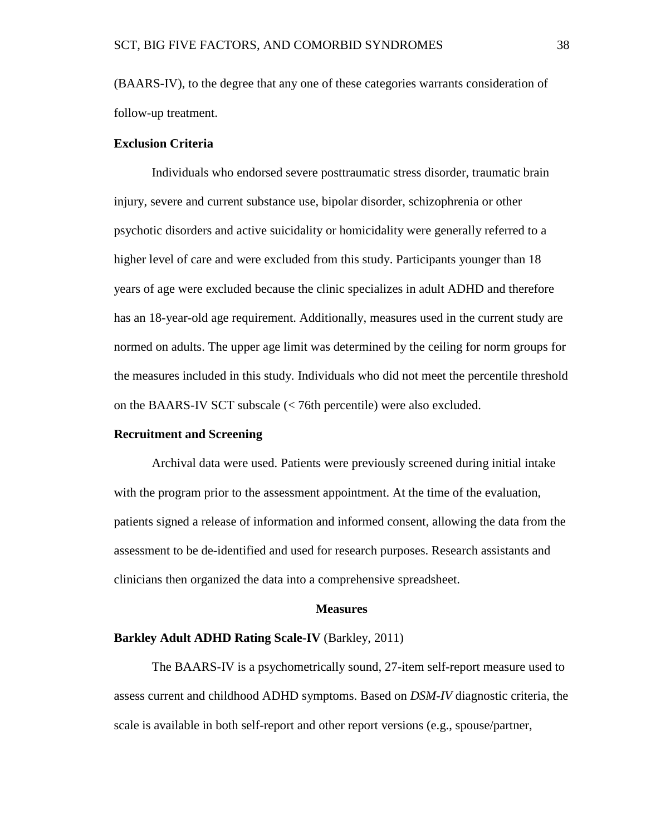(BAARS-IV), to the degree that any one of these categories warrants consideration of follow-up treatment.

## **Exclusion Criteria**

Individuals who endorsed severe posttraumatic stress disorder, traumatic brain injury, severe and current substance use, bipolar disorder, schizophrenia or other psychotic disorders and active suicidality or homicidality were generally referred to a higher level of care and were excluded from this study. Participants younger than 18 years of age were excluded because the clinic specializes in adult ADHD and therefore has an 18-year-old age requirement. Additionally, measures used in the current study are normed on adults. The upper age limit was determined by the ceiling for norm groups for the measures included in this study. Individuals who did not meet the percentile threshold on the BAARS-IV SCT subscale (< 76th percentile) were also excluded.

# **Recruitment and Screening**

Archival data were used. Patients were previously screened during initial intake with the program prior to the assessment appointment. At the time of the evaluation, patients signed a release of information and informed consent, allowing the data from the assessment to be de-identified and used for research purposes. Research assistants and clinicians then organized the data into a comprehensive spreadsheet.

## **Measures**

## **Barkley Adult ADHD Rating Scale-IV** (Barkley, 2011)

The BAARS-IV is a psychometrically sound, 27-item self-report measure used to assess current and childhood ADHD symptoms. Based on *DSM-IV* diagnostic criteria, the scale is available in both self-report and other report versions (e.g., spouse/partner,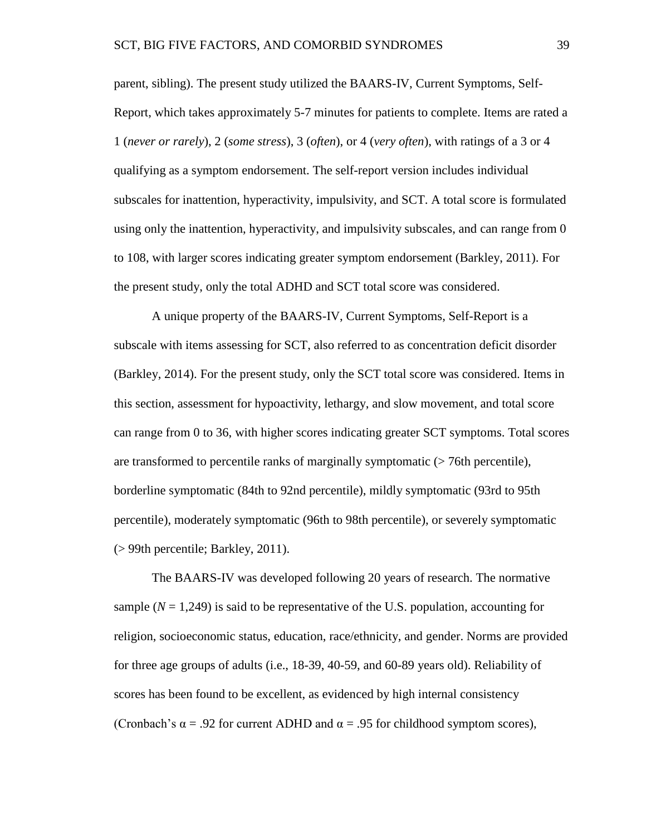parent, sibling). The present study utilized the BAARS-IV, Current Symptoms, Self-Report, which takes approximately 5-7 minutes for patients to complete. Items are rated a 1 (*never or rarely*), 2 (*some stress*), 3 (*often*), or 4 (*very often*), with ratings of a 3 or 4 qualifying as a symptom endorsement. The self-report version includes individual subscales for inattention, hyperactivity, impulsivity, and SCT. A total score is formulated using only the inattention, hyperactivity, and impulsivity subscales, and can range from 0 to 108, with larger scores indicating greater symptom endorsement (Barkley, 2011). For the present study, only the total ADHD and SCT total score was considered.

A unique property of the BAARS-IV, Current Symptoms, Self-Report is a subscale with items assessing for SCT, also referred to as concentration deficit disorder (Barkley, 2014). For the present study, only the SCT total score was considered. Items in this section, assessment for hypoactivity, lethargy, and slow movement, and total score can range from 0 to 36, with higher scores indicating greater SCT symptoms. Total scores are transformed to percentile ranks of marginally symptomatic (> 76th percentile), borderline symptomatic (84th to 92nd percentile), mildly symptomatic (93rd to 95th percentile), moderately symptomatic (96th to 98th percentile), or severely symptomatic (> 99th percentile; Barkley, 2011).

The BAARS-IV was developed following 20 years of research. The normative sample  $(N = 1,249)$  is said to be representative of the U.S. population, accounting for religion, socioeconomic status, education, race/ethnicity, and gender. Norms are provided for three age groups of adults (i.e., 18-39, 40-59, and 60-89 years old). Reliability of scores has been found to be excellent, as evidenced by high internal consistency (Cronbach's  $\alpha$  = .92 for current ADHD and  $\alpha$  = .95 for childhood symptom scores),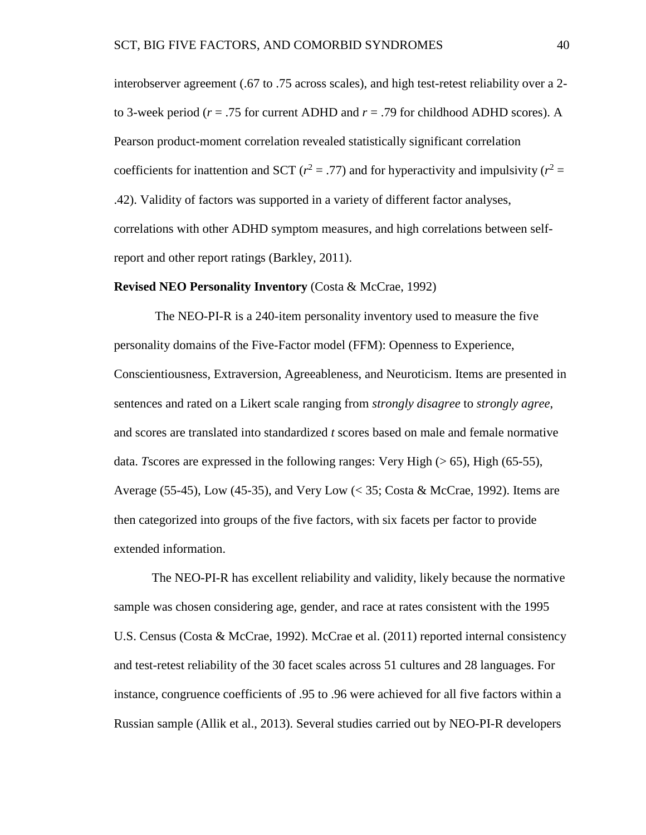interobserver agreement (.67 to .75 across scales), and high test-retest reliability over a 2 to 3-week period (*r* = .75 for current ADHD and *r* = .79 for childhood ADHD scores). A Pearson product-moment correlation revealed statistically significant correlation coefficients for inattention and SCT ( $r^2 = .77$ ) and for hyperactivity and impulsivity ( $r^2 =$ .42). Validity of factors was supported in a variety of different factor analyses, correlations with other ADHD symptom measures, and high correlations between selfreport and other report ratings (Barkley, 2011).

#### **Revised NEO Personality Inventory** (Costa & McCrae, 1992)

The NEO-PI-R is a 240-item personality inventory used to measure the five personality domains of the Five-Factor model (FFM): Openness to Experience, Conscientiousness, Extraversion, Agreeableness, and Neuroticism. Items are presented in sentences and rated on a Likert scale ranging from *strongly disagree* to *strongly agree*, and scores are translated into standardized *t* scores based on male and female normative data. *T* scores are expressed in the following ranges: Very High (>65), High (65-55), Average (55-45), Low (45-35), and Very Low (< 35; Costa & McCrae, 1992). Items are then categorized into groups of the five factors, with six facets per factor to provide extended information.

The NEO-PI-R has excellent reliability and validity, likely because the normative sample was chosen considering age, gender, and race at rates consistent with the 1995 U.S. Census (Costa & McCrae, 1992). McCrae et al. (2011) reported internal consistency and test-retest reliability of the 30 facet scales across 51 cultures and 28 languages. For instance, congruence coefficients of .95 to .96 were achieved for all five factors within a Russian sample (Allik et al., 2013). Several studies carried out by NEO-PI-R developers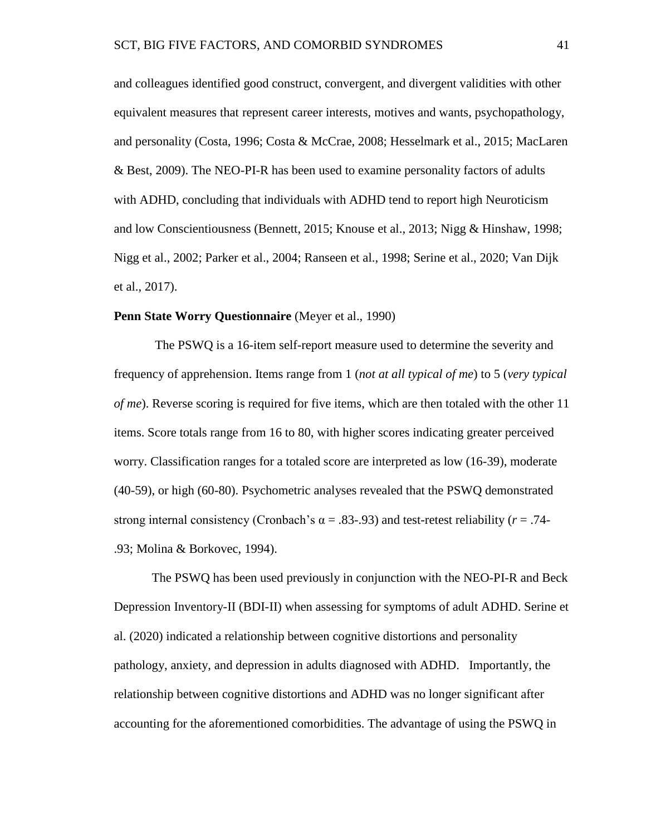and colleagues identified good construct, convergent, and divergent validities with other equivalent measures that represent career interests, motives and wants, psychopathology, and personality (Costa, 1996; Costa & McCrae, 2008; Hesselmark et al., 2015; MacLaren & Best, 2009). The NEO-PI-R has been used to examine personality factors of adults with ADHD, concluding that individuals with ADHD tend to report high Neuroticism and low Conscientiousness (Bennett, 2015; Knouse et al., 2013; Nigg & Hinshaw, 1998; Nigg et al., 2002; Parker et al., 2004; Ranseen et al., 1998; Serine et al., 2020; Van Dijk et al., 2017).

### **Penn State Worry Questionnaire** (Meyer et al., 1990)

The PSWQ is a 16-item self-report measure used to determine the severity and frequency of apprehension. Items range from 1 (*not at all typical of me*) to 5 (*very typical of me*). Reverse scoring is required for five items, which are then totaled with the other 11 items. Score totals range from 16 to 80, with higher scores indicating greater perceived worry. Classification ranges for a totaled score are interpreted as low (16-39), moderate (40-59), or high (60-80). Psychometric analyses revealed that the PSWQ demonstrated strong internal consistency (Cronbach's  $\alpha = .83-.93$ ) and test-retest reliability ( $r = .74$ -.93; Molina & Borkovec, 1994).

The PSWQ has been used previously in conjunction with the NEO-PI-R and Beck Depression Inventory-II (BDI-II) when assessing for symptoms of adult ADHD. Serine et al. (2020) indicated a relationship between cognitive distortions and personality pathology, anxiety, and depression in adults diagnosed with ADHD. Importantly, the relationship between cognitive distortions and ADHD was no longer significant after accounting for the aforementioned comorbidities. The advantage of using the PSWQ in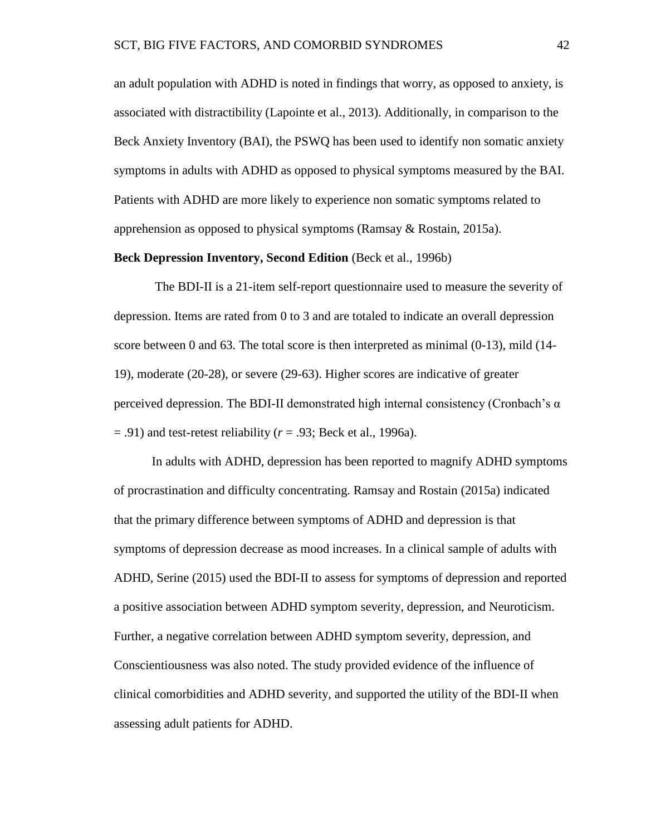an adult population with ADHD is noted in findings that worry, as opposed to anxiety, is associated with distractibility (Lapointe et al., 2013). Additionally, in comparison to the Beck Anxiety Inventory (BAI), the PSWQ has been used to identify non somatic anxiety symptoms in adults with ADHD as opposed to physical symptoms measured by the BAI. Patients with ADHD are more likely to experience non somatic symptoms related to apprehension as opposed to physical symptoms (Ramsay & Rostain, 2015a).

### **Beck Depression Inventory, Second Edition** (Beck et al., 1996b)

The BDI-II is a 21-item self-report questionnaire used to measure the severity of depression. Items are rated from 0 to 3 and are totaled to indicate an overall depression score between 0 and 63. The total score is then interpreted as minimal (0-13), mild (14- 19), moderate (20-28), or severe (29-63). Higher scores are indicative of greater perceived depression. The BDI-II demonstrated high internal consistency (Cronbach's α = .91) and test-retest reliability (*r* = .93; Beck et al., 1996a).

In adults with ADHD, depression has been reported to magnify ADHD symptoms of procrastination and difficulty concentrating. Ramsay and Rostain (2015a) indicated that the primary difference between symptoms of ADHD and depression is that symptoms of depression decrease as mood increases. In a clinical sample of adults with ADHD, Serine (2015) used the BDI-II to assess for symptoms of depression and reported a positive association between ADHD symptom severity, depression, and Neuroticism. Further, a negative correlation between ADHD symptom severity, depression, and Conscientiousness was also noted. The study provided evidence of the influence of clinical comorbidities and ADHD severity, and supported the utility of the BDI-II when assessing adult patients for ADHD.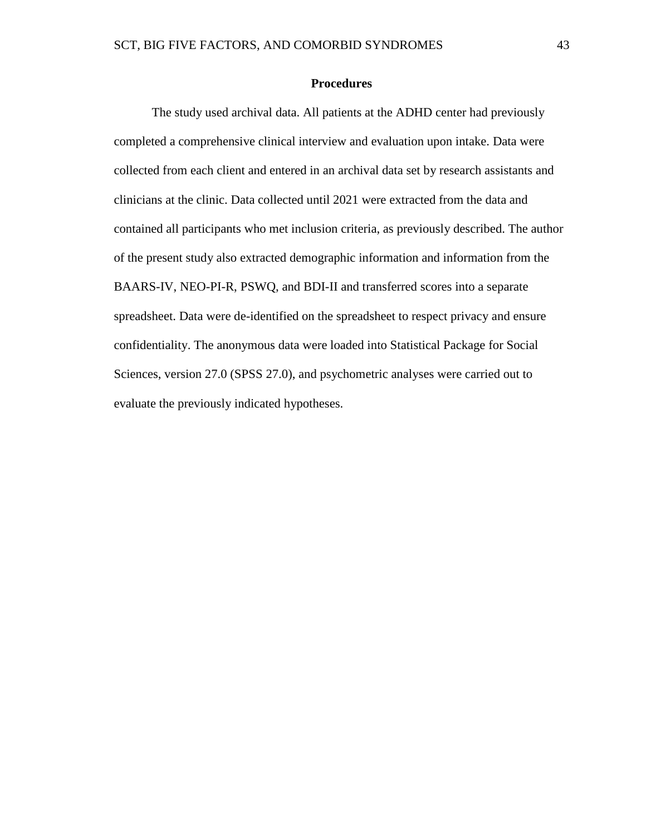# **Procedures**

The study used archival data. All patients at the ADHD center had previously completed a comprehensive clinical interview and evaluation upon intake. Data were collected from each client and entered in an archival data set by research assistants and clinicians at the clinic. Data collected until 2021 were extracted from the data and contained all participants who met inclusion criteria, as previously described. The author of the present study also extracted demographic information and information from the BAARS-IV, NEO-PI-R, PSWQ, and BDI-II and transferred scores into a separate spreadsheet. Data were de-identified on the spreadsheet to respect privacy and ensure confidentiality. The anonymous data were loaded into Statistical Package for Social Sciences, version 27.0 (SPSS 27.0), and psychometric analyses were carried out to evaluate the previously indicated hypotheses.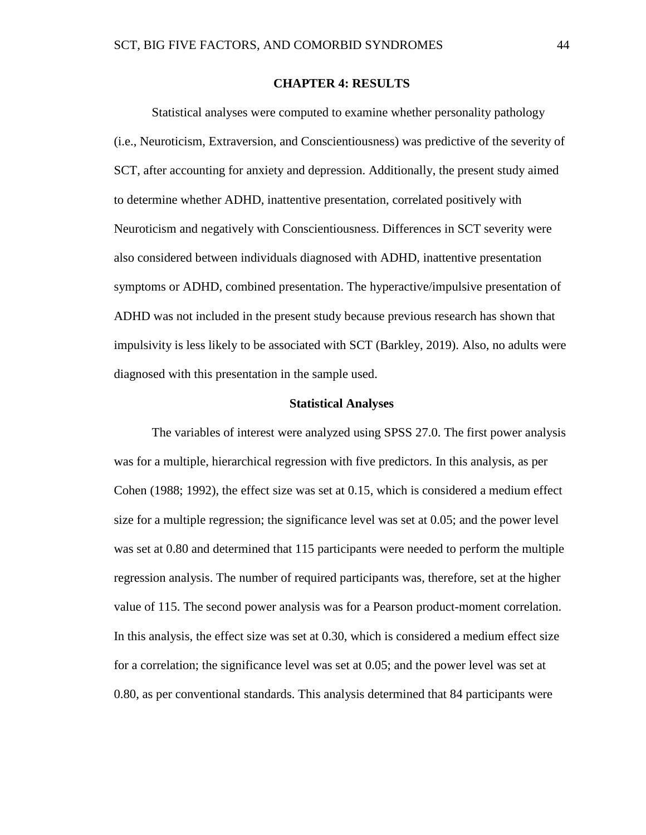## **CHAPTER 4: RESULTS**

Statistical analyses were computed to examine whether personality pathology (i.e., Neuroticism, Extraversion, and Conscientiousness) was predictive of the severity of SCT, after accounting for anxiety and depression. Additionally, the present study aimed to determine whether ADHD, inattentive presentation, correlated positively with Neuroticism and negatively with Conscientiousness. Differences in SCT severity were also considered between individuals diagnosed with ADHD, inattentive presentation symptoms or ADHD, combined presentation. The hyperactive/impulsive presentation of ADHD was not included in the present study because previous research has shown that impulsivity is less likely to be associated with SCT (Barkley, 2019). Also, no adults were diagnosed with this presentation in the sample used.

#### **Statistical Analyses**

The variables of interest were analyzed using SPSS 27.0. The first power analysis was for a multiple, hierarchical regression with five predictors. In this analysis, as per Cohen (1988; 1992), the effect size was set at 0.15, which is considered a medium effect size for a multiple regression; the significance level was set at 0.05; and the power level was set at 0.80 and determined that 115 participants were needed to perform the multiple regression analysis. The number of required participants was, therefore, set at the higher value of 115. The second power analysis was for a Pearson product-moment correlation. In this analysis, the effect size was set at 0.30, which is considered a medium effect size for a correlation; the significance level was set at 0.05; and the power level was set at 0.80, as per conventional standards. This analysis determined that 84 participants were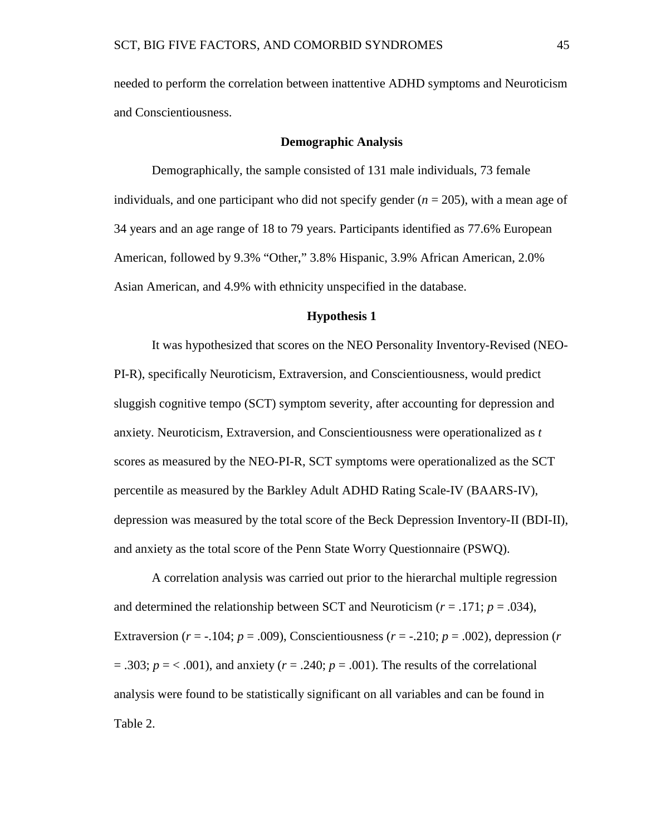needed to perform the correlation between inattentive ADHD symptoms and Neuroticism and Conscientiousness.

## **Demographic Analysis**

Demographically, the sample consisted of 131 male individuals, 73 female individuals, and one participant who did not specify gender  $(n = 205)$ , with a mean age of 34 years and an age range of 18 to 79 years. Participants identified as 77.6% European American, followed by 9.3% "Other," 3.8% Hispanic, 3.9% African American, 2.0% Asian American, and 4.9% with ethnicity unspecified in the database.

## **Hypothesis 1**

It was hypothesized that scores on the NEO Personality Inventory-Revised (NEO-PI-R), specifically Neuroticism, Extraversion, and Conscientiousness, would predict sluggish cognitive tempo (SCT) symptom severity, after accounting for depression and anxiety. Neuroticism, Extraversion, and Conscientiousness were operationalized as *t*  scores as measured by the NEO-PI-R, SCT symptoms were operationalized as the SCT percentile as measured by the Barkley Adult ADHD Rating Scale-IV (BAARS-IV), depression was measured by the total score of the Beck Depression Inventory-II (BDI-II), and anxiety as the total score of the Penn State Worry Questionnaire (PSWQ).

A correlation analysis was carried out prior to the hierarchal multiple regression and determined the relationship between SCT and Neuroticism  $(r = .171; p = .034)$ , Extraversion ( $r = -104$ ;  $p = .009$ ), Conscientiousness ( $r = -0.210$ ;  $p = .002$ ), depression ( $r =$  $= .303$ ;  $p = < .001$ ), and anxiety ( $r = .240$ ;  $p = .001$ ). The results of the correlational analysis were found to be statistically significant on all variables and can be found in Table 2.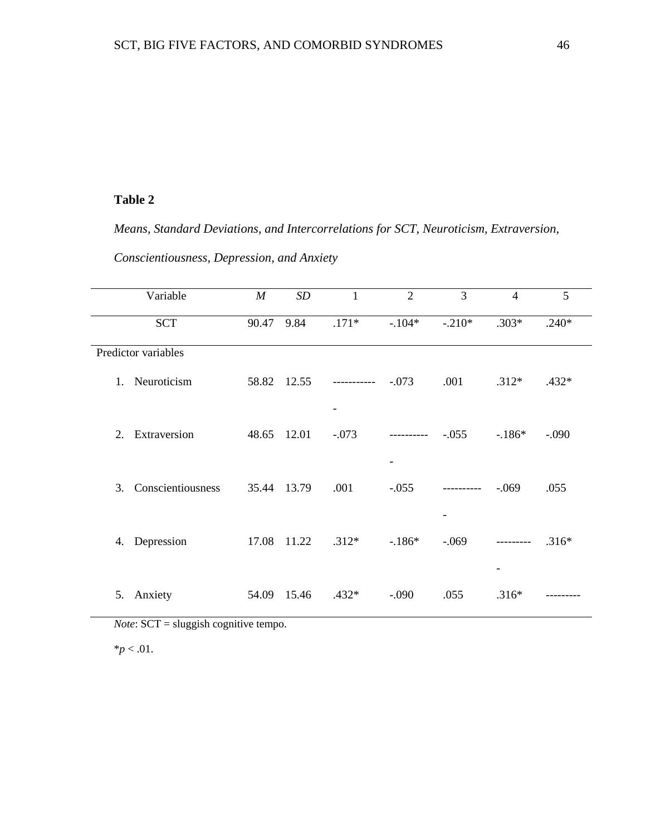# **Table 2**

*Means, Standard Deviations, and Intercorrelations for SCT, Neuroticism, Extraversion, Conscientiousness, Depression, and Anxiety* 

| Variable                         | $\boldsymbol{M}$ | SD    | 1           | $\overline{2}$ | 3         | $\overline{4}$           | 5       |
|----------------------------------|------------------|-------|-------------|----------------|-----------|--------------------------|---------|
| <b>SCT</b>                       | 90.47            | 9.84  | $.171*$     | $-.104*$       | $-.210*$  | $.303*$                  | $.240*$ |
| Predictor variables              |                  |       |             |                |           |                          |         |
| Neuroticism<br>1.                | 58.82            | 12.55 | ----------- | $-.073$        | .001      | $.312*$                  | $.432*$ |
|                                  |                  |       | -           |                |           |                          |         |
| Extraversion<br>$\mathfrak{2}$ . | 48.65            | 12.01 | $-.073$     | ----------     | $-.055$   | $-186*$                  | $-.090$ |
|                                  |                  |       |             |                |           |                          |         |
| Conscientiousness<br>3.          | 35.44            | 13.79 | .001        | $-.055$        | --------- | $-.069$                  | .055    |
|                                  |                  |       |             |                |           |                          |         |
| Depression<br>4.                 | 17.08            | 11.22 | $.312*$     | $-186*$        | $-0.069$  |                          | $.316*$ |
|                                  |                  |       |             |                |           | $\overline{\phantom{a}}$ |         |
| Anxiety<br>5.                    | 54.09            | 15.46 | $.432*$     | $-.090$        | .055      | $.316*$                  |         |

*Note*: SCT = sluggish cognitive tempo.

 $*$ *p* < .01.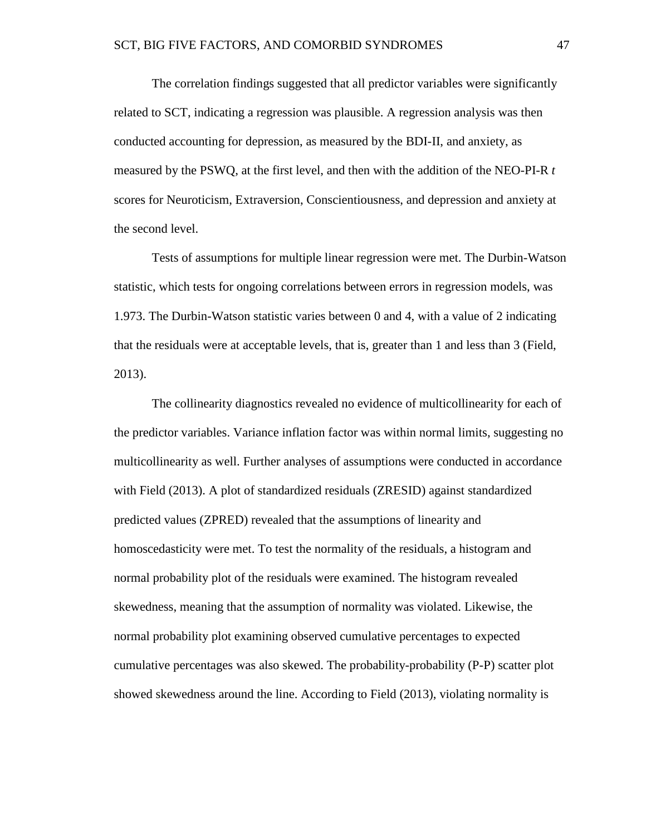The correlation findings suggested that all predictor variables were significantly related to SCT, indicating a regression was plausible. A regression analysis was then conducted accounting for depression, as measured by the BDI-II, and anxiety, as measured by the PSWQ, at the first level, and then with the addition of the NEO-PI-R *t* scores for Neuroticism, Extraversion, Conscientiousness, and depression and anxiety at the second level.

Tests of assumptions for multiple linear regression were met. The Durbin-Watson statistic, which tests for ongoing correlations between errors in regression models, was 1.973. The Durbin-Watson statistic varies between 0 and 4, with a value of 2 indicating that the residuals were at acceptable levels, that is, greater than 1 and less than 3 (Field, 2013).

The collinearity diagnostics revealed no evidence of multicollinearity for each of the predictor variables. Variance inflation factor was within normal limits, suggesting no multicollinearity as well. Further analyses of assumptions were conducted in accordance with Field (2013). A plot of standardized residuals (ZRESID) against standardized predicted values (ZPRED) revealed that the assumptions of linearity and homoscedasticity were met. To test the normality of the residuals, a histogram and normal probability plot of the residuals were examined. The histogram revealed skewedness, meaning that the assumption of normality was violated. Likewise, the normal probability plot examining observed cumulative percentages to expected cumulative percentages was also skewed. The probability-probability (P-P) scatter plot showed skewedness around the line. According to Field (2013), violating normality is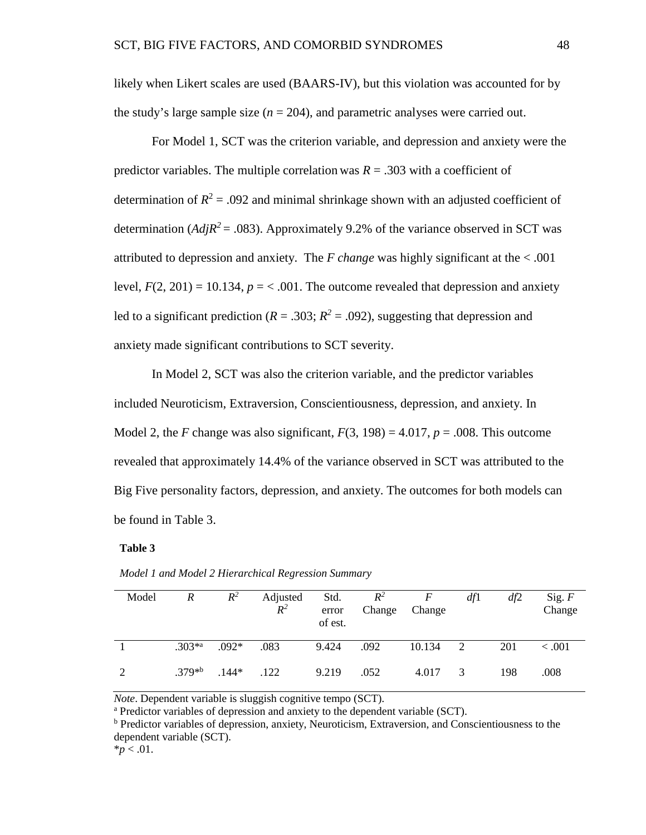likely when Likert scales are used (BAARS-IV), but this violation was accounted for by the study's large sample size  $(n = 204)$ , and parametric analyses were carried out.

For Model 1, SCT was the criterion variable, and depression and anxiety were the predictor variables. The multiple correlation was  $R = 0.303$  with a coefficient of determination of  $R^2$  = .092 and minimal shrinkage shown with an adjusted coefficient of determination ( $AdjR^2 = .083$ ). Approximately 9.2% of the variance observed in SCT was attributed to depression and anxiety. The  $F$  change was highly significant at the  $< .001$ level,  $F(2, 201) = 10.134$ ,  $p = < .001$ . The outcome revealed that depression and anxiety led to a significant prediction ( $R = .303$ ;  $R^2 = .092$ ), suggesting that depression and anxiety made significant contributions to SCT severity.

In Model 2, SCT was also the criterion variable, and the predictor variables included Neuroticism, Extraversion, Conscientiousness, depression, and anxiety. In Model 2, the *F* change was also significant,  $F(3, 198) = 4.017$ ,  $p = .008$ . This outcome revealed that approximately 14.4% of the variance observed in SCT was attributed to the Big Five personality factors, depression, and anxiety. The outcomes for both models can be found in Table 3.

#### **Table 3**

| Model         | R                                    | $R^2$   | Adjusted<br>$R^2$ | Std.<br>error<br>of est. | $R^2$<br>Change | $\overline{F}$<br>Change | df1 | df2 | Sig. F<br>Change |
|---------------|--------------------------------------|---------|-------------------|--------------------------|-----------------|--------------------------|-----|-----|------------------|
|               | $.303*$ <sup><math>^{*}</math></sup> | $.092*$ | .083              | 9.424                    | .092            | 10.134                   | 2   | 201 | < 0.001          |
| $\mathcal{D}$ | $.379^{*b}$                          | $144*$  | .122              | 9.219                    | .052            | 4.017                    |     | 198 | .008             |

*Model 1 and Model 2 Hierarchical Regression Summary* 

*Note*. Dependent variable is sluggish cognitive tempo (SCT).<br><sup>a</sup> Predictor variables of depression and anxiety to the dependent variable (SCT).

<sup>b</sup> Predictor variables of depression, anxiety, Neuroticism, Extraversion, and Conscientiousness to the dependent variable (SCT).

 $*_{p}$  < .01.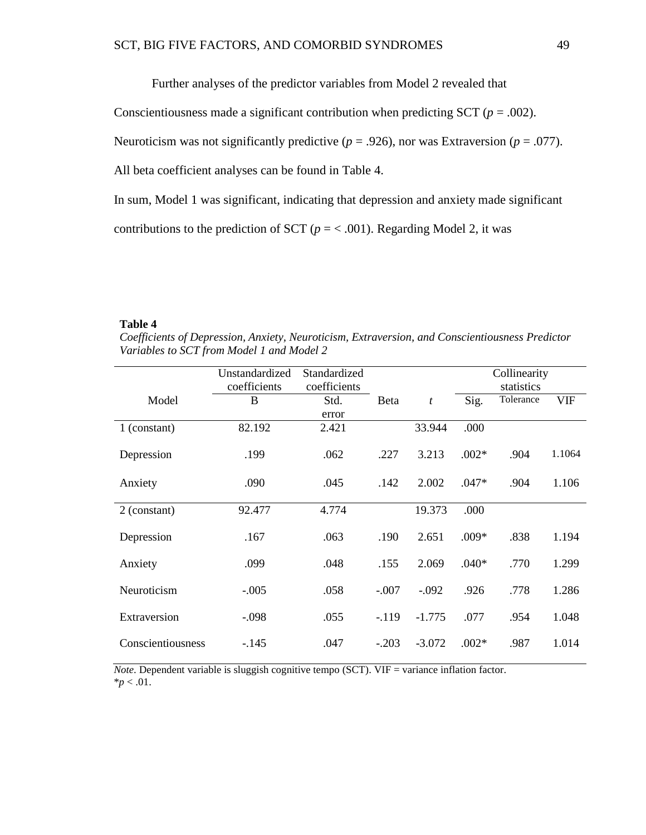Further analyses of the predictor variables from Model 2 revealed that

Conscientiousness made a significant contribution when predicting SCT ( $p = .002$ ).

Neuroticism was not significantly predictive ( $p = .926$ ), nor was Extraversion ( $p = .077$ ).

All beta coefficient analyses can be found in Table 4.

In sum, Model 1 was significant, indicating that depression and anxiety made significant

contributions to the prediction of SCT ( $p = < .001$ ). Regarding Model 2, it was

#### **Table 4**

*Coefficients of Depression, Anxiety, Neuroticism, Extraversion, and Conscientiousness Predictor Variables to SCT from Model 1 and Model 2*

|                   | Unstandardized<br>coefficients | Standardized<br>coefficients |         |                  | Collinearity<br>statistics |           |            |
|-------------------|--------------------------------|------------------------------|---------|------------------|----------------------------|-----------|------------|
| Model             | B                              | Std.<br>error                | Beta    | $\boldsymbol{t}$ | Sig.                       | Tolerance | <b>VIF</b> |
| 1 (constant)      | 82.192                         | 2.421                        |         | 33.944           | .000                       |           |            |
| Depression        | .199                           | .062                         | .227    | 3.213            | $.002*$                    | .904      | 1.1064     |
| Anxiety           | .090                           | .045                         | .142    | 2.002            | $.047*$                    | .904      | 1.106      |
| 2 (constant)      | 92.477                         | 4.774                        |         | 19.373           | .000                       |           |            |
| Depression        | .167                           | .063                         | .190    | 2.651            | $.009*$                    | .838      | 1.194      |
| Anxiety           | .099                           | .048                         | .155    | 2.069            | $.040*$                    | .770      | 1.299      |
| Neuroticism       | $-.005$                        | .058                         | $-.007$ | $-.092$          | .926                       | .778      | 1.286      |
| Extraversion      | $-.098$                        | .055                         | $-119$  | $-1.775$         | .077                       | .954      | 1.048      |
| Conscientiousness | $-145$                         | .047                         | $-.203$ | $-3.072$         | $.002*$                    | .987      | 1.014      |

*Note*. Dependent variable is sluggish cognitive tempo (SCT). VIF = variance inflation factor.  $*_{p}$  < .01.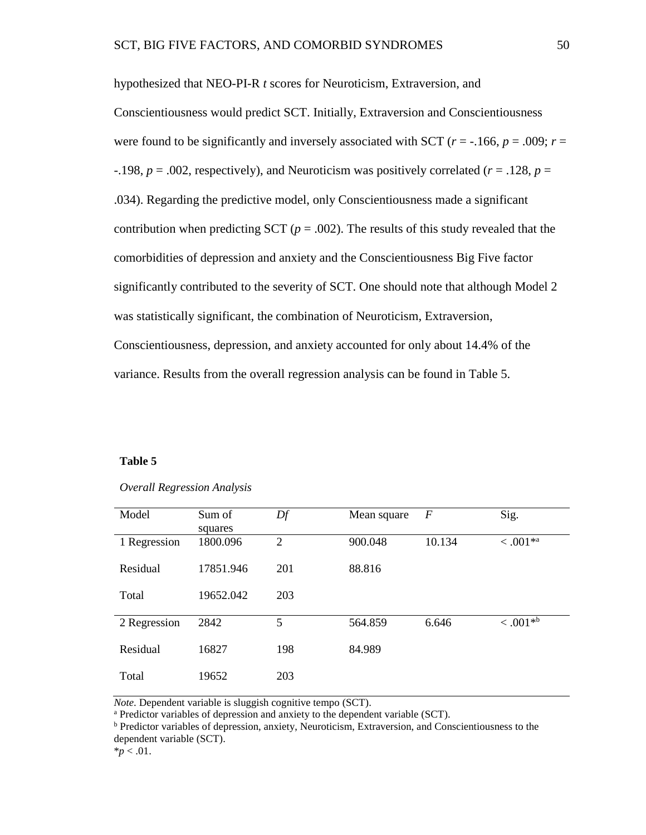hypothesized that NEO-PI-R *t* scores for Neuroticism, Extraversion, and Conscientiousness would predict SCT. Initially, Extraversion and Conscientiousness were found to be significantly and inversely associated with SCT ( $r = -166$ ,  $p = .009$ ;  $r =$  $-198$ ,  $p = .002$ , respectively), and Neuroticism was positively correlated ( $r = .128$ ,  $p =$ .034). Regarding the predictive model, only Conscientiousness made a significant contribution when predicting SCT  $(p = .002)$ . The results of this study revealed that the comorbidities of depression and anxiety and the Conscientiousness Big Five factor significantly contributed to the severity of SCT. One should note that although Model 2 was statistically significant, the combination of Neuroticism, Extraversion, Conscientiousness, depression, and anxiety accounted for only about 14.4% of the variance. Results from the overall regression analysis can be found in Table 5.

# **Table 5**

| Model        | Sum of<br>squares | Df  | Mean square | $\boldsymbol{F}$ | Sig.                   |
|--------------|-------------------|-----|-------------|------------------|------------------------|
| 1 Regression | 1800.096          | 2   | 900.048     | 10.134           | $< 0.001**$            |
| Residual     | 17851.946         | 201 | 88.816      |                  |                        |
| Total        | 19652.042         | 203 |             |                  |                        |
| 2 Regression | 2842              | 5   | 564.859     | 6.646            | $< .001$ <sup>*b</sup> |
| Residual     | 16827             | 198 | 84.989      |                  |                        |
| Total        | 19652             | 203 |             |                  |                        |

## *Overall Regression Analysis*

*Note*. Dependent variable is sluggish cognitive tempo (SCT).<br><sup>a</sup> Predictor variables of depression and anxiety to the dependent variable (SCT).<br><sup>b</sup> Predictor variables of depression, anxiety, Neuroticism, Extraversion, an dependent variable (SCT).

 $*_{p}$  < .01.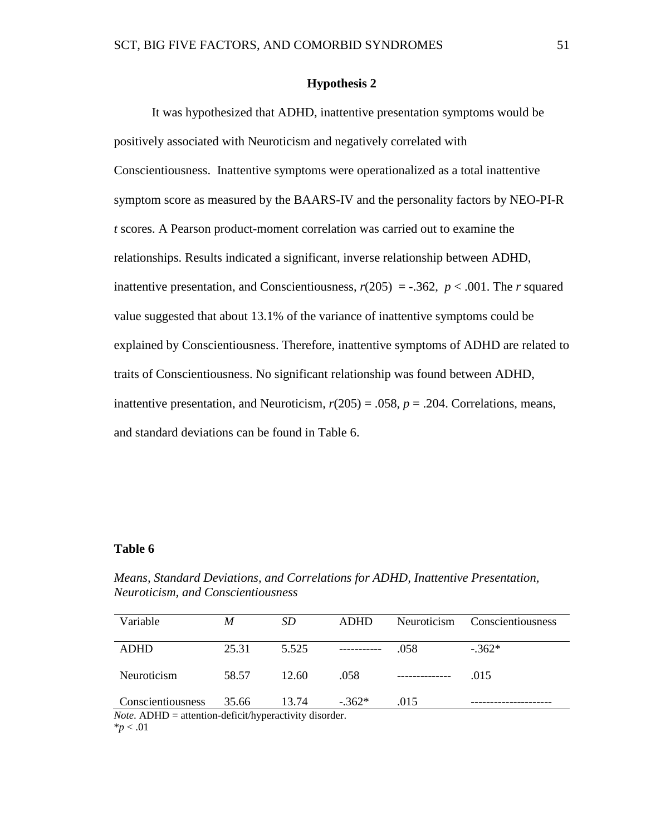# **Hypothesis 2**

It was hypothesized that ADHD, inattentive presentation symptoms would be positively associated with Neuroticism and negatively correlated with Conscientiousness. Inattentive symptoms were operationalized as a total inattentive symptom score as measured by the BAARS-IV and the personality factors by NEO-PI-R *t* scores. A Pearson product-moment correlation was carried out to examine the relationships. Results indicated a significant, inverse relationship between ADHD, inattentive presentation, and Conscientiousness,  $r(205) = -.362$ ,  $p < .001$ . The *r* squared value suggested that about 13.1% of the variance of inattentive symptoms could be explained by Conscientiousness. Therefore, inattentive symptoms of ADHD are related to traits of Conscientiousness. No significant relationship was found between ADHD, inattentive presentation, and Neuroticism,  $r(205) = .058$ ,  $p = .204$ . Correlations, means, and standard deviations can be found in Table 6.

## **Table 6**

| Variable                                                                                | M     | <i>SD</i> | <b>ADHD</b> | Neuroticism | Conscientiousness |  |
|-----------------------------------------------------------------------------------------|-------|-----------|-------------|-------------|-------------------|--|
|                                                                                         |       |           |             |             |                   |  |
|                                                                                         |       |           |             |             |                   |  |
| ADHD                                                                                    | 25.31 | 5.525     |             | .058        | $-.362*$          |  |
|                                                                                         |       |           |             |             |                   |  |
|                                                                                         |       |           |             |             |                   |  |
| Neuroticism                                                                             | 58.57 | 12.60     | .058        |             | .015              |  |
|                                                                                         |       |           |             |             |                   |  |
|                                                                                         |       |           |             |             |                   |  |
| Conscientiousness                                                                       | 35.66 | 13.74     | $-362*$     | .015        |                   |  |
| $\mathcal{M}$ and $\mathcal{M}$ is the set of $\mathcal{M}$ is the set of $\mathcal{M}$ |       |           |             |             |                   |  |

*Means, Standard Deviations, and Correlations for ADHD, Inattentive Presentation, Neuroticism, and Conscientiousness* 

*Note*. ADHD = attention-deficit/hyperactivity disorder.  $*_{p}$  < .01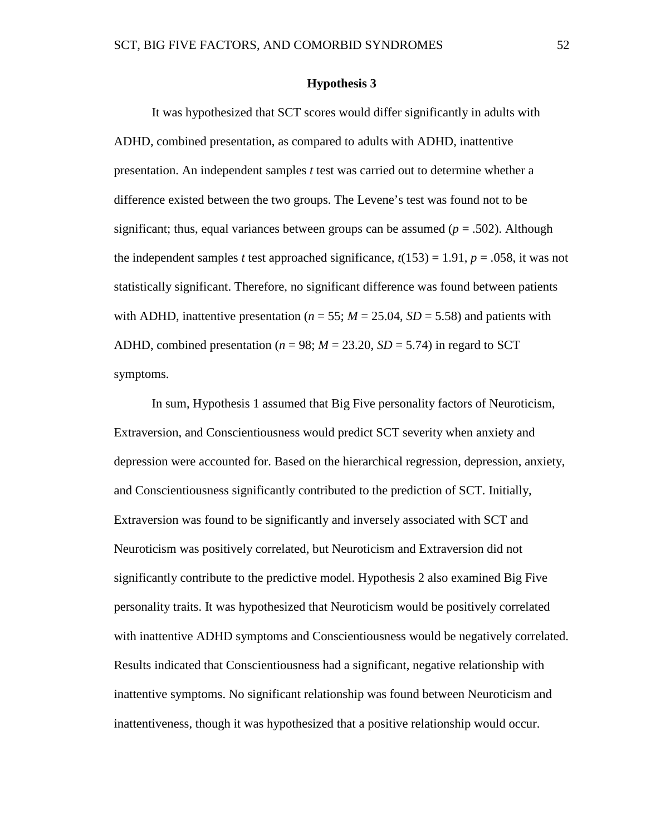# **Hypothesis 3**

It was hypothesized that SCT scores would differ significantly in adults with ADHD, combined presentation, as compared to adults with ADHD, inattentive presentation. An independent samples *t* test was carried out to determine whether a difference existed between the two groups. The Levene's test was found not to be significant; thus, equal variances between groups can be assumed  $(p = .502)$ . Although the independent samples *t* test approached significance,  $t(153) = 1.91$ ,  $p = .058$ , it was not statistically significant. Therefore, no significant difference was found between patients with ADHD, inattentive presentation ( $n = 55$ ;  $M = 25.04$ ,  $SD = 5.58$ ) and patients with ADHD, combined presentation ( $n = 98$ ;  $M = 23.20$ ,  $SD = 5.74$ ) in regard to SCT symptoms.

In sum, Hypothesis 1 assumed that Big Five personality factors of Neuroticism, Extraversion, and Conscientiousness would predict SCT severity when anxiety and depression were accounted for. Based on the hierarchical regression, depression, anxiety, and Conscientiousness significantly contributed to the prediction of SCT. Initially, Extraversion was found to be significantly and inversely associated with SCT and Neuroticism was positively correlated, but Neuroticism and Extraversion did not significantly contribute to the predictive model. Hypothesis 2 also examined Big Five personality traits. It was hypothesized that Neuroticism would be positively correlated with inattentive ADHD symptoms and Conscientiousness would be negatively correlated. Results indicated that Conscientiousness had a significant, negative relationship with inattentive symptoms. No significant relationship was found between Neuroticism and inattentiveness, though it was hypothesized that a positive relationship would occur.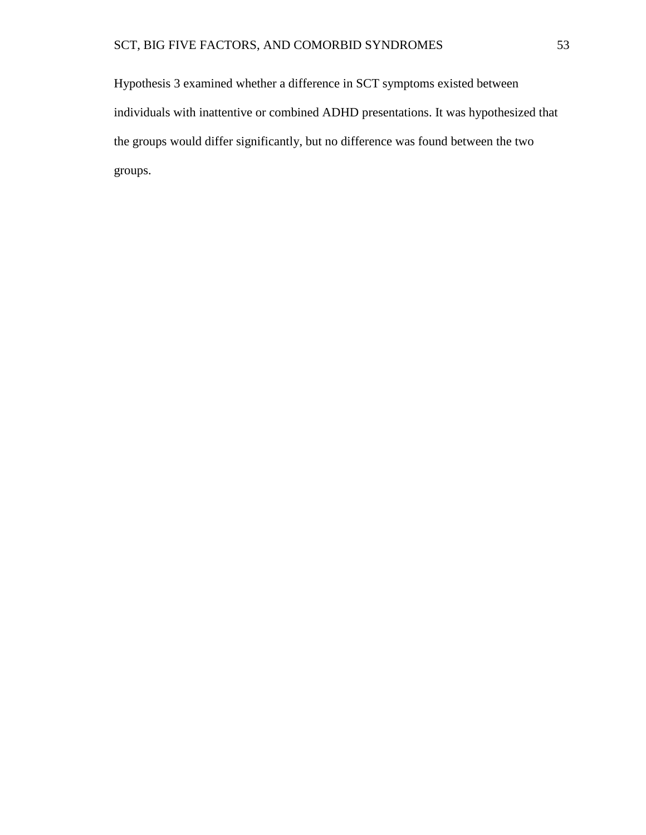Hypothesis 3 examined whether a difference in SCT symptoms existed between individuals with inattentive or combined ADHD presentations. It was hypothesized that the groups would differ significantly, but no difference was found between the two groups.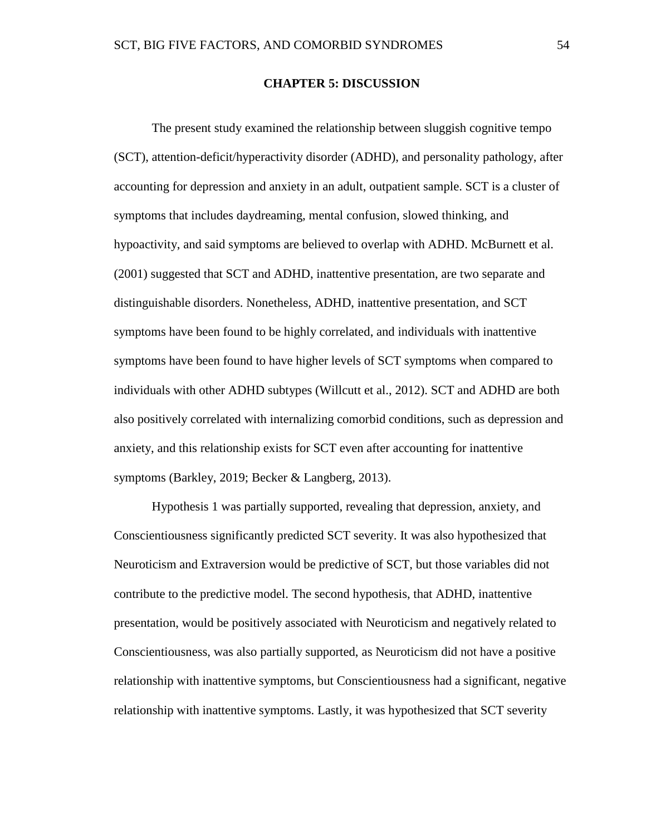## **CHAPTER 5: DISCUSSION**

The present study examined the relationship between sluggish cognitive tempo (SCT), attention-deficit/hyperactivity disorder (ADHD), and personality pathology, after accounting for depression and anxiety in an adult, outpatient sample. SCT is a cluster of symptoms that includes daydreaming, mental confusion, slowed thinking, and hypoactivity, and said symptoms are believed to overlap with ADHD. McBurnett et al. (2001) suggested that SCT and ADHD, inattentive presentation, are two separate and distinguishable disorders. Nonetheless, ADHD, inattentive presentation, and SCT symptoms have been found to be highly correlated, and individuals with inattentive symptoms have been found to have higher levels of SCT symptoms when compared to individuals with other ADHD subtypes (Willcutt et al., 2012). SCT and ADHD are both also positively correlated with internalizing comorbid conditions, such as depression and anxiety, and this relationship exists for SCT even after accounting for inattentive symptoms (Barkley, 2019; Becker & Langberg, 2013).

Hypothesis 1 was partially supported, revealing that depression, anxiety, and Conscientiousness significantly predicted SCT severity. It was also hypothesized that Neuroticism and Extraversion would be predictive of SCT, but those variables did not contribute to the predictive model. The second hypothesis, that ADHD, inattentive presentation, would be positively associated with Neuroticism and negatively related to Conscientiousness, was also partially supported, as Neuroticism did not have a positive relationship with inattentive symptoms, but Conscientiousness had a significant, negative relationship with inattentive symptoms. Lastly, it was hypothesized that SCT severity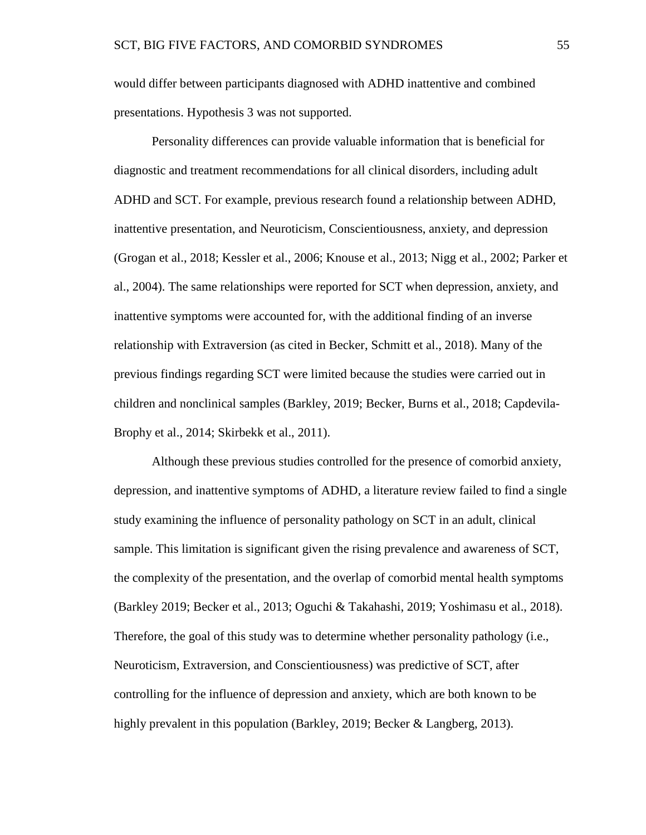would differ between participants diagnosed with ADHD inattentive and combined presentations. Hypothesis 3 was not supported.

Personality differences can provide valuable information that is beneficial for diagnostic and treatment recommendations for all clinical disorders, including adult ADHD and SCT. For example, previous research found a relationship between ADHD, inattentive presentation, and Neuroticism, Conscientiousness, anxiety, and depression (Grogan et al., 2018; Kessler et al., 2006; Knouse et al., 2013; Nigg et al., 2002; Parker et al., 2004). The same relationships were reported for SCT when depression, anxiety, and inattentive symptoms were accounted for, with the additional finding of an inverse relationship with Extraversion (as cited in Becker, Schmitt et al., 2018). Many of the previous findings regarding SCT were limited because the studies were carried out in children and nonclinical samples (Barkley, 2019; Becker, Burns et al., 2018; Capdevila-Brophy et al., 2014; Skirbekk et al., 2011).

Although these previous studies controlled for the presence of comorbid anxiety, depression, and inattentive symptoms of ADHD, a literature review failed to find a single study examining the influence of personality pathology on SCT in an adult, clinical sample. This limitation is significant given the rising prevalence and awareness of SCT, the complexity of the presentation, and the overlap of comorbid mental health symptoms (Barkley 2019; Becker et al., 2013; Oguchi & Takahashi, 2019; Yoshimasu et al., 2018). Therefore, the goal of this study was to determine whether personality pathology (i.e., Neuroticism, Extraversion, and Conscientiousness) was predictive of SCT, after controlling for the influence of depression and anxiety, which are both known to be highly prevalent in this population (Barkley, 2019; Becker & Langberg, 2013).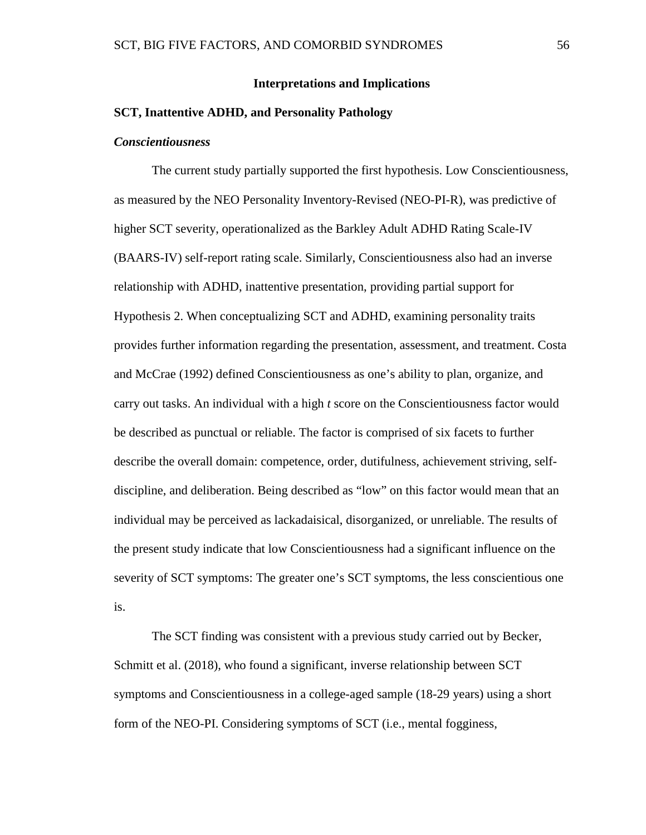#### **Interpretations and Implications**

## **SCT, Inattentive ADHD, and Personality Pathology**

## *Conscientiousness*

The current study partially supported the first hypothesis. Low Conscientiousness, as measured by the NEO Personality Inventory-Revised (NEO-PI-R), was predictive of higher SCT severity, operationalized as the Barkley Adult ADHD Rating Scale-IV (BAARS-IV) self-report rating scale. Similarly, Conscientiousness also had an inverse relationship with ADHD, inattentive presentation, providing partial support for Hypothesis 2. When conceptualizing SCT and ADHD, examining personality traits provides further information regarding the presentation, assessment, and treatment. Costa and McCrae (1992) defined Conscientiousness as one's ability to plan, organize, and carry out tasks. An individual with a high *t* score on the Conscientiousness factor would be described as punctual or reliable. The factor is comprised of six facets to further describe the overall domain: competence, order, dutifulness, achievement striving, selfdiscipline, and deliberation. Being described as "low" on this factor would mean that an individual may be perceived as lackadaisical, disorganized, or unreliable. The results of the present study indicate that low Conscientiousness had a significant influence on the severity of SCT symptoms: The greater one's SCT symptoms, the less conscientious one is.

The SCT finding was consistent with a previous study carried out by Becker, Schmitt et al. (2018), who found a significant, inverse relationship between SCT symptoms and Conscientiousness in a college-aged sample (18-29 years) using a short form of the NEO-PI. Considering symptoms of SCT (i.e., mental fogginess,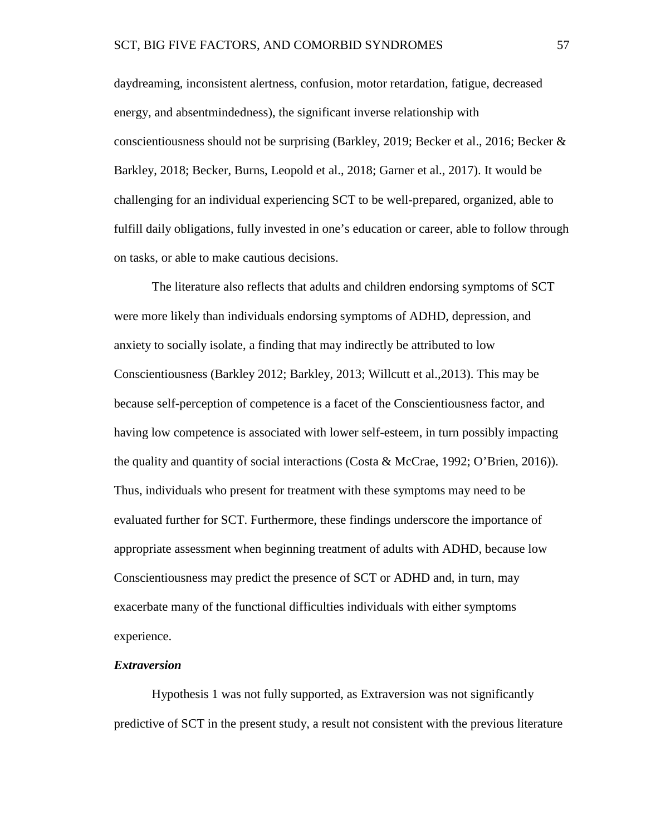daydreaming, inconsistent alertness, confusion, motor retardation, fatigue, decreased energy, and absentmindedness), the significant inverse relationship with conscientiousness should not be surprising (Barkley, 2019; Becker et al., 2016; Becker & Barkley, 2018; Becker, Burns, Leopold et al., 2018; Garner et al., 2017). It would be challenging for an individual experiencing SCT to be well-prepared, organized, able to fulfill daily obligations, fully invested in one's education or career, able to follow through on tasks, or able to make cautious decisions.

The literature also reflects that adults and children endorsing symptoms of SCT were more likely than individuals endorsing symptoms of ADHD, depression, and anxiety to socially isolate, a finding that may indirectly be attributed to low Conscientiousness (Barkley 2012; Barkley, 2013; Willcutt et al.,2013). This may be because self-perception of competence is a facet of the Conscientiousness factor, and having low competence is associated with lower self-esteem, in turn possibly impacting the quality and quantity of social interactions (Costa & McCrae, 1992; O'Brien, 2016)). Thus, individuals who present for treatment with these symptoms may need to be evaluated further for SCT. Furthermore, these findings underscore the importance of appropriate assessment when beginning treatment of adults with ADHD, because low Conscientiousness may predict the presence of SCT or ADHD and, in turn, may exacerbate many of the functional difficulties individuals with either symptoms experience.

#### *Extraversion*

Hypothesis 1 was not fully supported, as Extraversion was not significantly predictive of SCT in the present study, a result not consistent with the previous literature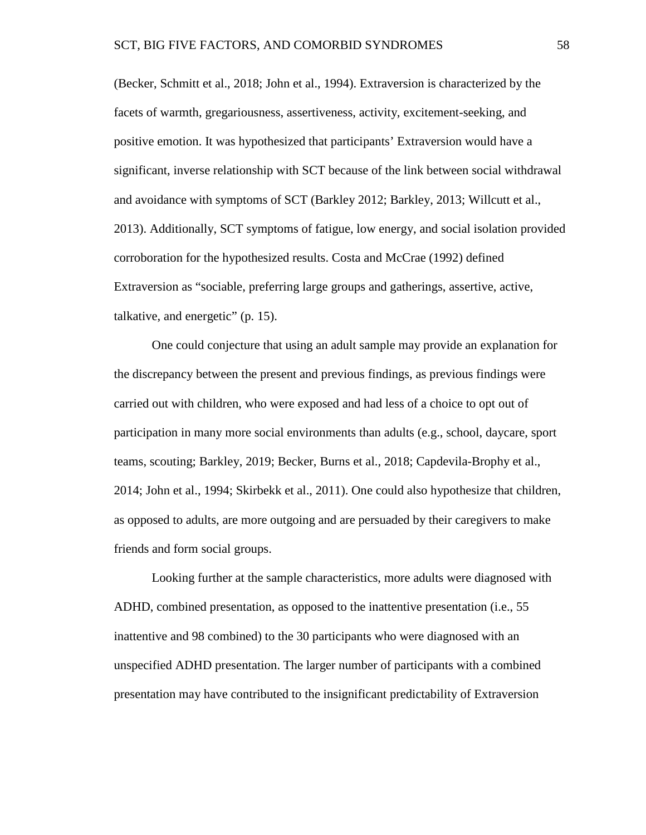(Becker, Schmitt et al., 2018; John et al., 1994). Extraversion is characterized by the facets of warmth, gregariousness, assertiveness, activity, excitement-seeking, and positive emotion. It was hypothesized that participants' Extraversion would have a significant, inverse relationship with SCT because of the link between social withdrawal and avoidance with symptoms of SCT (Barkley 2012; Barkley, 2013; Willcutt et al., 2013). Additionally, SCT symptoms of fatigue, low energy, and social isolation provided corroboration for the hypothesized results. Costa and McCrae (1992) defined Extraversion as "sociable, preferring large groups and gatherings, assertive, active, talkative, and energetic" (p. 15).

One could conjecture that using an adult sample may provide an explanation for the discrepancy between the present and previous findings, as previous findings were carried out with children, who were exposed and had less of a choice to opt out of participation in many more social environments than adults (e.g., school, daycare, sport teams, scouting; Barkley, 2019; Becker, Burns et al., 2018; Capdevila-Brophy et al., 2014; John et al., 1994; Skirbekk et al., 2011). One could also hypothesize that children, as opposed to adults, are more outgoing and are persuaded by their caregivers to make friends and form social groups.

Looking further at the sample characteristics, more adults were diagnosed with ADHD, combined presentation, as opposed to the inattentive presentation (i.e., 55 inattentive and 98 combined) to the 30 participants who were diagnosed with an unspecified ADHD presentation. The larger number of participants with a combined presentation may have contributed to the insignificant predictability of Extraversion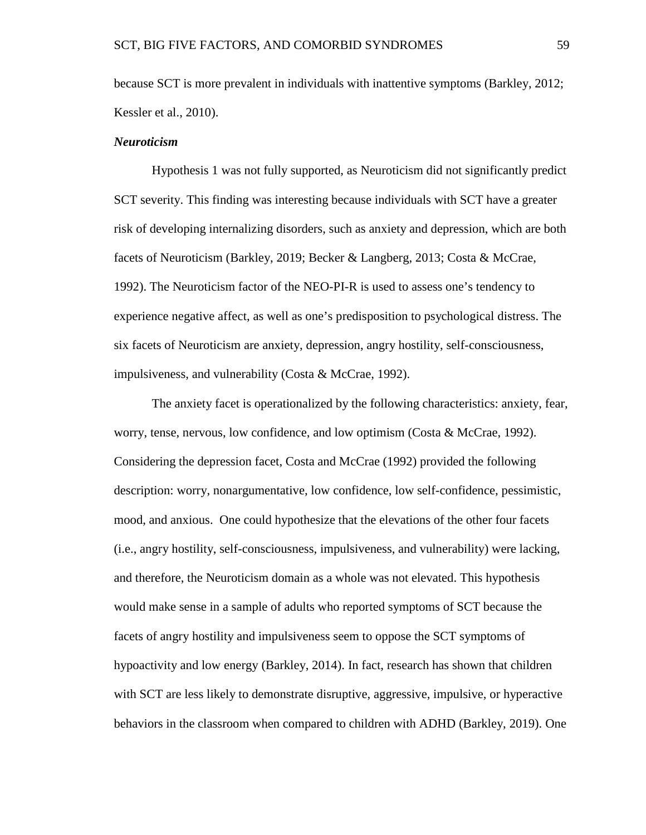because SCT is more prevalent in individuals with inattentive symptoms (Barkley, 2012; Kessler et al., 2010).

# *Neuroticism*

Hypothesis 1 was not fully supported, as Neuroticism did not significantly predict SCT severity. This finding was interesting because individuals with SCT have a greater risk of developing internalizing disorders, such as anxiety and depression, which are both facets of Neuroticism (Barkley, 2019; Becker & Langberg, 2013; Costa & McCrae, 1992). The Neuroticism factor of the NEO-PI-R is used to assess one's tendency to experience negative affect, as well as one's predisposition to psychological distress. The six facets of Neuroticism are anxiety, depression, angry hostility, self-consciousness, impulsiveness, and vulnerability (Costa & McCrae, 1992).

The anxiety facet is operationalized by the following characteristics: anxiety, fear, worry, tense, nervous, low confidence, and low optimism (Costa  $\&$  McCrae, 1992). Considering the depression facet, Costa and McCrae (1992) provided the following description: worry, nonargumentative, low confidence, low self-confidence, pessimistic, mood, and anxious. One could hypothesize that the elevations of the other four facets (i.e., angry hostility, self-consciousness, impulsiveness, and vulnerability) were lacking, and therefore, the Neuroticism domain as a whole was not elevated. This hypothesis would make sense in a sample of adults who reported symptoms of SCT because the facets of angry hostility and impulsiveness seem to oppose the SCT symptoms of hypoactivity and low energy (Barkley, 2014). In fact, research has shown that children with SCT are less likely to demonstrate disruptive, aggressive, impulsive, or hyperactive behaviors in the classroom when compared to children with ADHD (Barkley, 2019). One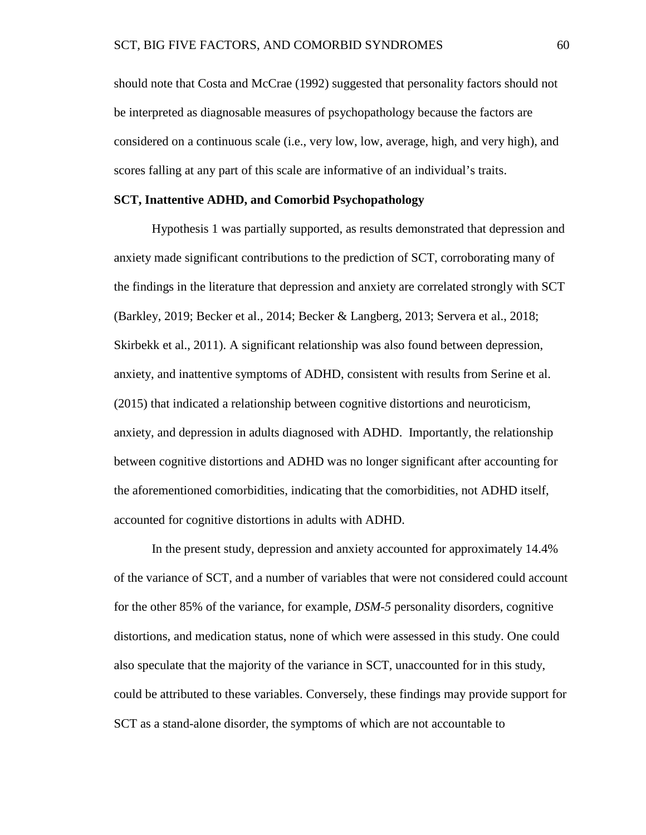should note that Costa and McCrae (1992) suggested that personality factors should not be interpreted as diagnosable measures of psychopathology because the factors are considered on a continuous scale (i.e., very low, low, average, high, and very high), and scores falling at any part of this scale are informative of an individual's traits.

## **SCT, Inattentive ADHD, and Comorbid Psychopathology**

Hypothesis 1 was partially supported, as results demonstrated that depression and anxiety made significant contributions to the prediction of SCT, corroborating many of the findings in the literature that depression and anxiety are correlated strongly with SCT (Barkley, 2019; Becker et al., 2014; Becker & Langberg, 2013; Servera et al., 2018; Skirbekk et al., 2011). A significant relationship was also found between depression, anxiety, and inattentive symptoms of ADHD, consistent with results from Serine et al. (2015) that indicated a relationship between cognitive distortions and neuroticism, anxiety, and depression in adults diagnosed with ADHD. Importantly, the relationship between cognitive distortions and ADHD was no longer significant after accounting for the aforementioned comorbidities, indicating that the comorbidities, not ADHD itself, accounted for cognitive distortions in adults with ADHD.

In the present study, depression and anxiety accounted for approximately 14.4% of the variance of SCT, and a number of variables that were not considered could account for the other 85% of the variance, for example, *DSM-5* personality disorders, cognitive distortions, and medication status, none of which were assessed in this study. One could also speculate that the majority of the variance in SCT, unaccounted for in this study, could be attributed to these variables. Conversely, these findings may provide support for SCT as a stand-alone disorder, the symptoms of which are not accountable to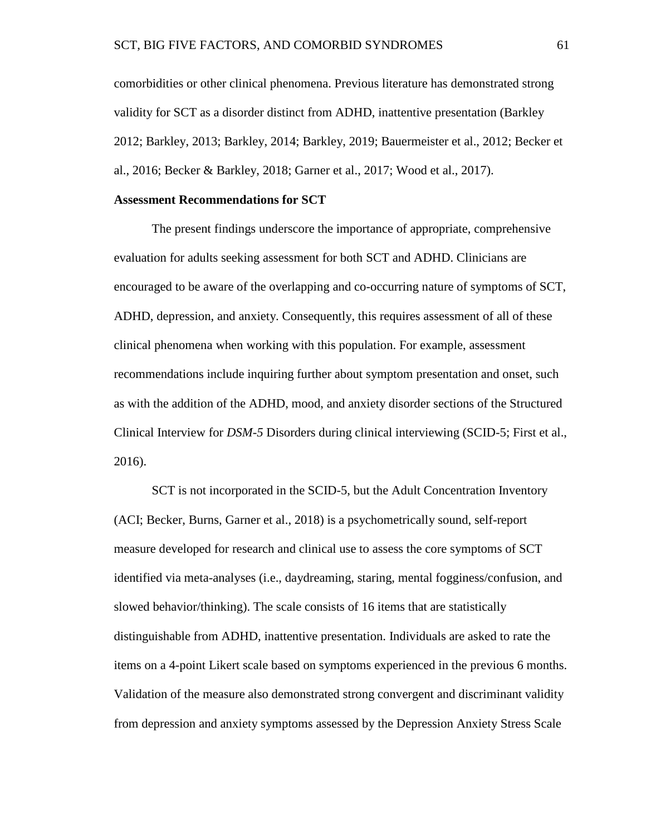comorbidities or other clinical phenomena. Previous literature has demonstrated strong validity for SCT as a disorder distinct from ADHD, inattentive presentation (Barkley 2012; Barkley, 2013; Barkley, 2014; Barkley, 2019; Bauermeister et al., 2012; Becker et al., 2016; Becker & Barkley, 2018; Garner et al., 2017; Wood et al., 2017).

## **Assessment Recommendations for SCT**

The present findings underscore the importance of appropriate, comprehensive evaluation for adults seeking assessment for both SCT and ADHD. Clinicians are encouraged to be aware of the overlapping and co-occurring nature of symptoms of SCT, ADHD, depression, and anxiety. Consequently, this requires assessment of all of these clinical phenomena when working with this population. For example, assessment recommendations include inquiring further about symptom presentation and onset, such as with the addition of the ADHD, mood, and anxiety disorder sections of the Structured Clinical Interview for *DSM-5* Disorders during clinical interviewing (SCID-5; First et al., 2016).

SCT is not incorporated in the SCID-5, but the Adult Concentration Inventory (ACI; Becker, Burns, Garner et al., 2018) is a psychometrically sound, self-report measure developed for research and clinical use to assess the core symptoms of SCT identified via meta-analyses (i.e., daydreaming, staring, mental fogginess/confusion, and slowed behavior/thinking). The scale consists of 16 items that are statistically distinguishable from ADHD, inattentive presentation. Individuals are asked to rate the items on a 4-point Likert scale based on symptoms experienced in the previous 6 months. Validation of the measure also demonstrated strong convergent and discriminant validity from depression and anxiety symptoms assessed by the Depression Anxiety Stress Scale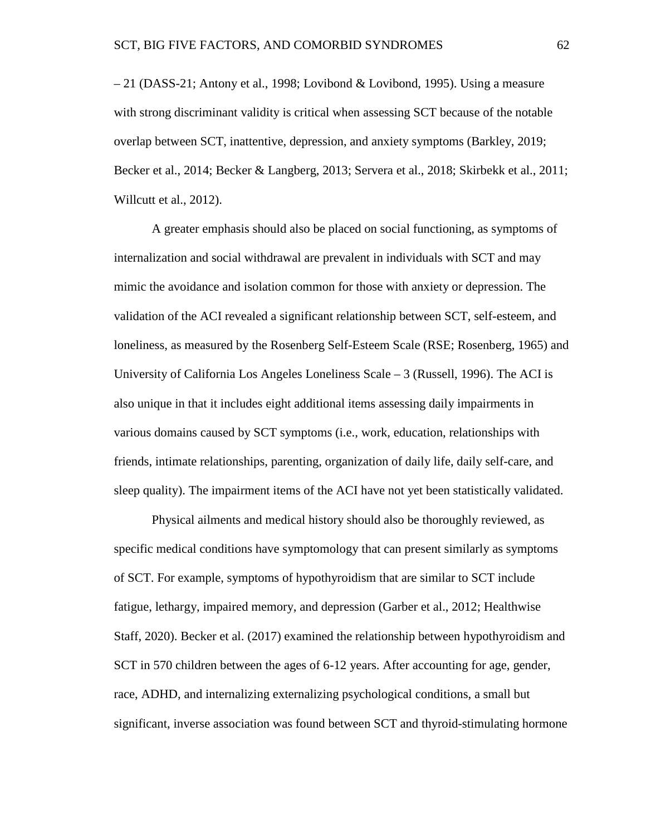– 21 (DASS-21; Antony et al., 1998; Lovibond & Lovibond, 1995). Using a measure with strong discriminant validity is critical when assessing SCT because of the notable overlap between SCT, inattentive, depression, and anxiety symptoms (Barkley, 2019; Becker et al., 2014; Becker & Langberg, 2013; Servera et al., 2018; Skirbekk et al., 2011; Willcutt et al., 2012).

A greater emphasis should also be placed on social functioning, as symptoms of internalization and social withdrawal are prevalent in individuals with SCT and may mimic the avoidance and isolation common for those with anxiety or depression. The validation of the ACI revealed a significant relationship between SCT, self-esteem, and loneliness, as measured by the Rosenberg Self-Esteem Scale (RSE; Rosenberg, 1965) and University of California Los Angeles Loneliness Scale – 3 (Russell, 1996). The ACI is also unique in that it includes eight additional items assessing daily impairments in various domains caused by SCT symptoms (i.e., work, education, relationships with friends, intimate relationships, parenting, organization of daily life, daily self-care, and sleep quality). The impairment items of the ACI have not yet been statistically validated.

Physical ailments and medical history should also be thoroughly reviewed, as specific medical conditions have symptomology that can present similarly as symptoms of SCT. For example, symptoms of hypothyroidism that are similar to SCT include fatigue, lethargy, impaired memory, and depression (Garber et al., 2012; Healthwise Staff, 2020). Becker et al. (2017) examined the relationship between hypothyroidism and SCT in 570 children between the ages of 6-12 years. After accounting for age, gender, race, ADHD, and internalizing externalizing psychological conditions, a small but significant, inverse association was found between SCT and thyroid-stimulating hormone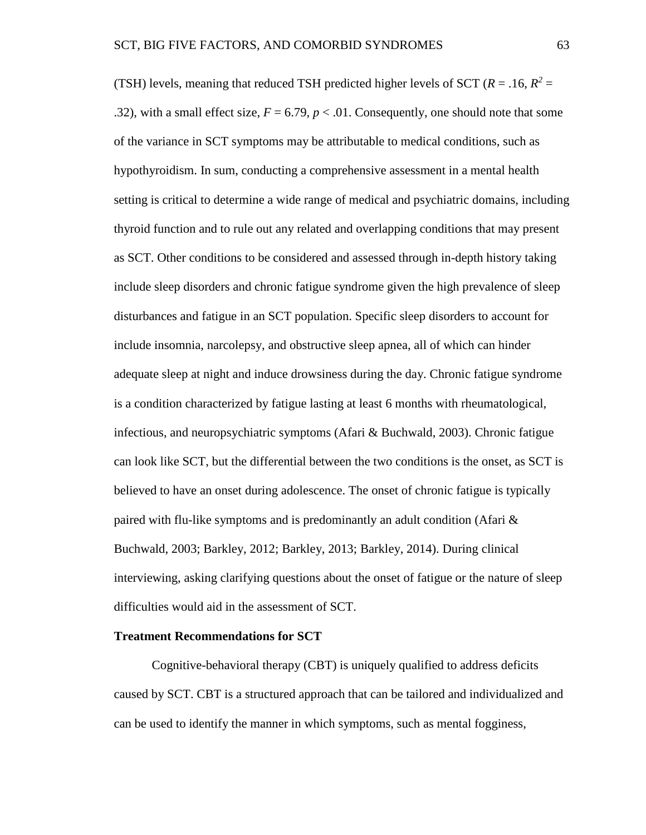(TSH) levels, meaning that reduced TSH predicted higher levels of SCT ( $R = .16$ ,  $R^2 =$ .32), with a small effect size,  $F = 6.79$ ,  $p < .01$ . Consequently, one should note that some of the variance in SCT symptoms may be attributable to medical conditions, such as hypothyroidism. In sum, conducting a comprehensive assessment in a mental health setting is critical to determine a wide range of medical and psychiatric domains, including thyroid function and to rule out any related and overlapping conditions that may present as SCT. Other conditions to be considered and assessed through in-depth history taking include sleep disorders and chronic fatigue syndrome given the high prevalence of sleep disturbances and fatigue in an SCT population. Specific sleep disorders to account for include insomnia, narcolepsy, and obstructive sleep apnea, all of which can hinder adequate sleep at night and induce drowsiness during the day. Chronic fatigue syndrome is a condition characterized by fatigue lasting at least 6 months with rheumatological, infectious, and neuropsychiatric symptoms (Afari & Buchwald, 2003). Chronic fatigue can look like SCT, but the differential between the two conditions is the onset, as SCT is believed to have an onset during adolescence. The onset of chronic fatigue is typically paired with flu-like symptoms and is predominantly an adult condition (Afari  $\&$ Buchwald, 2003; Barkley, 2012; Barkley, 2013; Barkley, 2014). During clinical interviewing, asking clarifying questions about the onset of fatigue or the nature of sleep difficulties would aid in the assessment of SCT.

## **Treatment Recommendations for SCT**

Cognitive-behavioral therapy (CBT) is uniquely qualified to address deficits caused by SCT. CBT is a structured approach that can be tailored and individualized and can be used to identify the manner in which symptoms, such as mental fogginess,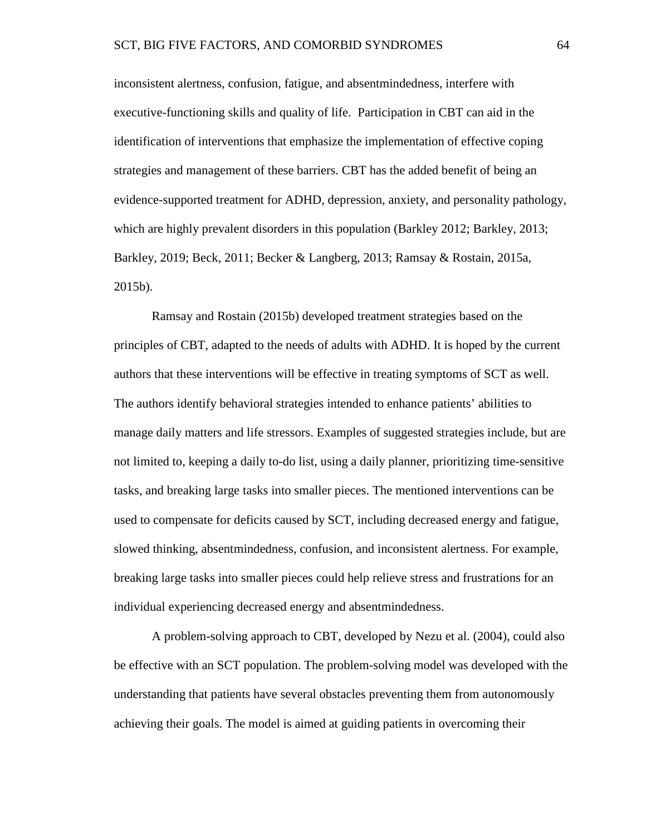inconsistent alertness, confusion, fatigue, and absentmindedness, interfere with executive-functioning skills and quality of life. Participation in CBT can aid in the identification of interventions that emphasize the implementation of effective coping strategies and management of these barriers. CBT has the added benefit of being an evidence-supported treatment for ADHD, depression, anxiety, and personality pathology, which are highly prevalent disorders in this population (Barkley 2012; Barkley, 2013; Barkley, 2019; Beck, 2011; Becker & Langberg, 2013; Ramsay & Rostain, 2015a, 2015b).

Ramsay and Rostain (2015b) developed treatment strategies based on the principles of CBT, adapted to the needs of adults with ADHD. It is hoped by the current authors that these interventions will be effective in treating symptoms of SCT as well. The authors identify behavioral strategies intended to enhance patients' abilities to manage daily matters and life stressors. Examples of suggested strategies include, but are not limited to, keeping a daily to-do list, using a daily planner, prioritizing time-sensitive tasks, and breaking large tasks into smaller pieces. The mentioned interventions can be used to compensate for deficits caused by SCT, including decreased energy and fatigue, slowed thinking, absentmindedness, confusion, and inconsistent alertness. For example, breaking large tasks into smaller pieces could help relieve stress and frustrations for an individual experiencing decreased energy and absentmindedness.

A problem-solving approach to CBT, developed by Nezu et al. (2004), could also be effective with an SCT population. The problem-solving model was developed with the understanding that patients have several obstacles preventing them from autonomously achieving their goals. The model is aimed at guiding patients in overcoming their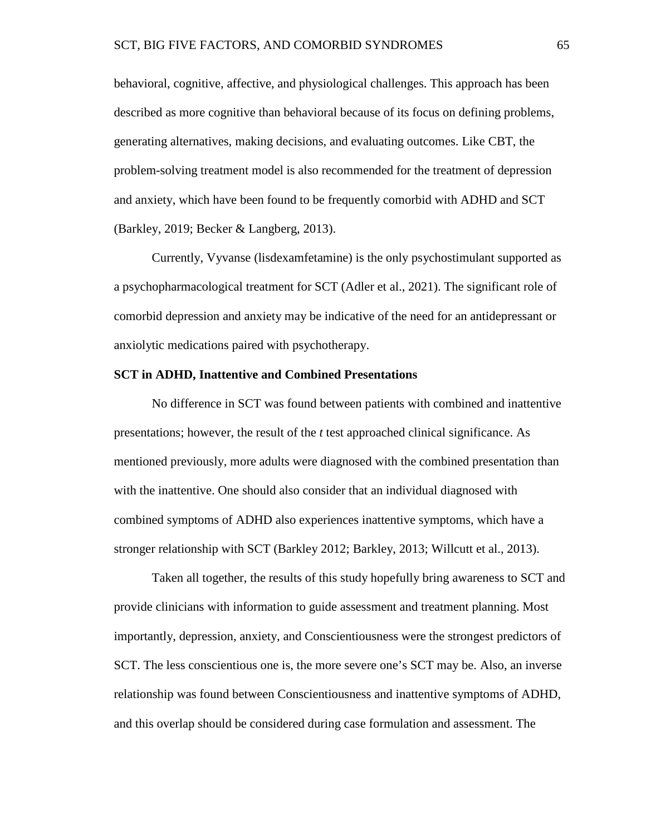behavioral, cognitive, affective, and physiological challenges. This approach has been described as more cognitive than behavioral because of its focus on defining problems, generating alternatives, making decisions, and evaluating outcomes. Like CBT, the problem-solving treatment model is also recommended for the treatment of depression and anxiety, which have been found to be frequently comorbid with ADHD and SCT (Barkley, 2019; Becker & Langberg, 2013).

Currently, Vyvanse (lisdexamfetamine) is the only psychostimulant supported as a psychopharmacological treatment for SCT (Adler et al., 2021). The significant role of comorbid depression and anxiety may be indicative of the need for an antidepressant or anxiolytic medications paired with psychotherapy.

### **SCT in ADHD, Inattentive and Combined Presentations**

No difference in SCT was found between patients with combined and inattentive presentations; however, the result of the *t* test approached clinical significance. As mentioned previously, more adults were diagnosed with the combined presentation than with the inattentive. One should also consider that an individual diagnosed with combined symptoms of ADHD also experiences inattentive symptoms, which have a stronger relationship with SCT (Barkley 2012; Barkley, 2013; Willcutt et al., 2013).

Taken all together, the results of this study hopefully bring awareness to SCT and provide clinicians with information to guide assessment and treatment planning. Most importantly, depression, anxiety, and Conscientiousness were the strongest predictors of SCT. The less conscientious one is, the more severe one's SCT may be. Also, an inverse relationship was found between Conscientiousness and inattentive symptoms of ADHD, and this overlap should be considered during case formulation and assessment. The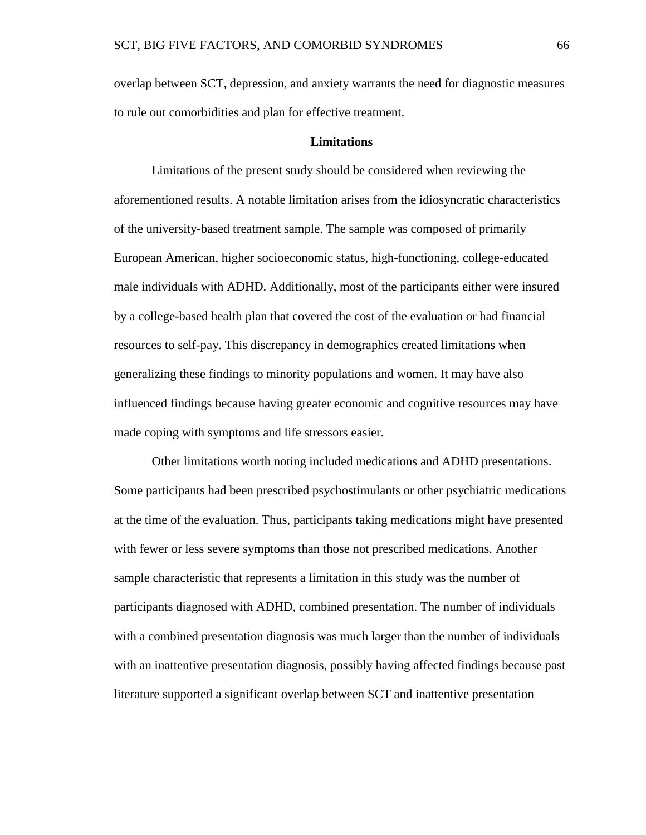overlap between SCT, depression, and anxiety warrants the need for diagnostic measures to rule out comorbidities and plan for effective treatment.

## **Limitations**

Limitations of the present study should be considered when reviewing the aforementioned results. A notable limitation arises from the idiosyncratic characteristics of the university-based treatment sample. The sample was composed of primarily European American, higher socioeconomic status, high-functioning, college-educated male individuals with ADHD. Additionally, most of the participants either were insured by a college-based health plan that covered the cost of the evaluation or had financial resources to self-pay. This discrepancy in demographics created limitations when generalizing these findings to minority populations and women. It may have also influenced findings because having greater economic and cognitive resources may have made coping with symptoms and life stressors easier.

Other limitations worth noting included medications and ADHD presentations. Some participants had been prescribed psychostimulants or other psychiatric medications at the time of the evaluation. Thus, participants taking medications might have presented with fewer or less severe symptoms than those not prescribed medications. Another sample characteristic that represents a limitation in this study was the number of participants diagnosed with ADHD, combined presentation. The number of individuals with a combined presentation diagnosis was much larger than the number of individuals with an inattentive presentation diagnosis, possibly having affected findings because past literature supported a significant overlap between SCT and inattentive presentation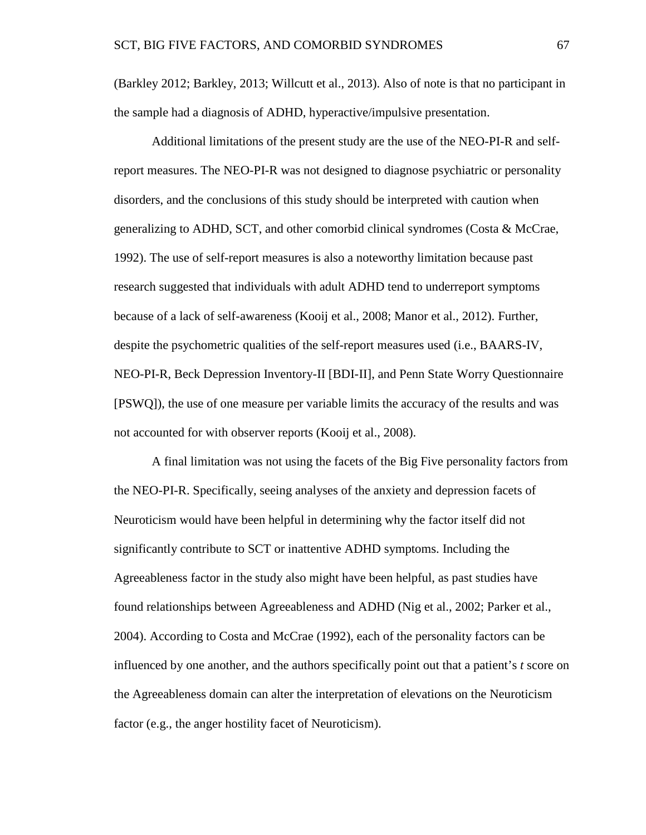(Barkley 2012; Barkley, 2013; Willcutt et al., 2013). Also of note is that no participant in the sample had a diagnosis of ADHD, hyperactive/impulsive presentation.

Additional limitations of the present study are the use of the NEO-PI-R and selfreport measures. The NEO-PI-R was not designed to diagnose psychiatric or personality disorders, and the conclusions of this study should be interpreted with caution when generalizing to ADHD, SCT, and other comorbid clinical syndromes (Costa & McCrae, 1992). The use of self-report measures is also a noteworthy limitation because past research suggested that individuals with adult ADHD tend to underreport symptoms because of a lack of self-awareness (Kooij et al., 2008; Manor et al., 2012). Further, despite the psychometric qualities of the self-report measures used (i.e., BAARS-IV, NEO-PI-R, Beck Depression Inventory-II [BDI-II], and Penn State Worry Questionnaire [PSWQ]), the use of one measure per variable limits the accuracy of the results and was not accounted for with observer reports (Kooij et al., 2008).

A final limitation was not using the facets of the Big Five personality factors from the NEO-PI-R. Specifically, seeing analyses of the anxiety and depression facets of Neuroticism would have been helpful in determining why the factor itself did not significantly contribute to SCT or inattentive ADHD symptoms. Including the Agreeableness factor in the study also might have been helpful, as past studies have found relationships between Agreeableness and ADHD (Nig et al., 2002; Parker et al., 2004). According to Costa and McCrae (1992), each of the personality factors can be influenced by one another, and the authors specifically point out that a patient's *t* score on the Agreeableness domain can alter the interpretation of elevations on the Neuroticism factor (e.g., the anger hostility facet of Neuroticism).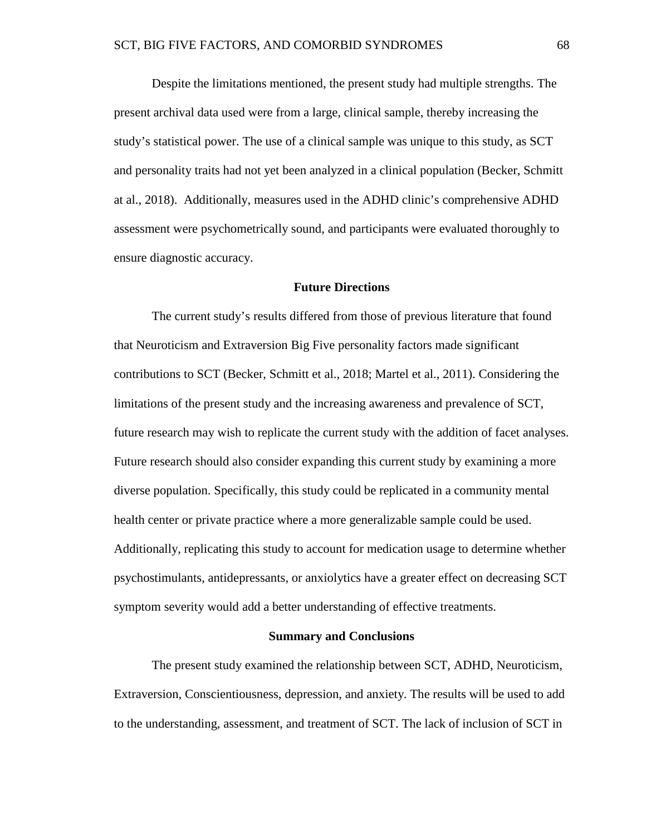Despite the limitations mentioned, the present study had multiple strengths. The present archival data used were from a large, clinical sample, thereby increasing the study's statistical power. The use of a clinical sample was unique to this study, as SCT and personality traits had not yet been analyzed in a clinical population (Becker, Schmitt at al., 2018). Additionally, measures used in the ADHD clinic's comprehensive ADHD assessment were psychometrically sound, and participants were evaluated thoroughly to ensure diagnostic accuracy.

## **Future Directions**

The current study's results differed from those of previous literature that found that Neuroticism and Extraversion Big Five personality factors made significant contributions to SCT (Becker, Schmitt et al., 2018; Martel et al., 2011). Considering the limitations of the present study and the increasing awareness and prevalence of SCT, future research may wish to replicate the current study with the addition of facet analyses. Future research should also consider expanding this current study by examining a more diverse population. Specifically, this study could be replicated in a community mental health center or private practice where a more generalizable sample could be used. Additionally, replicating this study to account for medication usage to determine whether psychostimulants, antidepressants, or anxiolytics have a greater effect on decreasing SCT symptom severity would add a better understanding of effective treatments.

## **Summary and Conclusions**

The present study examined the relationship between SCT, ADHD, Neuroticism, Extraversion, Conscientiousness, depression, and anxiety. The results will be used to add to the understanding, assessment, and treatment of SCT. The lack of inclusion of SCT in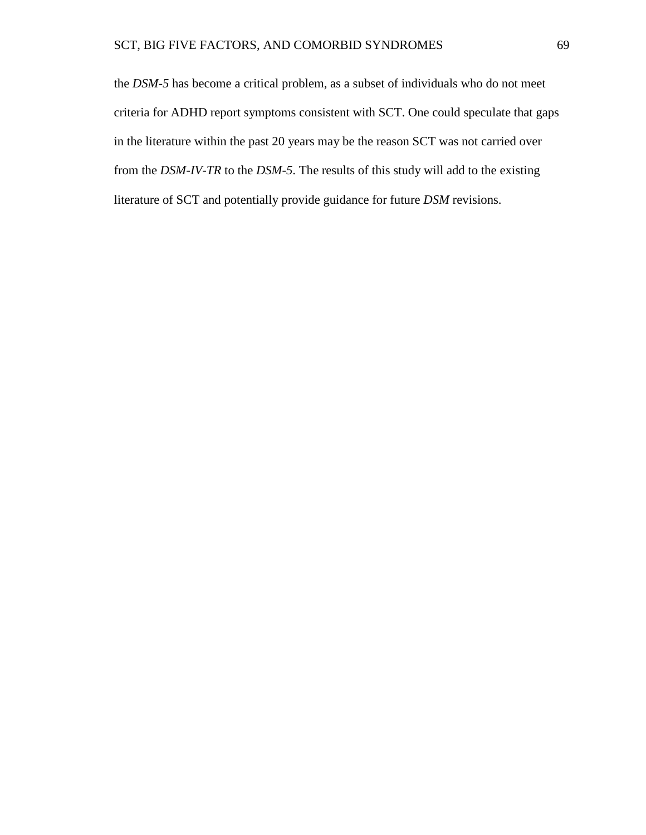the *DSM-5* has become a critical problem, as a subset of individuals who do not meet criteria for ADHD report symptoms consistent with SCT. One could speculate that gaps in the literature within the past 20 years may be the reason SCT was not carried over from the *DSM-IV-TR* to the *DSM-5*. The results of this study will add to the existing literature of SCT and potentially provide guidance for future *DSM* revisions.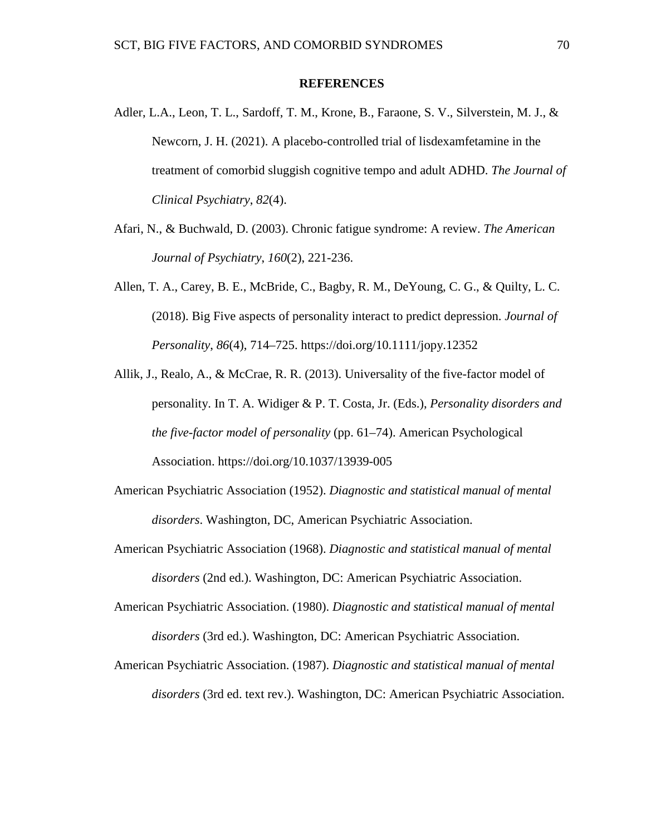## **REFERENCES**

- Adler, L.A., Leon, T. L., Sardoff, T. M., Krone, B., Faraone, S. V., Silverstein, M. J., & Newcorn, J. H. (2021). A placebo-controlled trial of lisdexamfetamine in the treatment of comorbid sluggish cognitive tempo and adult ADHD. *The Journal of Clinical Psychiatry*, *82*(4).
- Afari, N., & Buchwald, D. (2003). Chronic fatigue syndrome: A review. *The American Journal of Psychiatry*, *160*(2), 221-236.
- Allen, T. A., Carey, B. E., McBride, C., Bagby, R. M., DeYoung, C. G., & Quilty, L. C. (2018). Big Five aspects of personality interact to predict depression. *Journal of Personality*, *86*(4), 714–725. https://doi.org/10.1111/jopy.12352
- Allik, J., Realo, A., & McCrae, R. R. (2013). Universality of the five-factor model of personality. In T. A. Widiger & P. T. Costa, Jr. (Eds.), *Personality disorders and the five-factor model of personality* (pp. 61–74). American Psychological Association. https://doi.org/10.1037/13939-005
- American Psychiatric Association (1952). *Diagnostic and statistical manual of mental disorders*. Washington, DC, American Psychiatric Association.
- American Psychiatric Association (1968). *Diagnostic and statistical manual of mental disorders* (2nd ed.). Washington, DC: American Psychiatric Association.
- American Psychiatric Association. (1980). *Diagnostic and statistical manual of mental disorders* (3rd ed.). Washington, DC: American Psychiatric Association.
- American Psychiatric Association. (1987). *Diagnostic and statistical manual of mental disorders* (3rd ed. text rev.). Washington, DC: American Psychiatric Association.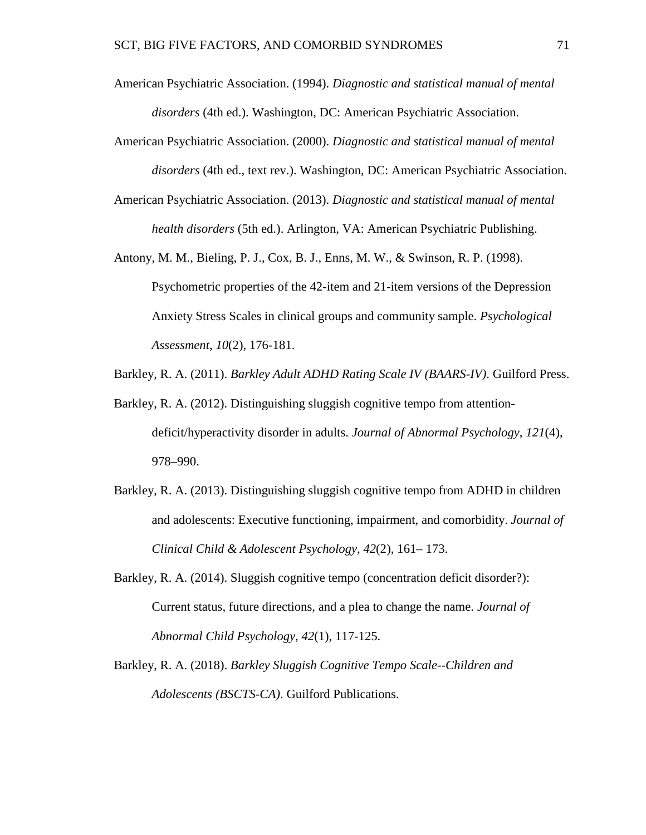- American Psychiatric Association. (1994). *Diagnostic and statistical manual of mental disorders* (4th ed.). Washington, DC: American Psychiatric Association.
- American Psychiatric Association. (2000). *Diagnostic and statistical manual of mental disorders* (4th ed., text rev.). Washington, DC: American Psychiatric Association.
- American Psychiatric Association. (2013). *Diagnostic and statistical manual of mental health disorders* (5th ed.). Arlington, VA: American Psychiatric Publishing.
- Antony, M. M., Bieling, P. J., Cox, B. J., Enns, M. W., & Swinson, R. P. (1998). Psychometric properties of the 42-item and 21-item versions of the Depression Anxiety Stress Scales in clinical groups and community sample. *Psychological Assessment*, *10*(2), 176-181.
- Barkley, R. A. (2011). *Barkley Adult ADHD Rating Scale IV (BAARS-IV)*. Guilford Press.
- Barkley, R. A. (2012). Distinguishing sluggish cognitive tempo from attentiondeficit/hyperactivity disorder in adults. *Journal of Abnormal Psychology*, *121*(4), 978–990.
- Barkley, R. A. (2013). Distinguishing sluggish cognitive tempo from ADHD in children and adolescents: Executive functioning, impairment, and comorbidity. *Journal of Clinical Child & Adolescent Psychology*, *42*(2), 161– 173.
- Barkley, R. A. (2014). Sluggish cognitive tempo (concentration deficit disorder?): Current status, future directions, and a plea to change the name. *Journal of Abnormal Child Psychology*, *42*(1), 117-125.
- Barkley, R. A. (2018). *Barkley Sluggish Cognitive Tempo Scale--Children and Adolescents (BSCTS-CA)*. Guilford Publications.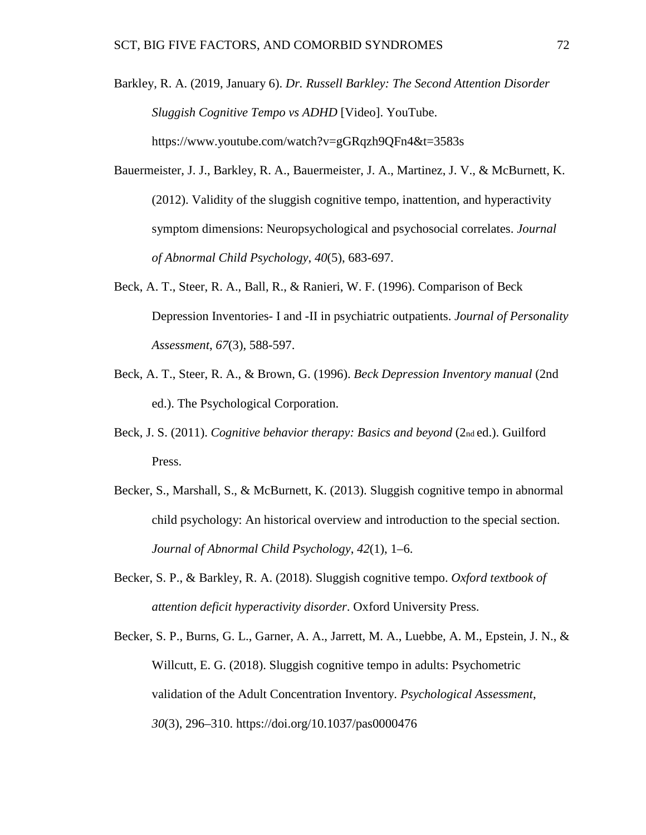Barkley, R. A. (2019, January 6). *Dr. Russell Barkley: The Second Attention Disorder Sluggish Cognitive Tempo vs ADHD* [Video]. YouTube. https://www.youtube.com/watch?v=gGRqzh9QFn4&t=3583s

- Bauermeister, J. J., Barkley, R. A., Bauermeister, J. A., Martinez, J. V., & McBurnett, K. (2012). Validity of the sluggish cognitive tempo, inattention, and hyperactivity symptom dimensions: Neuropsychological and psychosocial correlates. *Journal of Abnormal Child Psychology*, *40*(5), 683-697.
- Beck, A. T., Steer, R. A., Ball, R., & Ranieri, W. F. (1996). Comparison of Beck Depression Inventories- I and -II in psychiatric outpatients. *Journal of Personality Assessment*, *67*(3), 588-597.
- Beck, A. T., Steer, R. A., & Brown, G. (1996). *Beck Depression Inventory manual* (2nd ed.). The Psychological Corporation.
- Beck, J. S. (2011). *Cognitive behavior therapy: Basics and beyond* (2nd ed.). Guilford Press.
- Becker, S., Marshall, S., & McBurnett, K. (2013). Sluggish cognitive tempo in abnormal child psychology: An historical overview and introduction to the special section. *Journal of Abnormal Child Psychology*, *42*(1), 1–6.
- Becker, S. P., & Barkley, R. A. (2018). Sluggish cognitive tempo. *Oxford textbook of attention deficit hyperactivity disorder*. Oxford University Press.
- Becker, S. P., Burns, G. L., Garner, A. A., Jarrett, M. A., Luebbe, A. M., Epstein, J. N., & Willcutt, E. G. (2018). Sluggish cognitive tempo in adults: Psychometric validation of the Adult Concentration Inventory. *Psychological Assessment*, *30*(3), 296–310. https://doi.org/10.1037/pas0000476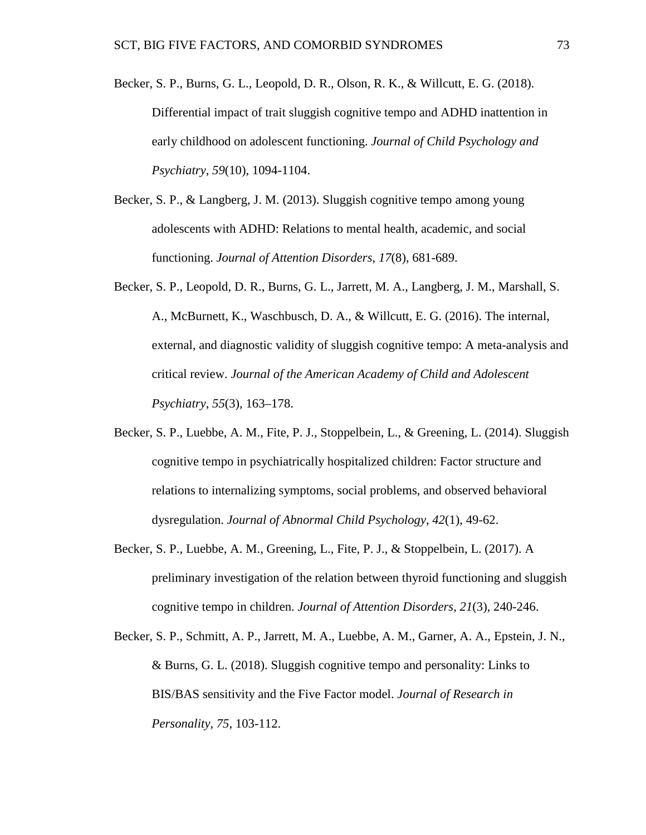- Becker, S. P., Burns, G. L., Leopold, D. R., Olson, R. K., & Willcutt, E. G. (2018). Differential impact of trait sluggish cognitive tempo and ADHD inattention in early childhood on adolescent functioning. *Journal of Child Psychology and Psychiatry*, *59*(10), 1094-1104.
- Becker, S. P., & Langberg, J. M. (2013). Sluggish cognitive tempo among young adolescents with ADHD: Relations to mental health, academic, and social functioning. *Journal of Attention Disorders*, *17*(8), 681-689.
- Becker, S. P., Leopold, D. R., Burns, G. L., Jarrett, M. A., Langberg, J. M., Marshall, S. A., McBurnett, K., Waschbusch, D. A., & Willcutt, E. G. (2016). The internal, external, and diagnostic validity of sluggish cognitive tempo: A meta-analysis and critical review. *Journal of the American Academy of Child and Adolescent Psychiatry*, *55*(3), 163–178.
- Becker, S. P., Luebbe, A. M., Fite, P. J., Stoppelbein, L., & Greening, L. (2014). Sluggish cognitive tempo in psychiatrically hospitalized children: Factor structure and relations to internalizing symptoms, social problems, and observed behavioral dysregulation. *Journal of Abnormal Child Psychology*, *42*(1), 49-62.
- Becker, S. P., Luebbe, A. M., Greening, L., Fite, P. J., & Stoppelbein, L. (2017). A preliminary investigation of the relation between thyroid functioning and sluggish cognitive tempo in children. *Journal of Attention Disorders*, *21*(3), 240-246.
- Becker, S. P., Schmitt, A. P., Jarrett, M. A., Luebbe, A. M., Garner, A. A., Epstein, J. N., & Burns, G. L. (2018). Sluggish cognitive tempo and personality: Links to BIS/BAS sensitivity and the Five Factor model. *Journal of Research in Personality*, *75*, 103-112.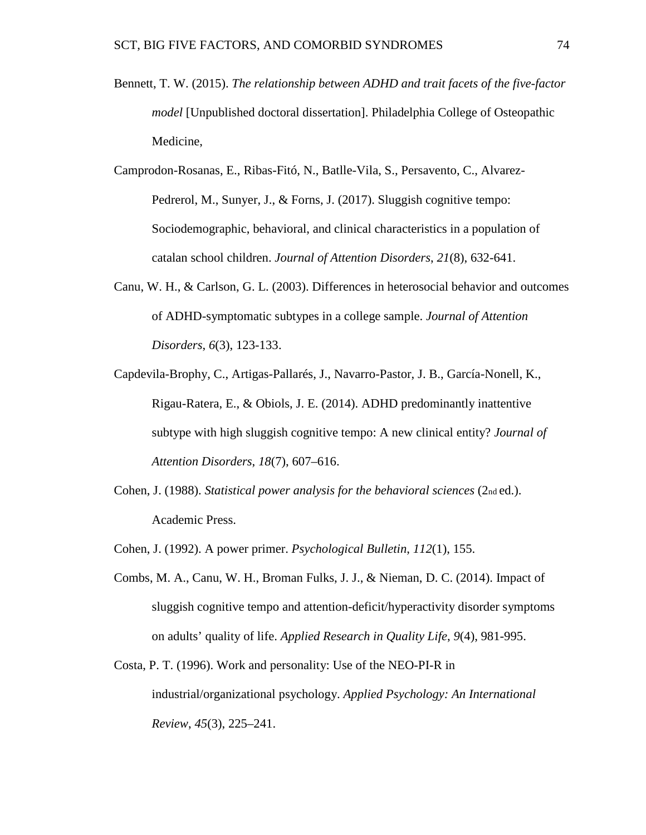- Bennett, T. W. (2015). *The relationship between ADHD and trait facets of the five-factor model* [Unpublished doctoral dissertation]. Philadelphia College of Osteopathic Medicine,
- Camprodon-Rosanas, E., Ribas-Fitó, N., Batlle-Vila, S., Persavento, C., Alvarez-Pedrerol, M., Sunyer, J., & Forns, J. (2017). Sluggish cognitive tempo: Sociodemographic, behavioral, and clinical characteristics in a population of catalan school children. *Journal of Attention Disorders*, *21*(8), 632-641.
- Canu, W. H., & Carlson, G. L. (2003). Differences in heterosocial behavior and outcomes of ADHD-symptomatic subtypes in a college sample. *Journal of Attention Disorders*, *6*(3), 123-133.
- Capdevila-Brophy, C., Artigas-Pallarés, J., Navarro-Pastor, J. B., García-Nonell, K., Rigau-Ratera, E., & Obiols, J. E. (2014). ADHD predominantly inattentive subtype with high sluggish cognitive tempo: A new clinical entity? *Journal of Attention Disorders*, *18*(7), 607–616.
- Cohen, J. (1988). *Statistical power analysis for the behavioral sciences* (2nd ed.). Academic Press.
- Cohen, J. (1992). A power primer. *Psychological Bulletin*, *112*(1), 155.
- Combs, M. A., Canu, W. H., Broman Fulks, J. J., & Nieman, D. C. (2014). Impact of sluggish cognitive tempo and attention-deficit/hyperactivity disorder symptoms on adults' quality of life. *Applied Research in Quality Life*, *9*(4), 981-995.
- Costa, P. T. (1996). Work and personality: Use of the NEO-PI-R in industrial/organizational psychology. *Applied Psychology: An International Review*, *45*(3), 225–241.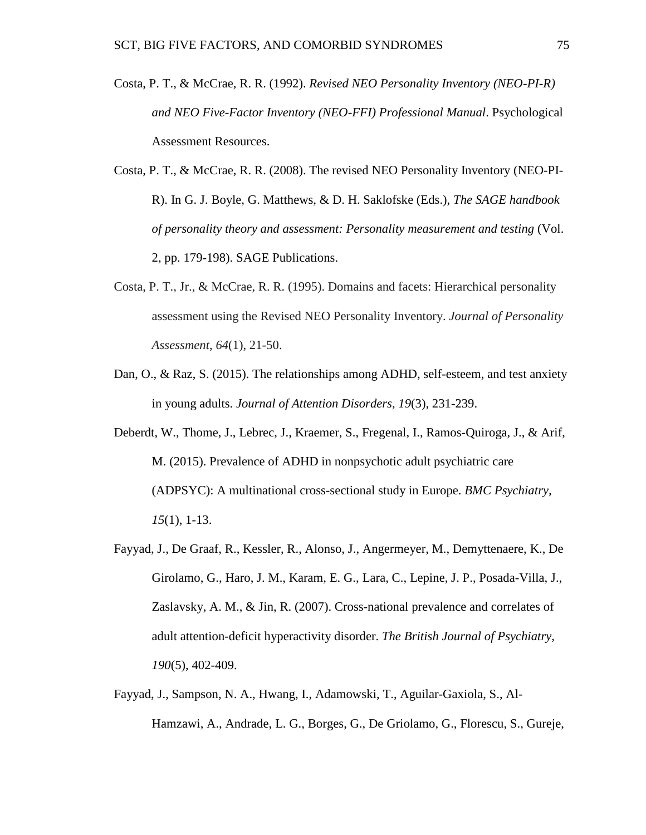- Costa, P. T., & McCrae, R. R. (1992). *Revised NEO Personality Inventory (NEO-PI-R) and NEO Five-Factor Inventory (NEO-FFI) Professional Manual*. Psychological Assessment Resources.
- Costa, P. T., & McCrae, R. R. (2008). The revised NEO Personality Inventory (NEO-PI-R). In G. J. Boyle, G. Matthews, & D. H. Saklofske (Eds.), *The SAGE handbook of personality theory and assessment: Personality measurement and testing* (Vol. 2, pp. 179-198). SAGE Publications.
- Costa, P. T., Jr., & McCrae, R. R. (1995). Domains and facets: Hierarchical personality assessment using the Revised NEO Personality Inventory. *Journal of Personality Assessment*, *64*(1), 21-50.
- Dan, O., & Raz, S. (2015). The relationships among ADHD, self-esteem, and test anxiety in young adults. *Journal of Attention Disorders*, *19*(3), 231-239.
- Deberdt, W., Thome, J., Lebrec, J., Kraemer, S., Fregenal, I., Ramos-Quiroga, J., & Arif, M. (2015). Prevalence of ADHD in nonpsychotic adult psychiatric care (ADPSYC): A multinational cross-sectional study in Europe. *BMC Psychiatry, 15*(1), 1-13.
- Fayyad, J., De Graaf, R., Kessler, R., Alonso, J., Angermeyer, M., Demyttenaere, K., De Girolamo, G., Haro, J. M., Karam, E. G., Lara, C., Lepine, J. P., Posada-Villa, J., Zaslavsky, A. M., & Jin, R. (2007). Cross-national prevalence and correlates of adult attention-deficit hyperactivity disorder. *The British Journal of Psychiatry*, *190*(5), 402-409.
- Fayyad, J., Sampson, N. A., Hwang, I., Adamowski, T., Aguilar-Gaxiola, S., Al-Hamzawi, A., Andrade, L. G., Borges, G., De Griolamo, G., Florescu, S., Gureje,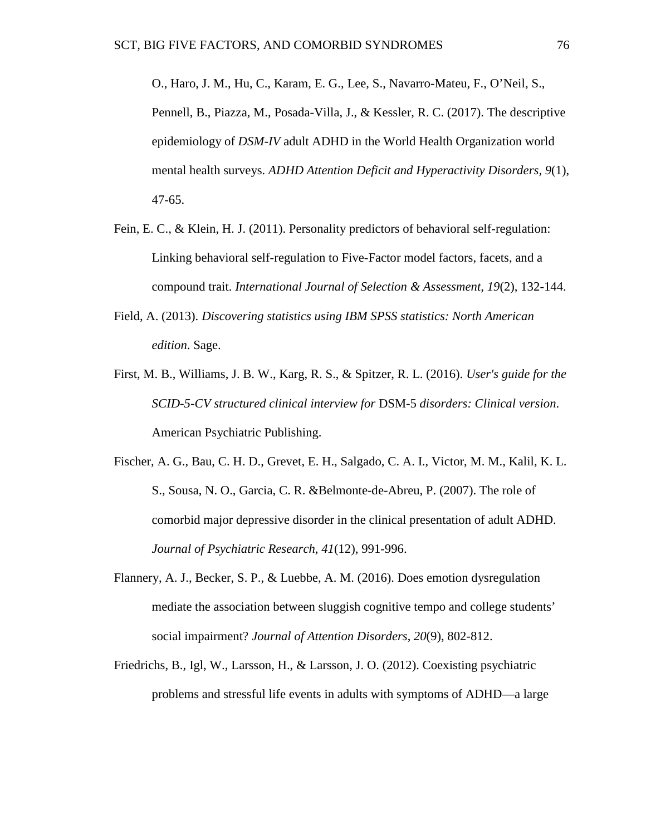O., Haro, J. M., Hu, C., Karam, E. G., Lee, S., Navarro-Mateu, F., O'Neil, S., Pennell, B., Piazza, M., Posada-Villa, J., & Kessler, R. C. (2017). The descriptive epidemiology of *DSM-IV* adult ADHD in the World Health Organization world mental health surveys. *ADHD Attention Deficit and Hyperactivity Disorders, 9*(1), 47-65.

- Fein, E. C., & Klein, H. J. (2011). Personality predictors of behavioral self-regulation: Linking behavioral self-regulation to Five-Factor model factors, facets, and a compound trait. *International Journal of Selection & Assessment, 19*(2), 132-144.
- Field, A. (2013). *Discovering statistics using IBM SPSS statistics: North American edition*. Sage.
- First, M. B., Williams, J. B. W., Karg, R. S., & Spitzer, R. L. (2016). *User's guide for the SCID-5-CV structured clinical interview for* DSM-5 *disorders: Clinical version*. American Psychiatric Publishing.
- Fischer, A. G., Bau, C. H. D., Grevet, E. H., Salgado, C. A. I., Victor, M. M., Kalil, K. L. S., Sousa, N. O., Garcia, C. R. &Belmonte-de-Abreu, P. (2007). The role of comorbid major depressive disorder in the clinical presentation of adult ADHD. *Journal of Psychiatric Research*, *41*(12), 991-996.
- Flannery, A. J., Becker, S. P., & Luebbe, A. M. (2016). Does emotion dysregulation mediate the association between sluggish cognitive tempo and college students' social impairment? *Journal of Attention Disorders*, *20*(9), 802-812.
- Friedrichs, B., Igl, W., Larsson, H., & Larsson, J. O. (2012). Coexisting psychiatric problems and stressful life events in adults with symptoms of ADHD—a large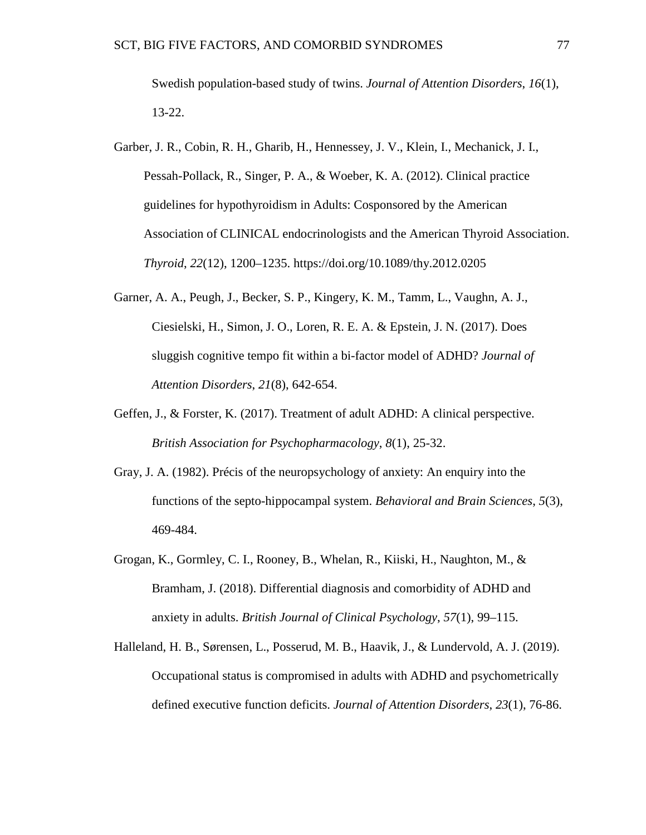Swedish population-based study of twins. *Journal of Attention Disorders*, *16*(1), 13-22.

- Garber, J. R., Cobin, R. H., Gharib, H., Hennessey, J. V., Klein, I., Mechanick, J. I., Pessah-Pollack, R., Singer, P. A., & Woeber, K. A. (2012). Clinical practice guidelines for hypothyroidism in Adults: Cosponsored by the American Association of CLINICAL endocrinologists and the American Thyroid Association. *Thyroid*, *22*(12), 1200–1235. https://doi.org/10.1089/thy.2012.0205
- Garner, A. A., Peugh, J., Becker, S. P., Kingery, K. M., Tamm, L., Vaughn, A. J., Ciesielski, H., Simon, J. O., Loren, R. E. A. & Epstein, J. N. (2017). Does sluggish cognitive tempo fit within a bi-factor model of ADHD? *Journal of Attention Disorders*, *21*(8), 642-654.
- Geffen, J., & Forster, K. (2017). Treatment of adult ADHD: A clinical perspective. *British Association for Psychopharmacology*, *8*(1), 25-32.
- Gray, J. A. (1982). Précis of the neuropsychology of anxiety: An enquiry into the functions of the septo-hippocampal system. *Behavioral and Brain Sciences*, *5*(3), 469-484.
- Grogan, K., Gormley, C. I., Rooney, B., Whelan, R., Kiiski, H., Naughton, M., & Bramham, J. (2018). Differential diagnosis and comorbidity of ADHD and anxiety in adults. *British Journal of Clinical Psychology*, *57*(1), 99–115.
- Halleland, H. B., Sørensen, L., Posserud, M. B., Haavik, J., & Lundervold, A. J. (2019). Occupational status is compromised in adults with ADHD and psychometrically defined executive function deficits. *Journal of Attention Disorders*, *23*(1), 76-86.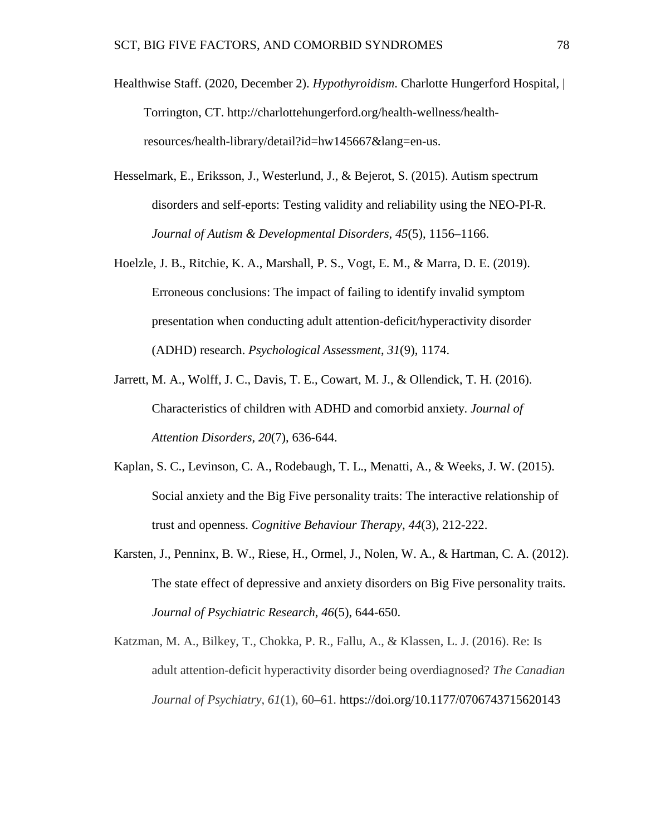- Healthwise Staff. (2020, December 2). *Hypothyroidism*. Charlotte Hungerford Hospital, | Torrington, CT. http://charlottehungerford.org/health-wellness/healthresources/health-library/detail?id=hw145667&lang=en-us.
- Hesselmark, E., Eriksson, J., Westerlund, J., & Bejerot, S. (2015). Autism spectrum disorders and self-eports: Testing validity and reliability using the NEO-PI-R. *Journal of Autism & Developmental Disorders*, *45*(5), 1156–1166.
- Hoelzle, J. B., Ritchie, K. A., Marshall, P. S., Vogt, E. M., & Marra, D. E. (2019). Erroneous conclusions: The impact of failing to identify invalid symptom presentation when conducting adult attention-deficit/hyperactivity disorder (ADHD) research. *Psychological Assessment*, *31*(9), 1174.
- Jarrett, M. A., Wolff, J. C., Davis, T. E., Cowart, M. J., & Ollendick, T. H. (2016). Characteristics of children with ADHD and comorbid anxiety. *Journal of Attention Disorders*, *20*(7), 636-644.
- Kaplan, S. C., Levinson, C. A., Rodebaugh, T. L., Menatti, A., & Weeks, J. W. (2015). Social anxiety and the Big Five personality traits: The interactive relationship of trust and openness. *Cognitive Behaviour Therapy*, *44*(3), 212-222.
- Karsten, J., Penninx, B. W., Riese, H., Ormel, J., Nolen, W. A., & Hartman, C. A. (2012). The state effect of depressive and anxiety disorders on Big Five personality traits. *Journal of Psychiatric Research*, *46*(5), 644-650.
- Katzman, M. A., Bilkey, T., Chokka, P. R., Fallu, A., & Klassen, L. J. (2016). Re: Is adult attention-deficit hyperactivity disorder being overdiagnosed? *The Canadian Journal of Psychiatry*, *61*(1), 60–61. https://doi.org/10.1177/0706743715620143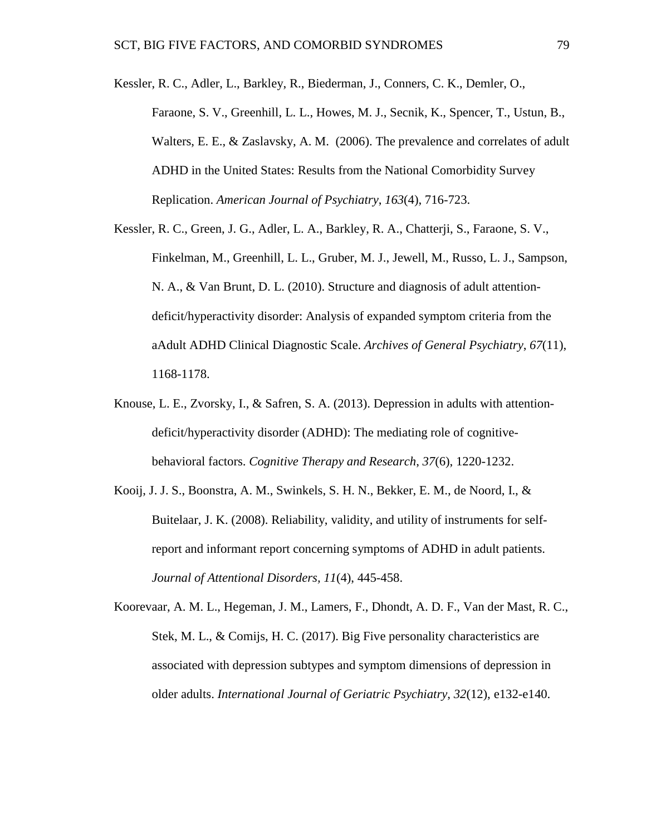- Kessler, R. C., Adler, L., Barkley, R., Biederman, J., Conners, C. K., Demler, O., Faraone, S. V., Greenhill, L. L., Howes, M. J., Secnik, K., Spencer, T., Ustun, B., Walters, E. E., & Zaslavsky, A. M. (2006). The prevalence and correlates of adult ADHD in the United States: Results from the National Comorbidity Survey Replication. *American Journal of Psychiatry*, *163*(4), 716-723.
- Kessler, R. C., Green, J. G., Adler, L. A., Barkley, R. A., Chatterji, S., Faraone, S. V., Finkelman, M., Greenhill, L. L., Gruber, M. J., Jewell, M., Russo, L. J., Sampson, N. A., & Van Brunt, D. L. (2010). Structure and diagnosis of adult attentiondeficit/hyperactivity disorder: Analysis of expanded symptom criteria from the aAdult ADHD Clinical Diagnostic Scale. *Archives of General Psychiatry*, *67*(11), 1168-1178.
- Knouse, L. E., Zvorsky, I., & Safren, S. A. (2013). Depression in adults with attentiondeficit/hyperactivity disorder (ADHD): The mediating role of cognitivebehavioral factors. *Cognitive Therapy and Research*, *37*(6), 1220-1232.
- Kooij, J. J. S., Boonstra, A. M., Swinkels, S. H. N., Bekker, E. M., de Noord, I., & Buitelaar, J. K. (2008). Reliability, validity, and utility of instruments for selfreport and informant report concerning symptoms of ADHD in adult patients. *Journal of Attentional Disorders, 11*(4), 445-458.
- Koorevaar, A. M. L., Hegeman, J. M., Lamers, F., Dhondt, A. D. F., Van der Mast, R. C., Stek, M. L., & Comijs, H. C. (2017). Big Five personality characteristics are associated with depression subtypes and symptom dimensions of depression in older adults. *International Journal of Geriatric Psychiatry*, *32*(12), e132-e140.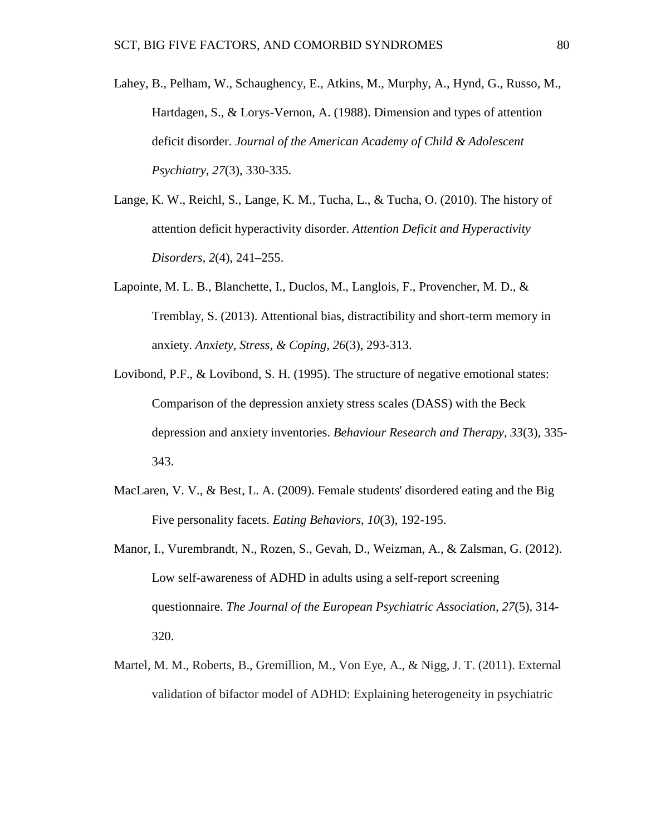- Lahey, B., Pelham, W., Schaughency, E., Atkins, M., Murphy, A., Hynd, G., Russo, M., Hartdagen, S., & Lorys-Vernon, A. (1988). Dimension and types of attention deficit disorder. *Journal of the American Academy of Child & Adolescent Psychiatry*, *27*(3), 330-335.
- Lange, K. W., Reichl, S., Lange, K. M., Tucha, L., & Tucha, O. (2010). The history of attention deficit hyperactivity disorder. *Attention Deficit and Hyperactivity Disorders*, *2*(4), 241–255.
- Lapointe, M. L. B., Blanchette, I., Duclos, M., Langlois, F., Provencher, M. D., & Tremblay, S. (2013). Attentional bias, distractibility and short-term memory in anxiety. *Anxiety, Stress, & Coping*, *26*(3), 293-313.
- Lovibond, P.F., & Lovibond, S. H. (1995). The structure of negative emotional states: Comparison of the depression anxiety stress scales (DASS) with the Beck depression and anxiety inventories. *Behaviour Research and Therapy*, *33*(3), 335- 343.
- MacLaren, V. V., & Best, L. A. (2009). Female students' disordered eating and the Big Five personality facets. *Eating Behaviors*, *10*(3), 192-195.
- Manor, I., Vurembrandt, N., Rozen, S., Gevah, D., Weizman, A., & Zalsman, G. (2012). Low self-awareness of ADHD in adults using a self-report screening questionnaire. *The Journal of the European Psychiatric Association, 27*(5), 314- 320.
- Martel, M. M., Roberts, B., Gremillion, M., Von Eye, A., & Nigg, J. T. (2011). External validation of bifactor model of ADHD: Explaining heterogeneity in psychiatric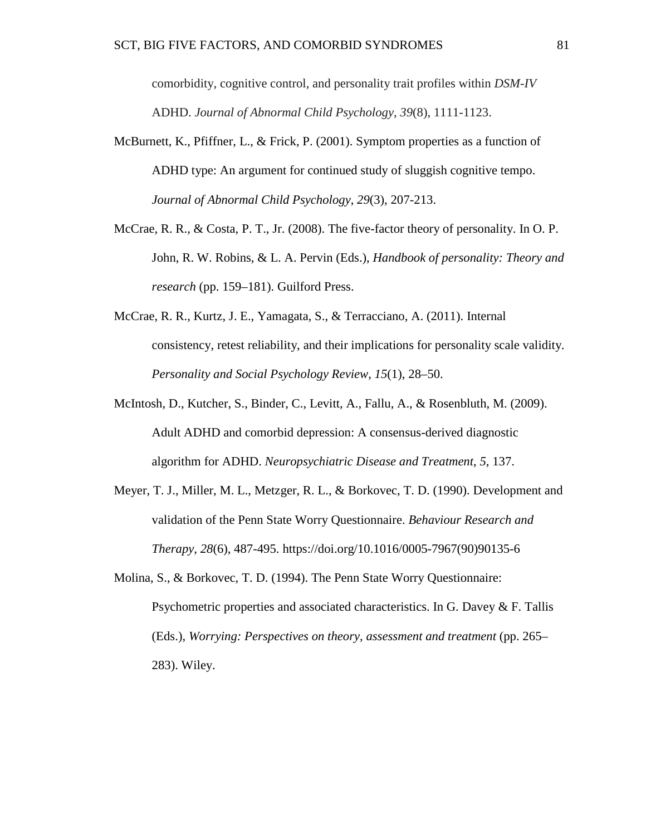comorbidity, cognitive control, and personality trait profiles within *DSM-IV* ADHD. *Journal of Abnormal Child Psychology*, *39*(8), 1111-1123.

- McBurnett, K., Pfiffner, L., & Frick, P. (2001). Symptom properties as a function of ADHD type: An argument for continued study of sluggish cognitive tempo. *Journal of Abnormal Child Psychology*, *29*(3), 207-213.
- McCrae, R. R., & Costa, P. T., Jr. (2008). The five-factor theory of personality. In O. P. John, R. W. Robins, & L. A. Pervin (Eds.), *Handbook of personality: Theory and research* (pp. 159–181). Guilford Press.
- McCrae, R. R., Kurtz, J. E., Yamagata, S., & Terracciano, A. (2011). Internal consistency, retest reliability, and their implications for personality scale validity. *Personality and Social Psychology Review*, *15*(1), 28–50.
- McIntosh, D., Kutcher, S., Binder, C., Levitt, A., Fallu, A., & Rosenbluth, M. (2009). Adult ADHD and comorbid depression: A consensus-derived diagnostic algorithm for ADHD. *Neuropsychiatric Disease and Treatment*, *5*, 137.
- Meyer, T. J., Miller, M. L., Metzger, R. L., & Borkovec, T. D. (1990). Development and validation of the Penn State Worry Questionnaire. *Behaviour Research and Therapy*, *28*(6), 487-495. https://doi.org/10.1016/0005-7967(90)90135-6
- Molina, S., & Borkovec, T. D. (1994). The Penn State Worry Questionnaire: Psychometric properties and associated characteristics. In G. Davey & F. Tallis (Eds.), *Worrying: Perspectives on theory, assessment and treatment* (pp. 265– 283). Wiley.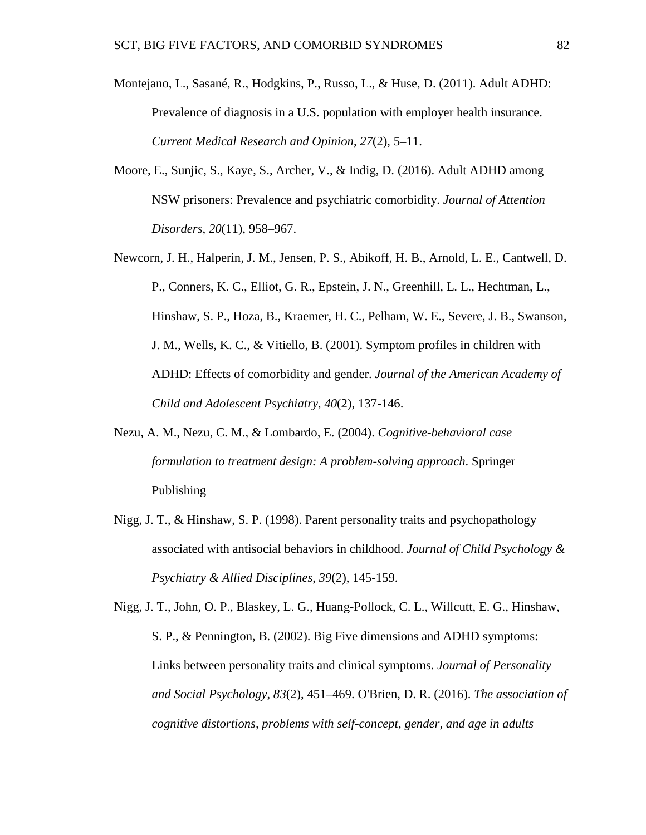- Montejano, L., Sasané, R., Hodgkins, P., Russo, L., & Huse, D. (2011). Adult ADHD: Prevalence of diagnosis in a U.S. population with employer health insurance. *Current Medical Research and Opinion*, *27*(2), 5–11.
- Moore, E., Sunjic, S., Kaye, S., Archer, V., & Indig, D. (2016). Adult ADHD among NSW prisoners: Prevalence and psychiatric comorbidity. *Journal of Attention Disorders*, *20*(11), 958–967.
- Newcorn, J. H., Halperin, J. M., Jensen, P. S., Abikoff, H. B., Arnold, L. E., Cantwell, D. P., Conners, K. C., Elliot, G. R., Epstein, J. N., Greenhill, L. L., Hechtman, L., Hinshaw, S. P., Hoza, B., Kraemer, H. C., Pelham, W. E., Severe, J. B., Swanson, J. M., Wells, K. C., & Vitiello, B. (2001). Symptom profiles in children with ADHD: Effects of comorbidity and gender. *Journal of the American Academy of Child and Adolescent Psychiatry*, *40*(2), 137-146.
- Nezu, A. M., Nezu, C. M., & Lombardo, E. (2004). *Cognitive-behavioral case formulation to treatment design: A problem-solving approach*. Springer Publishing
- Nigg, J. T., & Hinshaw, S. P. (1998). Parent personality traits and psychopathology associated with antisocial behaviors in childhood. *Journal of Child Psychology & Psychiatry & Allied Disciplines*, *39*(2), 145-159.

Nigg, J. T., John, O. P., Blaskey, L. G., Huang-Pollock, C. L., Willcutt, E. G., Hinshaw, S. P., & Pennington, B. (2002). Big Five dimensions and ADHD symptoms: Links between personality traits and clinical symptoms. *Journal of Personality and Social Psychology*, *83*(2), 451–469. O'Brien, D. R. (2016). *The association of cognitive distortions, problems with self-concept, gender, and age in adults*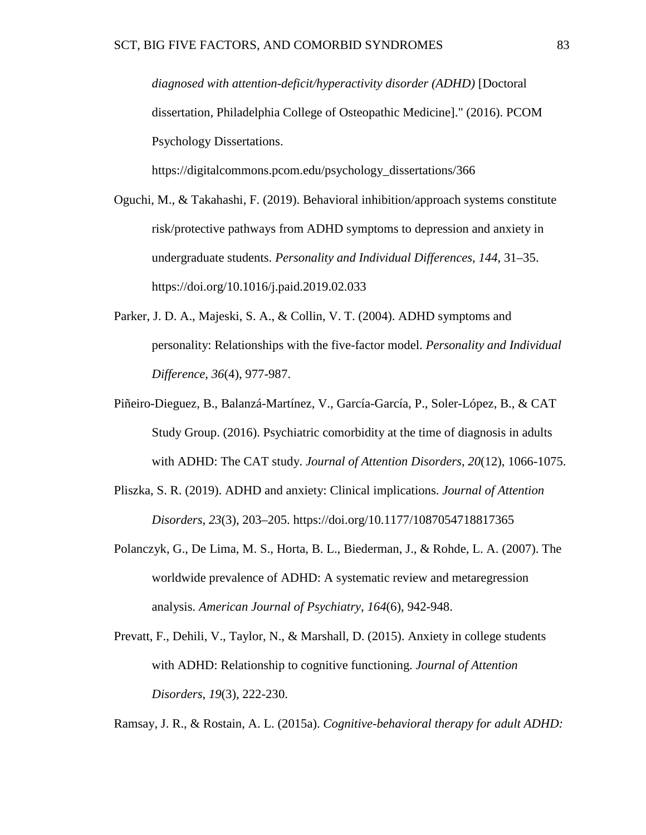*diagnosed with attention-deficit/hyperactivity disorder (ADHD)* [Doctoral dissertation, Philadelphia College of Osteopathic Medicine]." (2016). PCOM Psychology Dissertations.

https://digitalcommons.pcom.edu/psychology\_dissertations/366

- Oguchi, M., & Takahashi, F. (2019). Behavioral inhibition/approach systems constitute risk/protective pathways from ADHD symptoms to depression and anxiety in undergraduate students. *Personality and Individual Differences*, *144*, 31–35. https://doi.org/10.1016/j.paid.2019.02.033
- Parker, J. D. A., Majeski, S. A., & Collin, V. T. (2004). ADHD symptoms and personality: Relationships with the five-factor model. *Personality and Individual Difference*, *36*(4), 977-987.
- Piñeiro-Dieguez, B., Balanzá-Martínez, V., García-García, P., Soler-López, B., & CAT Study Group. (2016). Psychiatric comorbidity at the time of diagnosis in adults with ADHD: The CAT study. *Journal of Attention Disorders*, *20*(12), 1066-1075.
- Pliszka, S. R. (2019). ADHD and anxiety: Clinical implications. *Journal of Attention Disorders*, *23*(3), 203–205. https://doi.org/10.1177/1087054718817365
- Polanczyk, G., De Lima, M. S., Horta, B. L., Biederman, J., & Rohde, L. A. (2007). The worldwide prevalence of ADHD: A systematic review and metaregression analysis. *American Journal of Psychiatry*, *164*(6), 942-948.
- Prevatt, F., Dehili, V., Taylor, N., & Marshall, D. (2015). Anxiety in college students with ADHD: Relationship to cognitive functioning. *Journal of Attention Disorders*, *19*(3), 222-230.

Ramsay, J. R., & Rostain, A. L. (2015a). *Cognitive-behavioral therapy for adult ADHD:*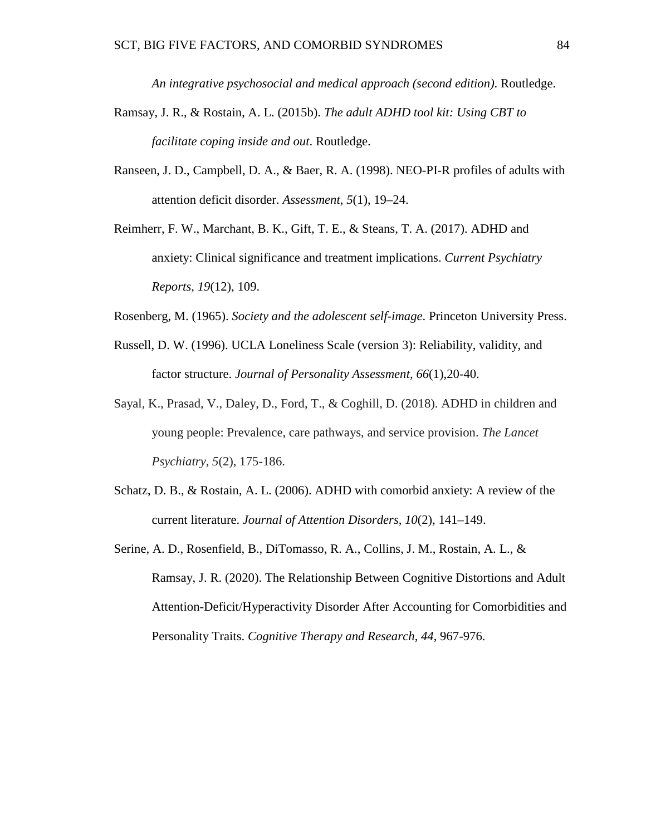*An integrative psychosocial and medical approach (second edition)*. Routledge.

- Ramsay, J. R., & Rostain, A. L. (2015b). *The adult ADHD tool kit: Using CBT to facilitate coping inside and out*. Routledge.
- Ranseen, J. D., Campbell, D. A., & Baer, R. A. (1998). NEO-PI-R profiles of adults with attention deficit disorder. *Assessment*, *5*(1), 19–24.
- Reimherr, F. W., Marchant, B. K., Gift, T. E., & Steans, T. A. (2017). ADHD and anxiety: Clinical significance and treatment implications. *Current Psychiatry Reports*, *19*(12), 109.
- Rosenberg, M. (1965). *Society and the adolescent self-image*. Princeton University Press.
- Russell, D. W. (1996). UCLA Loneliness Scale (version 3): Reliability, validity, and factor structure. *Journal of Personality Assessment*, *66*(1),20-40.
- Sayal, K., Prasad, V., Daley, D., Ford, T., & Coghill, D. (2018). ADHD in children and young people: Prevalence, care pathways, and service provision. *The Lancet Psychiatry*, *5*(2), 175-186.
- Schatz, D. B., & Rostain, A. L. (2006). ADHD with comorbid anxiety: A review of the current literature. *Journal of Attention Disorders*, *10*(2), 141–149.
- Serine, A. D., Rosenfield, B., DiTomasso, R. A., Collins, J. M., Rostain, A. L., & Ramsay, J. R. (2020). The Relationship Between Cognitive Distortions and Adult Attention-Deficit/Hyperactivity Disorder After Accounting for Comorbidities and Personality Traits. *Cognitive Therapy and Research*, *44*, 967-976.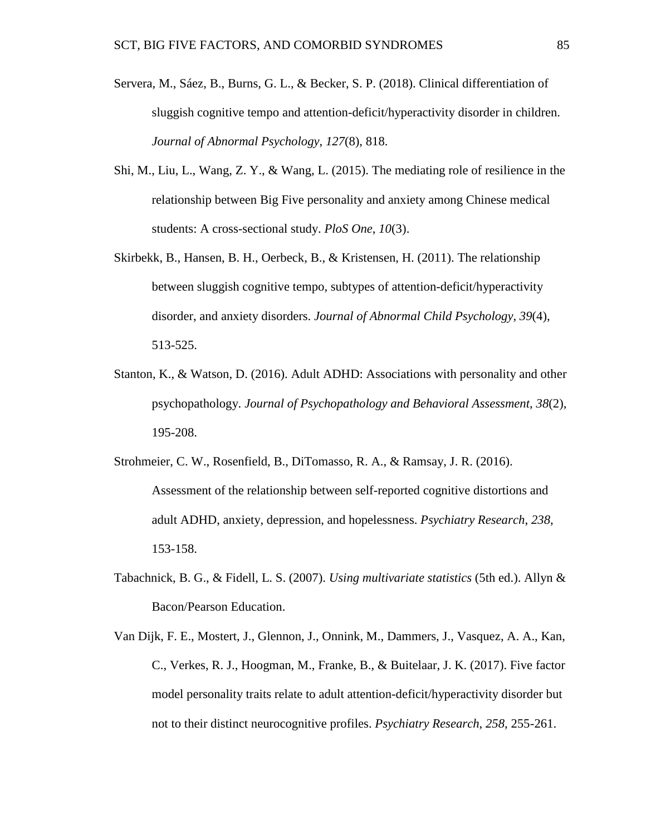- Servera, M., Sáez, B., Burns, G. L., & Becker, S. P. (2018). Clinical differentiation of sluggish cognitive tempo and attention-deficit/hyperactivity disorder in children. *Journal of Abnormal Psychology*, *127*(8), 818.
- Shi, M., Liu, L., Wang, Z. Y., & Wang, L. (2015). The mediating role of resilience in the relationship between Big Five personality and anxiety among Chinese medical students: A cross-sectional study. *PloS One*, *10*(3).
- Skirbekk, B., Hansen, B. H., Oerbeck, B., & Kristensen, H. (2011). The relationship between sluggish cognitive tempo, subtypes of attention-deficit/hyperactivity disorder, and anxiety disorders. *Journal of Abnormal Child Psychology*, *39*(4), 513-525.
- Stanton, K., & Watson, D. (2016). Adult ADHD: Associations with personality and other psychopathology. *Journal of Psychopathology and Behavioral Assessment*, *38*(2), 195-208.
- Strohmeier, C. W., Rosenfield, B., DiTomasso, R. A., & Ramsay, J. R. (2016). Assessment of the relationship between self-reported cognitive distortions and adult ADHD, anxiety, depression, and hopelessness. *Psychiatry Research*, *238*, 153-158.
- Tabachnick, B. G., & Fidell, L. S. (2007). *Using multivariate statistics* (5th ed.). Allyn & Bacon/Pearson Education.
- Van Dijk, F. E., Mostert, J., Glennon, J., Onnink, M., Dammers, J., Vasquez, A. A., Kan, C., Verkes, R. J., Hoogman, M., Franke, B., & Buitelaar, J. K. (2017). Five factor model personality traits relate to adult attention-deficit/hyperactivity disorder but not to their distinct neurocognitive profiles. *Psychiatry Research*, *258*, 255-261.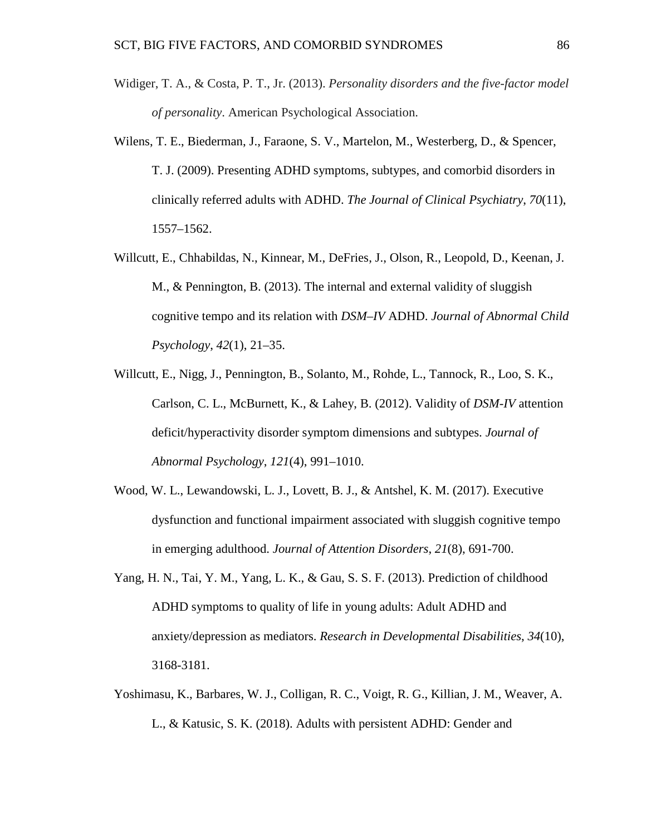- Widiger, T. A., & Costa, P. T., Jr. (2013). *Personality disorders and the five-factor model of personality*. American Psychological Association.
- Wilens, T. E., Biederman, J., Faraone, S. V., Martelon, M., Westerberg, D., & Spencer, T. J. (2009). Presenting ADHD symptoms, subtypes, and comorbid disorders in clinically referred adults with ADHD. *The Journal of Clinical Psychiatry*, *70*(11), 1557–1562.
- Willcutt, E., Chhabildas, N., Kinnear, M., DeFries, J., Olson, R., Leopold, D., Keenan, J. M., & Pennington, B. (2013). The internal and external validity of sluggish cognitive tempo and its relation with *DSM–IV* ADHD. *Journal of Abnormal Child Psychology*, *42*(1), 21–35.
- Willcutt, E., Nigg, J., Pennington, B., Solanto, M., Rohde, L., Tannock, R., Loo, S. K., Carlson, C. L., McBurnett, K., & Lahey, B. (2012). Validity of *DSM-IV* attention deficit/hyperactivity disorder symptom dimensions and subtypes. *Journal of Abnormal Psychology*, *121*(4), 991–1010.
- Wood, W. L., Lewandowski, L. J., Lovett, B. J., & Antshel, K. M. (2017). Executive dysfunction and functional impairment associated with sluggish cognitive tempo in emerging adulthood. *Journal of Attention Disorders*, *21*(8), 691-700.
- Yang, H. N., Tai, Y. M., Yang, L. K., & Gau, S. S. F. (2013). Prediction of childhood ADHD symptoms to quality of life in young adults: Adult ADHD and anxiety/depression as mediators. *Research in Developmental Disabilities*, *34*(10), 3168-3181.
- Yoshimasu, K., Barbares, W. J., Colligan, R. C., Voigt, R. G., Killian, J. M., Weaver, A. L., & Katusic, S. K. (2018). Adults with persistent ADHD: Gender and